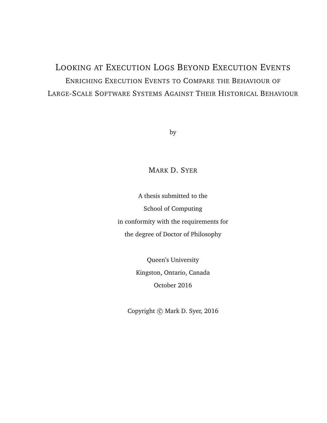## LOOKING AT EXECUTION LOGS BEYOND EXECUTION EVENTS ENRICHING EXECUTION EVENTS TO COMPARE THE BEHAVIOUR OF LARGE-SCALE SOFTWARE SYSTEMS AGAINST THEIR HISTORICAL BEHAVIOUR

by

#### MARK D. SYER

A thesis submitted to the School of Computing in conformity with the requirements for the degree of Doctor of Philosophy

> Queen's University Kingston, Ontario, Canada October 2016

Copyright  $\odot$  Mark D. Syer, 2016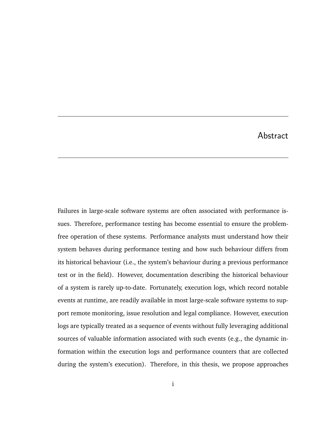#### Abstract

Failures in large-scale software systems are often associated with performance issues. Therefore, performance testing has become essential to ensure the problemfree operation of these systems. Performance analysts must understand how their system behaves during performance testing and how such behaviour differs from its historical behaviour (i.e., the system's behaviour during a previous performance test or in the field). However, documentation describing the historical behaviour of a system is rarely up-to-date. Fortunately, execution logs, which record notable events at runtime, are readily available in most large-scale software systems to support remote monitoring, issue resolution and legal compliance. However, execution logs are typically treated as a sequence of events without fully leveraging additional sources of valuable information associated with such events (e.g., the dynamic information within the execution logs and performance counters that are collected during the system's execution). Therefore, in this thesis, we propose approaches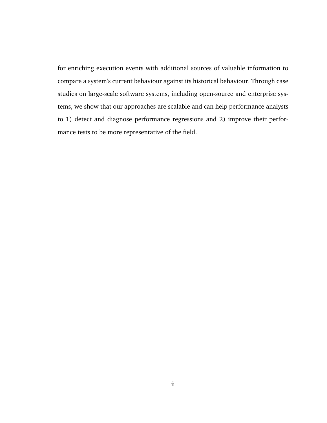for enriching execution events with additional sources of valuable information to compare a system's current behaviour against its historical behaviour. Through case studies on large-scale software systems, including open-source and enterprise systems, we show that our approaches are scalable and can help performance analysts to 1) detect and diagnose performance regressions and 2) improve their performance tests to be more representative of the field.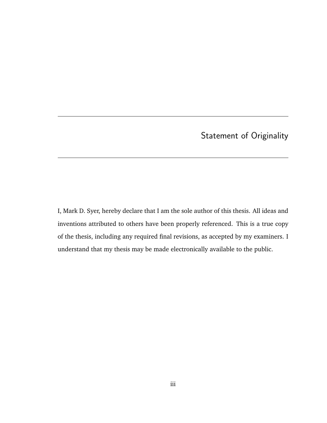## Statement of Originality

I, Mark D. Syer, hereby declare that I am the sole author of this thesis. All ideas and inventions attributed to others have been properly referenced. This is a true copy of the thesis, including any required final revisions, as accepted by my examiners. I understand that my thesis may be made electronically available to the public.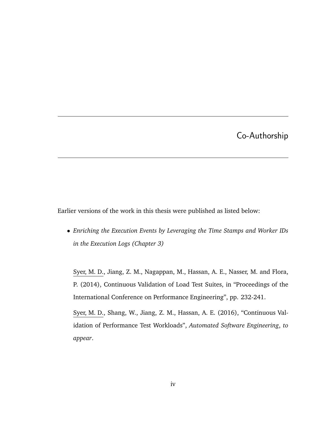### Co-Authorship

Earlier versions of the work in this thesis were published as listed below:

• *Enriching the Execution Events by Leveraging the Time Stamps and Worker IDs in the Execution Logs (Chapter 3)*

Syer, M. D., Jiang, Z. M., Nagappan, M., Hassan, A. E., Nasser, M. and Flora, P. (2014), Continuous Validation of Load Test Suites, in "Proceedings of the International Conference on Performance Engineering", pp. 232-241.

Syer, M. D., Shang, W., Jiang, Z. M., Hassan, A. E. (2016), "Continuous Validation of Performance Test Workloads", *Automated Software Engineering*, *to appear*.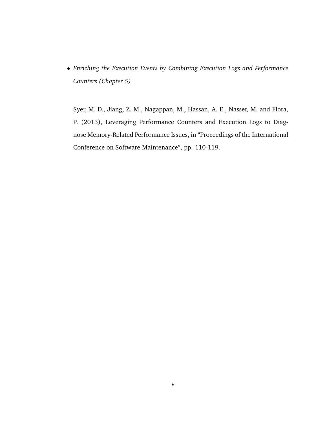• *Enriching the Execution Events by Combining Execution Logs and Performance Counters (Chapter 5)*

Syer, M. D., Jiang, Z. M., Nagappan, M., Hassan, A. E., Nasser, M. and Flora, P. (2013), Leveraging Performance Counters and Execution Logs to Diagnose Memory-Related Performance Issues, in "Proceedings of the International Conference on Software Maintenance", pp. 110-119.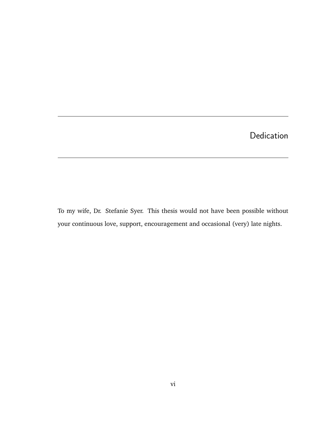## Dedication

To my wife, Dr. Stefanie Syer. This thesis would not have been possible without your continuous love, support, encouragement and occasional (very) late nights.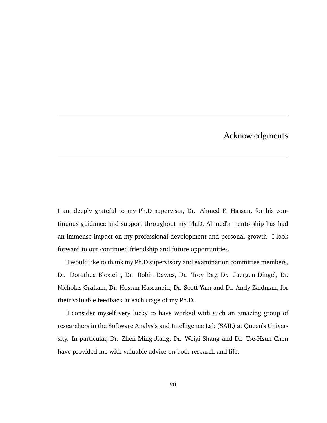### Acknowledgments

I am deeply grateful to my Ph.D supervisor, Dr. Ahmed E. Hassan, for his continuous guidance and support throughout my Ph.D. Ahmed's mentorship has had an immense impact on my professional development and personal growth. I look forward to our continued friendship and future opportunities.

I would like to thank my Ph.D supervisory and examination committee members, Dr. Dorothea Blostein, Dr. Robin Dawes, Dr. Troy Day, Dr. Juergen Dingel, Dr. Nicholas Graham, Dr. Hossan Hassanein, Dr. Scott Yam and Dr. Andy Zaidman, for their valuable feedback at each stage of my Ph.D.

I consider myself very lucky to have worked with such an amazing group of researchers in the Software Analysis and Intelligence Lab (SAIL) at Queen's University. In particular, Dr. Zhen Ming Jiang, Dr. Weiyi Shang and Dr. Tse-Hsun Chen have provided me with valuable advice on both research and life.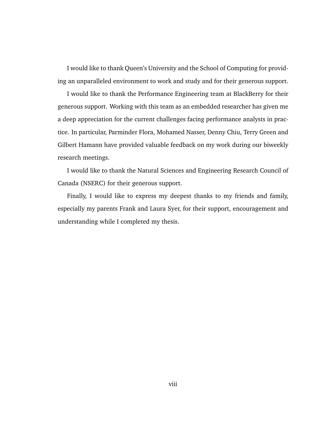I would like to thank Queen's University and the School of Computing for providing an unparalleled environment to work and study and for their generous support.

I would like to thank the Performance Engineering team at BlackBerry for their generous support. Working with this team as an embedded researcher has given me a deep appreciation for the current challenges facing performance analysts in practice. In particular, Parminder Flora, Mohamed Nasser, Denny Chiu, Terry Green and Gilbert Hamann have provided valuable feedback on my work during our biweekly research meetings.

I would like to thank the Natural Sciences and Engineering Research Council of Canada (NSERC) for their generous support.

Finally, I would like to express my deepest thanks to my friends and family, especially my parents Frank and Laura Syer, for their support, encouragement and understanding while I completed my thesis.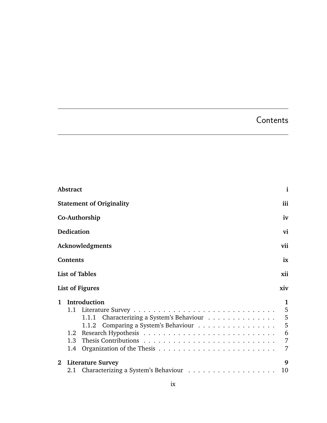## **Contents**

|             | <b>Abstract</b>                                                                                                                        | $\mathbf{i}$                                 |
|-------------|----------------------------------------------------------------------------------------------------------------------------------------|----------------------------------------------|
|             | <b>Statement of Originality</b>                                                                                                        | iii                                          |
|             | Co-Authorship                                                                                                                          | iv                                           |
|             | Dedication                                                                                                                             | vi                                           |
|             | Acknowledgments                                                                                                                        | vii                                          |
|             | <b>Contents</b>                                                                                                                        | ix                                           |
|             | <b>List of Tables</b>                                                                                                                  | xii                                          |
|             | <b>List of Figures</b>                                                                                                                 | xiv                                          |
| 1           | Introduction<br>Characterizing a System's Behaviour<br>1.1.1<br>1.1.2 Comparing a System's Behaviour<br>1.2 <sub>1</sub><br>1.3<br>1.4 | 1<br>5<br>5<br>5<br>6<br>$\overline{7}$<br>7 |
| $2^{\circ}$ | <b>Literature Survey</b><br>2.1                                                                                                        | 9<br>10                                      |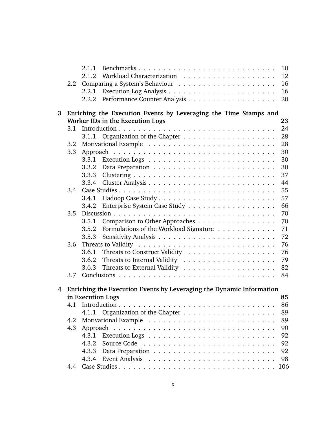|   |            | 2.1.1 | 10                                                                     |
|---|------------|-------|------------------------------------------------------------------------|
|   |            | 2.1.2 | 12                                                                     |
|   | 2.2        |       | 16                                                                     |
|   |            | 2.2.1 | 16                                                                     |
|   |            | 2.2.2 | 20                                                                     |
| 3 |            |       | Enriching the Execution Events by Leveraging the Time Stamps and       |
|   |            |       | Worker IDs in the Execution Logs<br>23                                 |
|   | 3.1        |       | 24                                                                     |
|   |            | 3.1.1 | 28                                                                     |
|   | 3.2        |       | 28                                                                     |
|   | 3.3        |       | 30                                                                     |
|   |            | 3.3.1 | 30                                                                     |
|   |            | 3.3.2 | 30                                                                     |
|   |            | 3.3.3 | 37                                                                     |
|   |            | 3.3.4 | 44                                                                     |
|   | 3.4        |       | 55                                                                     |
|   |            | 3.4.1 | 57                                                                     |
|   |            | 3.4.2 | 66                                                                     |
|   | 3.5        |       | 70                                                                     |
|   |            | 3.5.1 | Comparison to Other Approaches<br>70                                   |
|   |            | 3.5.2 | Formulations of the Workload Signature<br>71                           |
|   |            | 3.5.3 | 72                                                                     |
|   | 3.6        |       | 76                                                                     |
|   |            | 3.6.1 | 76                                                                     |
|   |            | 3.6.2 | 79                                                                     |
|   |            | 3.6.3 | 82                                                                     |
|   | 3.7        |       | 84                                                                     |
|   |            |       |                                                                        |
|   |            |       | 4 Enriching the Execution Events by Leveraging the Dynamic Information |
|   |            |       | in Execution Logs<br>85<br>86                                          |
|   |            |       |                                                                        |
|   |            | 4.1.1 | 89                                                                     |
|   | 4.2<br>4.3 |       | 89<br>90                                                               |
|   |            | 4.3.1 | 92                                                                     |
|   |            | 4.3.2 | 92                                                                     |
|   |            | 4.3.3 | 92                                                                     |
|   |            | 4.3.4 | 98                                                                     |
|   | 4.4        |       | 106                                                                    |
|   |            |       |                                                                        |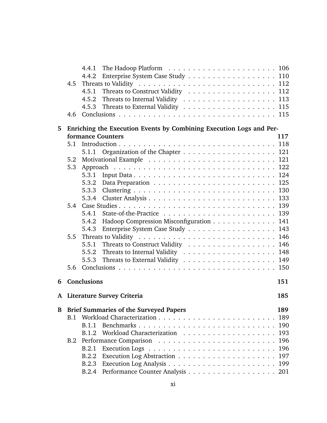|   |     | 4.4.1                                                               |  |
|---|-----|---------------------------------------------------------------------|--|
|   |     | Enterprise System Case Study 110<br>4.4.2                           |  |
|   | 4.5 |                                                                     |  |
|   |     | Threats to Construct Validity 112<br>4.5.1                          |  |
|   |     |                                                                     |  |
|   |     | 4.5.3                                                               |  |
|   | 4.6 |                                                                     |  |
| 5 |     | Enriching the Execution Events by Combining Execution Logs and Per- |  |
|   |     | formance Counters<br>117                                            |  |
|   | 5.1 |                                                                     |  |
|   |     | 5.1.1                                                               |  |
|   | 5.2 |                                                                     |  |
|   | 5.3 |                                                                     |  |
|   |     | 5.3.1                                                               |  |
|   |     |                                                                     |  |
|   |     | 130<br>5.3.3                                                        |  |
|   |     |                                                                     |  |
|   | 5.4 | 139                                                                 |  |
|   |     | 5.4.1                                                               |  |
|   |     | Hadoop Compression Misconfiguration 141<br>5.4.2                    |  |
|   |     | Enterprise System Case Study 143<br>5.4.3                           |  |
|   | 5.5 |                                                                     |  |
|   |     | Threats to Construct Validity 146<br>5.5.1                          |  |
|   |     | 5.5.2                                                               |  |
|   |     | 5.5.3                                                               |  |
|   | 5.6 |                                                                     |  |
| 6 |     | <b>Conclusions</b><br>151                                           |  |
| A |     | <b>Literature Survey Criteria</b><br>185                            |  |
| B |     | <b>Brief Summaries of the Surveyed Papers</b><br>189                |  |
|   | B.1 | 189                                                                 |  |
|   |     | Benchmarks<br>190<br><b>B.1.1</b>                                   |  |
|   |     | 193<br>B.1.2                                                        |  |
|   | B.2 | 196                                                                 |  |
|   |     | 196<br>B.2.1                                                        |  |
|   |     | 197<br>B.2.2                                                        |  |
|   |     | 199<br><b>B.2.3</b>                                                 |  |
|   |     |                                                                     |  |
|   |     |                                                                     |  |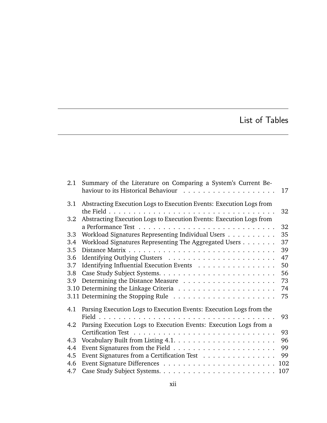## List of Tables

| 2.1     | Summary of the Literature on Comparing a System's Current Be-       |     |
|---------|---------------------------------------------------------------------|-----|
|         |                                                                     | 17  |
| 3.1     | Abstracting Execution Logs to Execution Events: Execution Logs from |     |
|         |                                                                     | 32  |
| $3.2\,$ | Abstracting Execution Logs to Execution Events: Execution Logs from |     |
|         |                                                                     | 32  |
| 3.3     | Workload Signatures Representing Individual Users                   | 35  |
| 3.4     | Workload Signatures Representing The Aggregated Users               | 37  |
| 3.5     |                                                                     | 39  |
| 3.6     |                                                                     | 47  |
| 3.7     | Identifying Influential Execution Events                            | 50  |
| 3.8     |                                                                     | 56  |
| 3.9     |                                                                     | 73  |
|         |                                                                     | 74  |
|         |                                                                     | 75  |
| 4.1     | Parsing Execution Logs to Execution Events: Execution Logs from the |     |
|         |                                                                     | 93  |
| 4.2     | Parsing Execution Logs to Execution Events: Execution Logs from a   |     |
|         |                                                                     | 93  |
| 4.3     |                                                                     | 96  |
| 4.4     |                                                                     | 99  |
| 4.5     | Event Signatures from a Certification Test                          | 99  |
| 4.6     |                                                                     |     |
| 4.7     |                                                                     | 107 |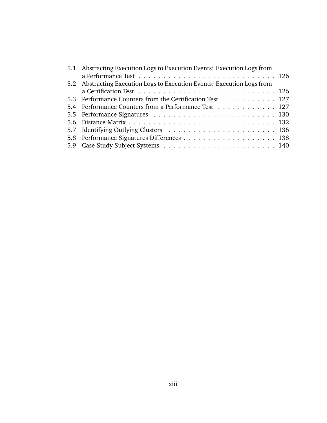| 5.1 Abstracting Execution Logs to Execution Events: Execution Logs from |                                                                                                                  |
|-------------------------------------------------------------------------|------------------------------------------------------------------------------------------------------------------|
|                                                                         |                                                                                                                  |
| 5.2 Abstracting Execution Logs to Execution Events: Execution Logs from |                                                                                                                  |
|                                                                         |                                                                                                                  |
|                                                                         |                                                                                                                  |
|                                                                         |                                                                                                                  |
|                                                                         |                                                                                                                  |
|                                                                         |                                                                                                                  |
|                                                                         |                                                                                                                  |
|                                                                         |                                                                                                                  |
|                                                                         |                                                                                                                  |
|                                                                         | 5.3 Performance Counters from the Certification Test 127<br>5.4 Performance Counters from a Performance Test 127 |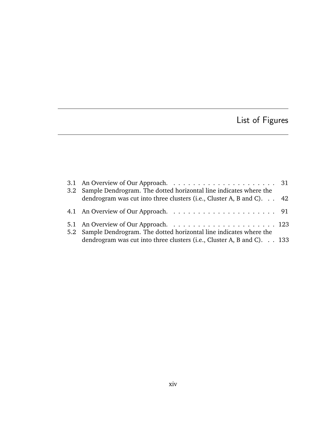# List of Figures

| 3.2 Sample Dendrogram. The dotted horizontal line indicates where the              |  |
|------------------------------------------------------------------------------------|--|
| dendrogram was cut into three clusters (i.e., Cluster A, B and C). $\therefore$ 42 |  |
|                                                                                    |  |
| 5.2 Sample Dendrogram. The dotted horizontal line indicates where the              |  |
| dendrogram was cut into three clusters (i.e., Cluster A, B and C). 133             |  |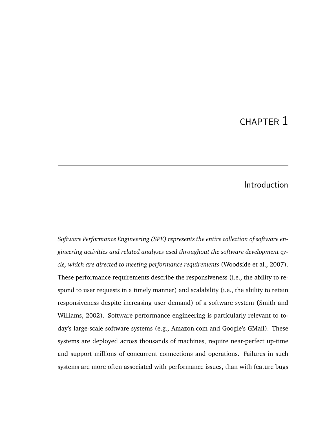## CHAPTER 1

### Introduction

*Software Performance Engineering (SPE) represents the entire collection of software engineering activities and related analyses used throughout the software development cycle, which are directed to meeting performance requirements* (Woodside et al., 2007). These performance requirements describe the responsiveness (i.e., the ability to respond to user requests in a timely manner) and scalability (i.e., the ability to retain responsiveness despite increasing user demand) of a software system (Smith and Williams, 2002). Software performance engineering is particularly relevant to today's large-scale software systems (e.g., Amazon.com and Google's GMail). These systems are deployed across thousands of machines, require near-perfect up-time and support millions of concurrent connections and operations. Failures in such systems are more often associated with performance issues, than with feature bugs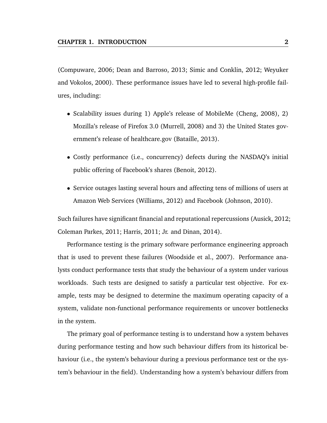(Compuware, 2006; Dean and Barroso, 2013; Simic and Conklin, 2012; Weyuker and Vokolos, 2000). These performance issues have led to several high-profile failures, including:

- Scalability issues during 1) Apple's release of MobileMe (Cheng, 2008), 2) Mozilla's release of Firefox 3.0 (Murrell, 2008) and 3) the United States government's release of healthcare.gov (Bataille, 2013).
- Costly performance (i.e., concurrency) defects during the NASDAQ's initial public offering of Facebook's shares (Benoit, 2012).
- Service outages lasting several hours and affecting tens of millions of users at Amazon Web Services (Williams, 2012) and Facebook (Johnson, 2010).

Such failures have significant financial and reputational repercussions (Ausick, 2012; Coleman Parkes, 2011; Harris, 2011; Jr. and Dinan, 2014).

Performance testing is the primary software performance engineering approach that is used to prevent these failures (Woodside et al., 2007). Performance analysts conduct performance tests that study the behaviour of a system under various workloads. Such tests are designed to satisfy a particular test objective. For example, tests may be designed to determine the maximum operating capacity of a system, validate non-functional performance requirements or uncover bottlenecks in the system.

The primary goal of performance testing is to understand how a system behaves during performance testing and how such behaviour differs from its historical behaviour (i.e., the system's behaviour during a previous performance test or the system's behaviour in the field). Understanding how a system's behaviour differs from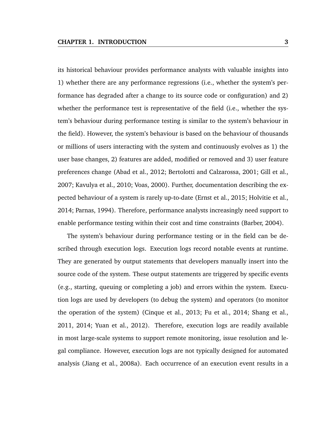its historical behaviour provides performance analysts with valuable insights into 1) whether there are any performance regressions (i.e., whether the system's performance has degraded after a change to its source code or configuration) and 2) whether the performance test is representative of the field (i.e., whether the system's behaviour during performance testing is similar to the system's behaviour in the field). However, the system's behaviour is based on the behaviour of thousands or millions of users interacting with the system and continuously evolves as 1) the user base changes, 2) features are added, modified or removed and 3) user feature preferences change (Abad et al., 2012; Bertolotti and Calzarossa, 2001; Gill et al., 2007; Kavulya et al., 2010; Voas, 2000). Further, documentation describing the expected behaviour of a system is rarely up-to-date (Ernst et al., 2015; Holvitie et al., 2014; Parnas, 1994). Therefore, performance analysts increasingly need support to enable performance testing within their cost and time constraints (Barber, 2004).

The system's behaviour during performance testing or in the field can be described through execution logs. Execution logs record notable events at runtime. They are generated by output statements that developers manually insert into the source code of the system. These output statements are triggered by specific events (e.g., starting, queuing or completing a job) and errors within the system. Execution logs are used by developers (to debug the system) and operators (to monitor the operation of the system) (Cinque et al., 2013; Fu et al., 2014; Shang et al., 2011, 2014; Yuan et al., 2012). Therefore, execution logs are readily available in most large-scale systems to support remote monitoring, issue resolution and legal compliance. However, execution logs are not typically designed for automated analysis (Jiang et al., 2008a). Each occurrence of an execution event results in a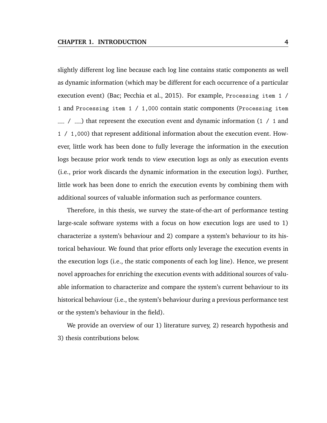slightly different log line because each log line contains static components as well as dynamic information (which may be different for each occurrence of a particular execution event) (Bac; Pecchia et al., 2015). For example, Processing item 1 / 1 and Processing item 1 / 1,000 contain static components (Processing item  $\sim$  /  $\sim$  that represent the execution event and dynamic information (1 / 1 and 1 / 1,000) that represent additional information about the execution event. However, little work has been done to fully leverage the information in the execution logs because prior work tends to view execution logs as only as execution events (i.e., prior work discards the dynamic information in the execution logs). Further, little work has been done to enrich the execution events by combining them with additional sources of valuable information such as performance counters.

Therefore, in this thesis, we survey the state-of-the-art of performance testing large-scale software systems with a focus on how execution logs are used to 1) characterize a system's behaviour and 2) compare a system's behaviour to its historical behaviour. We found that prior efforts only leverage the execution events in the execution logs (i.e., the static components of each log line). Hence, we present novel approaches for enriching the execution events with additional sources of valuable information to characterize and compare the system's current behaviour to its historical behaviour (i.e., the system's behaviour during a previous performance test or the system's behaviour in the field).

We provide an overview of our 1) literature survey, 2) research hypothesis and 3) thesis contributions below.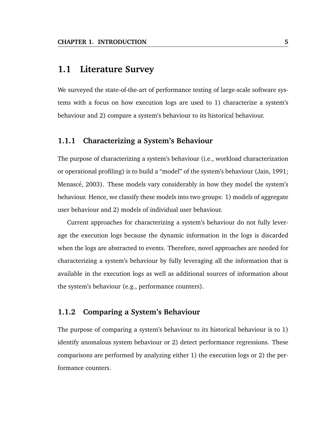#### **1.1 Literature Survey**

We surveyed the state-of-the-art of performance testing of large-scale software systems with a focus on how execution logs are used to 1) characterize a system's behaviour and 2) compare a system's behaviour to its historical behaviour.

#### **1.1.1 Characterizing a System's Behaviour**

The purpose of characterizing a system's behaviour (i.e., workload characterization or operational profiling) is to build a "model" of the system's behaviour (Jain, 1991; Menascé, 2003). These models vary considerably in how they model the system's behaviour. Hence, we classify these models into two groups: 1) models of aggregate user behaviour and 2) models of individual user behaviour.

Current approaches for characterizing a system's behaviour do not fully leverage the execution logs because the dynamic information in the logs is discarded when the logs are abstracted to events. Therefore, novel approaches are needed for characterizing a system's behaviour by fully leveraging all the information that is available in the execution logs as well as additional sources of information about the system's behaviour (e.g., performance counters).

#### **1.1.2 Comparing a System's Behaviour**

The purpose of comparing a system's behaviour to its historical behaviour is to 1) identify anomalous system behaviour or 2) detect performance regressions. These comparisons are performed by analyzing either 1) the execution logs or 2) the performance counters.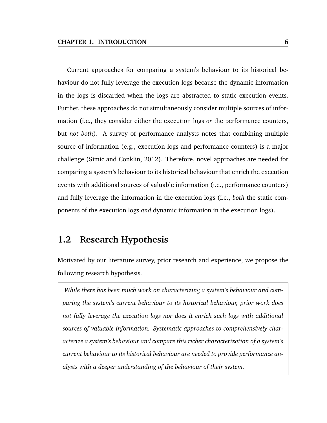Current approaches for comparing a system's behaviour to its historical behaviour do not fully leverage the execution logs because the dynamic information in the logs is discarded when the logs are abstracted to static execution events. Further, these approaches do not simultaneously consider multiple sources of information (i.e., they consider either the execution logs *or* the performance counters, but *not both*). A survey of performance analysts notes that combining multiple source of information (e.g., execution logs and performance counters) is a major challenge (Simic and Conklin, 2012). Therefore, novel approaches are needed for comparing a system's behaviour to its historical behaviour that enrich the execution events with additional sources of valuable information (i.e., performance counters) and fully leverage the information in the execution logs (i.e., *both* the static components of the execution logs *and* dynamic information in the execution logs).

### **1.2 Research Hypothesis**

Motivated by our literature survey, prior research and experience, we propose the following research hypothesis.

*While there has been much work on characterizing a system's behaviour and comparing the system's current behaviour to its historical behaviour, prior work does not fully leverage the execution logs nor does it enrich such logs with additional sources of valuable information. Systematic approaches to comprehensively characterize a system's behaviour and compare this richer characterization of a system's current behaviour to its historical behaviour are needed to provide performance analysts with a deeper understanding of the behaviour of their system.*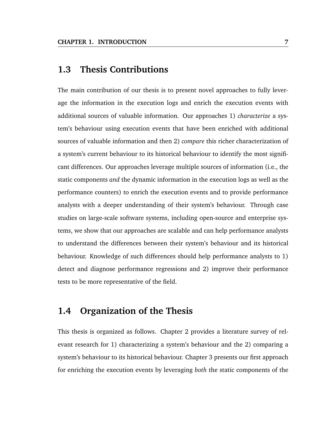### **1.3 Thesis Contributions**

The main contribution of our thesis is to present novel approaches to fully leverage the information in the execution logs and enrich the execution events with additional sources of valuable information. Our approaches 1) *characterize* a system's behaviour using execution events that have been enriched with additional sources of valuable information and then 2) *compare* this richer characterization of a system's current behaviour to its historical behaviour to identify the most significant differences. Our approaches leverage multiple sources of information (i.e., the static components *and* the dynamic information in the execution logs as well as the performance counters) to enrich the execution events and to provide performance analysts with a deeper understanding of their system's behaviour. Through case studies on large-scale software systems, including open-source and enterprise systems, we show that our approaches are scalable and can help performance analysts to understand the differences between their system's behaviour and its historical behaviour. Knowledge of such differences should help performance analysts to 1) detect and diagnose performance regressions and 2) improve their performance tests to be more representative of the field.

### **1.4 Organization of the Thesis**

This thesis is organized as follows. Chapter 2 provides a literature survey of relevant research for 1) characterizing a system's behaviour and the 2) comparing a system's behaviour to its historical behaviour. Chapter 3 presents our first approach for enriching the execution events by leveraging *both* the static components of the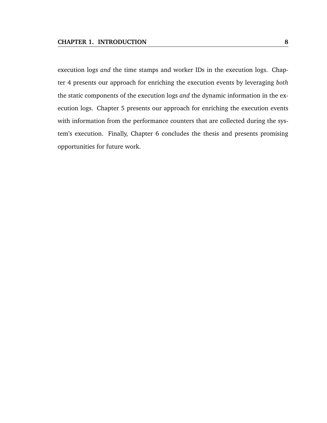execution logs *and* the time stamps and worker IDs in the execution logs. Chapter 4 presents our approach for enriching the execution events by leveraging *both* the static components of the execution logs *and* the dynamic information in the execution logs. Chapter 5 presents our approach for enriching the execution events with information from the performance counters that are collected during the system's execution. Finally, Chapter 6 concludes the thesis and presents promising opportunities for future work.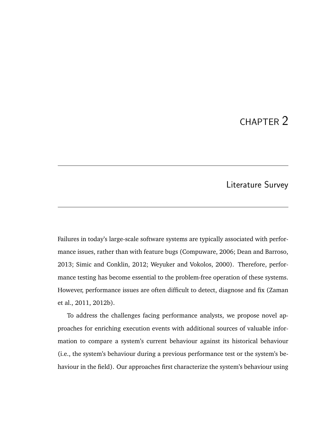## CHAPTER 2

### Literature Survey

Failures in today's large-scale software systems are typically associated with performance issues, rather than with feature bugs (Compuware, 2006; Dean and Barroso, 2013; Simic and Conklin, 2012; Weyuker and Vokolos, 2000). Therefore, performance testing has become essential to the problem-free operation of these systems. However, performance issues are often difficult to detect, diagnose and fix (Zaman et al., 2011, 2012b).

To address the challenges facing performance analysts, we propose novel approaches for enriching execution events with additional sources of valuable information to compare a system's current behaviour against its historical behaviour (i.e., the system's behaviour during a previous performance test or the system's behaviour in the field). Our approaches first characterize the system's behaviour using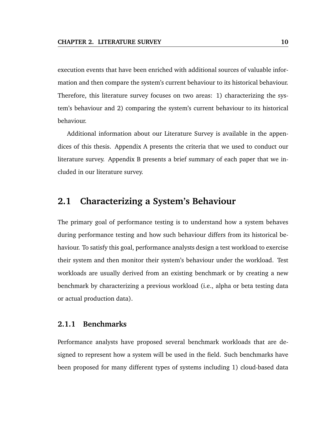execution events that have been enriched with additional sources of valuable information and then compare the system's current behaviour to its historical behaviour. Therefore, this literature survey focuses on two areas: 1) characterizing the system's behaviour and 2) comparing the system's current behaviour to its historical behaviour.

Additional information about our Literature Survey is available in the appendices of this thesis. Appendix A presents the criteria that we used to conduct our literature survey. Appendix B presents a brief summary of each paper that we included in our literature survey.

#### **2.1 Characterizing a System's Behaviour**

The primary goal of performance testing is to understand how a system behaves during performance testing and how such behaviour differs from its historical behaviour. To satisfy this goal, performance analysts design a test workload to exercise their system and then monitor their system's behaviour under the workload. Test workloads are usually derived from an existing benchmark or by creating a new benchmark by characterizing a previous workload (i.e., alpha or beta testing data or actual production data).

#### **2.1.1 Benchmarks**

Performance analysts have proposed several benchmark workloads that are designed to represent how a system will be used in the field. Such benchmarks have been proposed for many different types of systems including 1) cloud-based data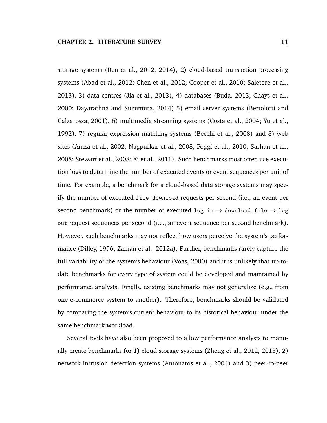storage systems (Ren et al., 2012, 2014), 2) cloud-based transaction processing systems (Abad et al., 2012; Chen et al., 2012; Cooper et al., 2010; Saletore et al., 2013), 3) data centres (Jia et al., 2013), 4) databases (Buda, 2013; Chays et al., 2000; Dayarathna and Suzumura, 2014) 5) email server systems (Bertolotti and Calzarossa, 2001), 6) multimedia streaming systems (Costa et al., 2004; Yu et al., 1992), 7) regular expression matching systems (Becchi et al., 2008) and 8) web sites (Amza et al., 2002; Nagpurkar et al., 2008; Poggi et al., 2010; Sarhan et al., 2008; Stewart et al., 2008; Xi et al., 2011). Such benchmarks most often use execution logs to determine the number of executed events or event sequences per unit of time. For example, a benchmark for a cloud-based data storage systems may specify the number of executed file download requests per second (i.e., an event per second benchmark) or the number of executed log in  $\rightarrow$  download file  $\rightarrow$  log out request sequences per second (i.e., an event sequence per second benchmark). However, such benchmarks may not reflect how users perceive the system's performance (Dilley, 1996; Zaman et al., 2012a). Further, benchmarks rarely capture the full variability of the system's behaviour (Voas, 2000) and it is unlikely that up-todate benchmarks for every type of system could be developed and maintained by performance analysts. Finally, existing benchmarks may not generalize (e.g., from one e-commerce system to another). Therefore, benchmarks should be validated by comparing the system's current behaviour to its historical behaviour under the same benchmark workload.

Several tools have also been proposed to allow performance analysts to manually create benchmarks for 1) cloud storage systems (Zheng et al., 2012, 2013), 2) network intrusion detection systems (Antonatos et al., 2004) and 3) peer-to-peer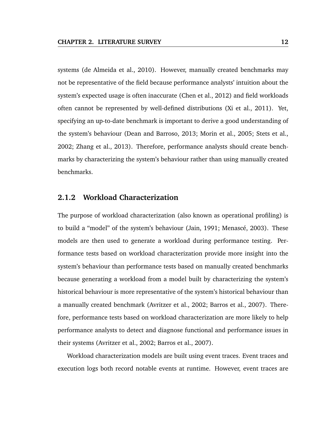systems (de Almeida et al., 2010). However, manually created benchmarks may not be representative of the field because performance analysts' intuition about the system's expected usage is often inaccurate (Chen et al., 2012) and field workloads often cannot be represented by well-defined distributions (Xi et al., 2011). Yet, specifying an up-to-date benchmark is important to derive a good understanding of the system's behaviour (Dean and Barroso, 2013; Morin et al., 2005; Stets et al., 2002; Zhang et al., 2013). Therefore, performance analysts should create benchmarks by characterizing the system's behaviour rather than using manually created benchmarks.

#### **2.1.2 Workload Characterization**

The purpose of workload characterization (also known as operational profiling) is to build a "model" of the system's behaviour (Jain, 1991; Menascé, 2003). These models are then used to generate a workload during performance testing. Performance tests based on workload characterization provide more insight into the system's behaviour than performance tests based on manually created benchmarks because generating a workload from a model built by characterizing the system's historical behaviour is more representative of the system's historical behaviour than a manually created benchmark (Avritzer et al., 2002; Barros et al., 2007). Therefore, performance tests based on workload characterization are more likely to help performance analysts to detect and diagnose functional and performance issues in their systems (Avritzer et al., 2002; Barros et al., 2007).

Workload characterization models are built using event traces. Event traces and execution logs both record notable events at runtime. However, event traces are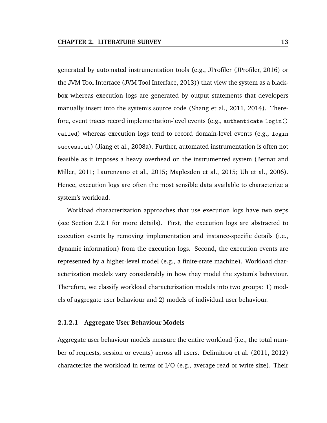generated by automated instrumentation tools (e.g., JProfiler (JProfiler, 2016) or the JVM Tool Interface (JVM Tool Interface, 2013)) that view the system as a blackbox whereas execution logs are generated by output statements that developers manually insert into the system's source code (Shang et al., 2011, 2014). Therefore, event traces record implementation-level events (e.g., authenticate login() called) whereas execution logs tend to record domain-level events (e.g., login successful) (Jiang et al., 2008a). Further, automated instrumentation is often not feasible as it imposes a heavy overhead on the instrumented system (Bernat and Miller, 2011; Laurenzano et al., 2015; Maplesden et al., 2015; Uh et al., 2006). Hence, execution logs are often the most sensible data available to characterize a system's workload.

Workload characterization approaches that use execution logs have two steps (see Section 2.2.1 for more details). First, the execution logs are abstracted to execution events by removing implementation and instance-specific details (i.e., dynamic information) from the execution logs. Second, the execution events are represented by a higher-level model (e.g., a finite-state machine). Workload characterization models vary considerably in how they model the system's behaviour. Therefore, we classify workload characterization models into two groups: 1) models of aggregate user behaviour and 2) models of individual user behaviour.

#### **2.1.2.1 Aggregate User Behaviour Models**

Aggregate user behaviour models measure the entire workload (i.e., the total number of requests, session or events) across all users. Delimitrou et al. (2011, 2012) characterize the workload in terms of I/O (e.g., average read or write size). Their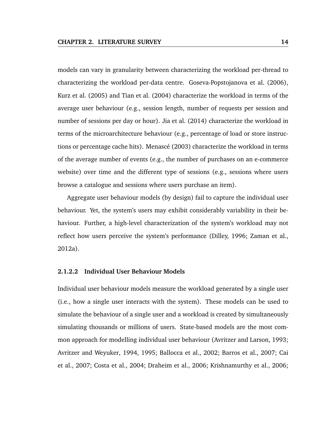models can vary in granularity between characterizing the workload per-thread to characterizing the workload per-data centre. Goseva-Popstojanova et al. (2006), Kurz et al. (2005) and Tian et al. (2004) characterize the workload in terms of the average user behaviour (e.g., session length, number of requests per session and number of sessions per day or hour). Jia et al. (2014) characterize the workload in terms of the microarchitecture behaviour (e.g., percentage of load or store instructions or percentage cache hits). Menascé (2003) characterize the workload in terms of the average number of events (e.g., the number of purchases on an e-commerce website) over time and the different type of sessions (e.g., sessions where users browse a catalogue and sessions where users purchase an item).

Aggregate user behaviour models (by design) fail to capture the individual user behaviour. Yet, the system's users may exhibit considerably variability in their behaviour. Further, a high-level characterization of the system's workload may not reflect how users perceive the system's performance (Dilley, 1996; Zaman et al., 2012a).

#### **2.1.2.2 Individual User Behaviour Models**

Individual user behaviour models measure the workload generated by a single user (i.e., how a single user interacts with the system). These models can be used to simulate the behaviour of a single user and a workload is created by simultaneously simulating thousands or millions of users. State-based models are the most common approach for modelling individual user behaviour (Avritzer and Larson, 1993; Avritzer and Weyuker, 1994, 1995; Ballocca et al., 2002; Barros et al., 2007; Cai et al., 2007; Costa et al., 2004; Draheim et al., 2006; Krishnamurthy et al., 2006;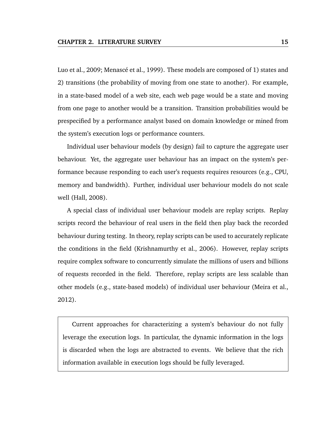Luo et al., 2009; Menascé et al., 1999). These models are composed of 1) states and 2) transitions (the probability of moving from one state to another). For example, in a state-based model of a web site, each web page would be a state and moving from one page to another would be a transition. Transition probabilities would be prespecified by a performance analyst based on domain knowledge or mined from the system's execution logs or performance counters.

Individual user behaviour models (by design) fail to capture the aggregate user behaviour. Yet, the aggregate user behaviour has an impact on the system's performance because responding to each user's requests requires resources (e.g., CPU, memory and bandwidth). Further, individual user behaviour models do not scale well (Hall, 2008).

A special class of individual user behaviour models are replay scripts. Replay scripts record the behaviour of real users in the field then play back the recorded behaviour during testing. In theory, replay scripts can be used to accurately replicate the conditions in the field (Krishnamurthy et al., 2006). However, replay scripts require complex software to concurrently simulate the millions of users and billions of requests recorded in the field. Therefore, replay scripts are less scalable than other models (e.g., state-based models) of individual user behaviour (Meira et al., 2012).

Current approaches for characterizing a system's behaviour do not fully leverage the execution logs. In particular, the dynamic information in the logs is discarded when the logs are abstracted to events. We believe that the rich information available in execution logs should be fully leveraged.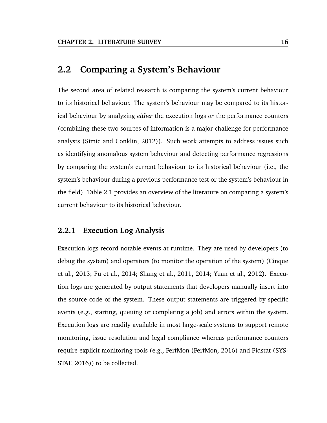#### **2.2 Comparing a System's Behaviour**

The second area of related research is comparing the system's current behaviour to its historical behaviour. The system's behaviour may be compared to its historical behaviour by analyzing *either* the execution logs *or* the performance counters (combining these two sources of information is a major challenge for performance analysts (Simic and Conklin, 2012)). Such work attempts to address issues such as identifying anomalous system behaviour and detecting performance regressions by comparing the system's current behaviour to its historical behaviour (i.e., the system's behaviour during a previous performance test or the system's behaviour in the field). Table 2.1 provides an overview of the literature on comparing a system's current behaviour to its historical behaviour.

#### **2.2.1 Execution Log Analysis**

Execution logs record notable events at runtime. They are used by developers (to debug the system) and operators (to monitor the operation of the system) (Cinque et al., 2013; Fu et al., 2014; Shang et al., 2011, 2014; Yuan et al., 2012). Execution logs are generated by output statements that developers manually insert into the source code of the system. These output statements are triggered by specific events (e.g., starting, queuing or completing a job) and errors within the system. Execution logs are readily available in most large-scale systems to support remote monitoring, issue resolution and legal compliance whereas performance counters require explicit monitoring tools (e.g., PerfMon (PerfMon, 2016) and Pidstat (SYS-STAT, 2016)) to be collected.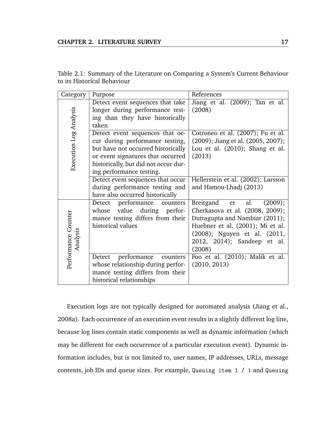| Table 2.1: Summary of the Literature on Comparing a System's Current Behaviour |  |  |  |  |
|--------------------------------------------------------------------------------|--|--|--|--|
| to its Historical Behaviour                                                    |  |  |  |  |

| Category                        | Purpose                                                                                                                                                                                                           | References                                                                                                                                                                                                       |
|---------------------------------|-------------------------------------------------------------------------------------------------------------------------------------------------------------------------------------------------------------------|------------------------------------------------------------------------------------------------------------------------------------------------------------------------------------------------------------------|
|                                 | Detect event sequences that take<br>longer during performance test-<br>ing than they have historically<br>taken                                                                                                   | Jiang et al. (2009); Tan et al.<br>(2008)                                                                                                                                                                        |
| Execution Log Analysis          | Detect event sequences that oc-<br>cur during performance testing,<br>but have not occurred historically<br>or event signatures that occurred<br>historically, but did not occur dur-<br>ing performance testing. | Cotroneo et al. (2007); Fu et al.<br>(2009); Jiang et al. (2005, 2007);<br>Lou et al. (2010); Shang et al.<br>(2013)                                                                                             |
|                                 | Detect event sequences that occur<br>during performance testing and<br>have also occurred historically                                                                                                            | Hellerstein et al. (2002); Larsson<br>and Hamou-Lhadj (2013)                                                                                                                                                     |
| Performance Counter<br>Analysis | Detect performance<br>counters<br>during perfor-<br>value<br>whose<br>mance testing differs from their<br>historical values                                                                                       | Breitgand et<br>(2009);<br>al.<br>Cherkasova et al. (2008, 2009);<br>Duttagupta and Nambiar (2011);<br>Huebner et al. (2001); Mi et al.<br>(2008); Nguyen et al. (2011,<br>2012, 2014); Sandeep et al.<br>(2008) |
|                                 | performance<br>Detect<br>counters<br>whose relationship during perfor-<br>mance testing differs from their<br>historical relationships                                                                            | Foo et al. (2010); Malik et al.<br>(2010, 2013)                                                                                                                                                                  |

Execution logs are not typically designed for automated analysis (Jiang et al., 2008a). Each occurrence of an execution event results in a slightly different log line, because log lines contain static components as well as dynamic information (which may be different for each occurrence of a particular execution event). Dynamic information includes, but is not limited to, user names, IP addresses, URLs, message contents, job IDs and queue sizes. For example, Queuing item 1 / 1 and Queuing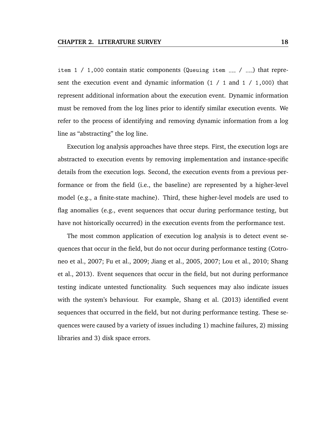item 1 / 1,000 contain static components (Queuing item  $I_{-1}$  /  $I_{-1}$ ) that represent the execution event and dynamic information  $(1 / 1$  and  $1 / 1,000)$  that represent additional information about the execution event. Dynamic information must be removed from the log lines prior to identify similar execution events. We refer to the process of identifying and removing dynamic information from a log line as "abstracting" the log line.

Execution log analysis approaches have three steps. First, the execution logs are abstracted to execution events by removing implementation and instance-specific details from the execution logs. Second, the execution events from a previous performance or from the field (i.e., the baseline) are represented by a higher-level model (e.g., a finite-state machine). Third, these higher-level models are used to flag anomalies (e.g., event sequences that occur during performance testing, but have not historically occurred) in the execution events from the performance test.

The most common application of execution log analysis is to detect event sequences that occur in the field, but do not occur during performance testing (Cotroneo et al., 2007; Fu et al., 2009; Jiang et al., 2005, 2007; Lou et al., 2010; Shang et al., 2013). Event sequences that occur in the field, but not during performance testing indicate untested functionality. Such sequences may also indicate issues with the system's behaviour. For example, Shang et al. (2013) identified event sequences that occurred in the field, but not during performance testing. These sequences were caused by a variety of issues including 1) machine failures, 2) missing libraries and 3) disk space errors.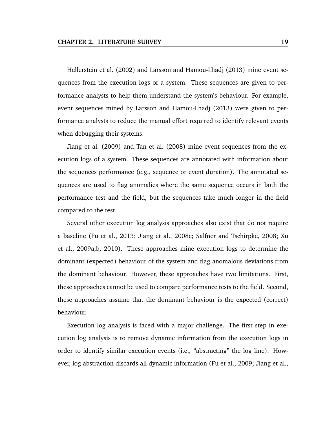Hellerstein et al. (2002) and Larsson and Hamou-Lhadj (2013) mine event sequences from the execution logs of a system. These sequences are given to performance analysts to help them understand the system's behaviour. For example, event sequences mined by Larsson and Hamou-Lhadj (2013) were given to performance analysts to reduce the manual effort required to identify relevant events when debugging their systems.

Jiang et al. (2009) and Tan et al. (2008) mine event sequences from the execution logs of a system. These sequences are annotated with information about the sequences performance (e.g., sequence or event duration). The annotated sequences are used to flag anomalies where the same sequence occurs in both the performance test and the field, but the sequences take much longer in the field compared to the test.

Several other execution log analysis approaches also exist that do not require a baseline (Fu et al., 2013; Jiang et al., 2008c; Salfner and Tschirpke, 2008; Xu et al., 2009a,b, 2010). These approaches mine execution logs to determine the dominant (expected) behaviour of the system and flag anomalous deviations from the dominant behaviour. However, these approaches have two limitations. First, these approaches cannot be used to compare performance tests to the field. Second, these approaches assume that the dominant behaviour is the expected (correct) behaviour.

Execution log analysis is faced with a major challenge. The first step in execution log analysis is to remove dynamic information from the execution logs in order to identify similar execution events (i.e., "abstracting" the log line). However, log abstraction discards all dynamic information (Fu et al., 2009; Jiang et al.,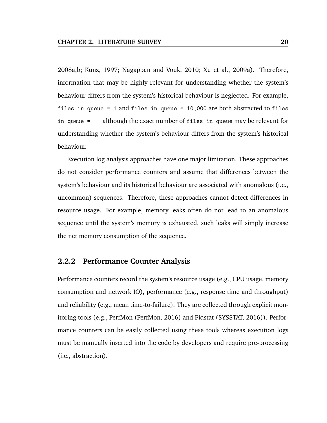2008a,b; Kunz, 1997; Nagappan and Vouk, 2010; Xu et al., 2009a). Therefore, information that may be highly relevant for understanding whether the system's behaviour differs from the system's historical behaviour is neglected. For example, files in queue = 1 and files in queue = 10,000 are both abstracted to files in queue  $=$   $\ldots$  although the exact number of files in queue may be relevant for understanding whether the system's behaviour differs from the system's historical behaviour.

Execution log analysis approaches have one major limitation. These approaches do not consider performance counters and assume that differences between the system's behaviour and its historical behaviour are associated with anomalous (i.e., uncommon) sequences. Therefore, these approaches cannot detect differences in resource usage. For example, memory leaks often do not lead to an anomalous sequence until the system's memory is exhausted, such leaks will simply increase the net memory consumption of the sequence.

#### **2.2.2 Performance Counter Analysis**

Performance counters record the system's resource usage (e.g., CPU usage, memory consumption and network IO), performance (e.g., response time and throughput) and reliability (e.g., mean time-to-failure). They are collected through explicit monitoring tools (e.g., PerfMon (PerfMon, 2016) and Pidstat (SYSSTAT, 2016)). Performance counters can be easily collected using these tools whereas execution logs must be manually inserted into the code by developers and require pre-processing (i.e., abstraction).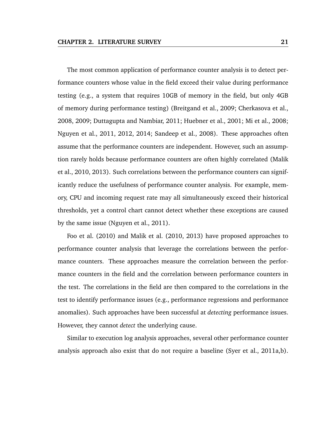The most common application of performance counter analysis is to detect performance counters whose value in the field exceed their value during performance testing (e.g., a system that requires 10GB of memory in the field, but only 4GB of memory during performance testing) (Breitgand et al., 2009; Cherkasova et al., 2008, 2009; Duttagupta and Nambiar, 2011; Huebner et al., 2001; Mi et al., 2008; Nguyen et al., 2011, 2012, 2014; Sandeep et al., 2008). These approaches often assume that the performance counters are independent. However, such an assumption rarely holds because performance counters are often highly correlated (Malik et al., 2010, 2013). Such correlations between the performance counters can significantly reduce the usefulness of performance counter analysis. For example, memory, CPU and incoming request rate may all simultaneously exceed their historical thresholds, yet a control chart cannot detect whether these exceptions are caused by the same issue (Nguyen et al., 2011).

Foo et al. (2010) and Malik et al. (2010, 2013) have proposed approaches to performance counter analysis that leverage the correlations between the performance counters. These approaches measure the correlation between the performance counters in the field and the correlation between performance counters in the test. The correlations in the field are then compared to the correlations in the test to identify performance issues (e.g., performance regressions and performance anomalies). Such approaches have been successful at *detecting* performance issues. However, they cannot *detect* the underlying cause.

Similar to execution log analysis approaches, several other performance counter analysis approach also exist that do not require a baseline (Syer et al., 2011a,b).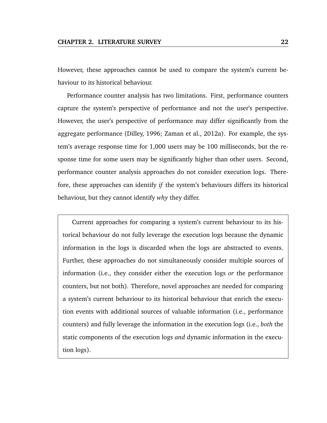However, these approaches cannot be used to compare the system's current behaviour to its historical behaviour.

Performance counter analysis has two limitations. First, performance counters capture the system's perspective of performance and not the user's perspective. However, the user's perspective of performance may differ significantly from the aggregate performance (Dilley, 1996; Zaman et al., 2012a). For example, the system's average response time for 1,000 users may be 100 milliseconds, but the response time for some users may be significantly higher than other users. Second, performance counter analysis approaches do not consider execution logs. Therefore, these approaches can identify *if* the system's behaviours differs its historical behaviour, but they cannot identify *why* they differ.

Current approaches for comparing a system's current behaviour to its historical behaviour do not fully leverage the execution logs because the dynamic information in the logs is discarded when the logs are abstracted to events. Further, these approaches do not simultaneously consider multiple sources of information (i.e., they consider either the execution logs *or* the performance counters, but not both). Therefore, novel approaches are needed for comparing a system's current behaviour to its historical behaviour that enrich the execution events with additional sources of valuable information (i.e., performance counters) and fully leverage the information in the execution logs (i.e., *both* the static components of the execution logs *and* dynamic information in the execution logs).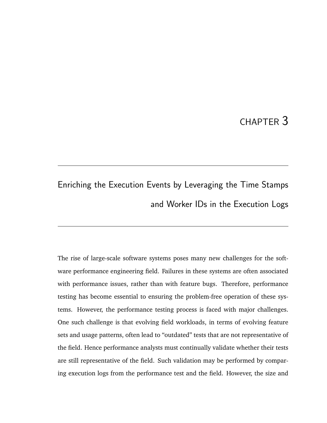# CHAPTER 3

# Enriching the Execution Events by Leveraging the Time Stamps and Worker IDs in the Execution Logs

The rise of large-scale software systems poses many new challenges for the software performance engineering field. Failures in these systems are often associated with performance issues, rather than with feature bugs. Therefore, performance testing has become essential to ensuring the problem-free operation of these systems. However, the performance testing process is faced with major challenges. One such challenge is that evolving field workloads, in terms of evolving feature sets and usage patterns, often lead to "outdated" tests that are not representative of the field. Hence performance analysts must continually validate whether their tests are still representative of the field. Such validation may be performed by comparing execution logs from the performance test and the field. However, the size and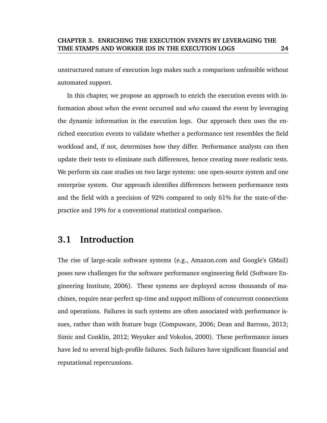unstructured nature of execution logs makes such a comparison unfeasible without automated support.

In this chapter, we propose an approach to enrich the execution events with information about *when* the event occurred and *who* caused the event by leveraging the dynamic information in the execution logs. Our approach then uses the enriched execution events to validate whether a performance test resembles the field workload and, if not, determines how they differ. Performance analysts can then update their tests to eliminate such differences, hence creating more realistic tests. We perform six case studies on two large systems: one open-source system and one enterprise system. Our approach identifies differences between performance tests and the field with a precision of 92% compared to only 61% for the state-of-thepractice and 19% for a conventional statistical comparison.

# **3.1 Introduction**

The rise of large-scale software systems (e.g., Amazon.com and Google's GMail) poses new challenges for the software performance engineering field (Software Engineering Institute, 2006). These systems are deployed across thousands of machines, require near-perfect up-time and support millions of concurrent connections and operations. Failures in such systems are often associated with performance issues, rather than with feature bugs (Compuware, 2006; Dean and Barroso, 2013; Simic and Conklin, 2012; Weyuker and Vokolos, 2000). These performance issues have led to several high-profile failures. Such failures have significant financial and reputational repercussions.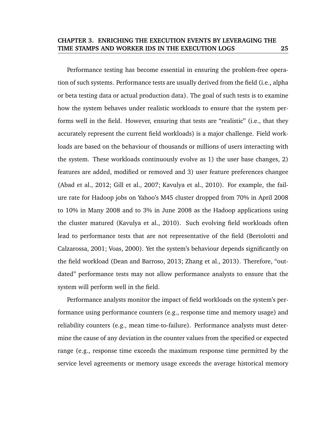Performance testing has become essential in ensuring the problem-free operation of such systems. Performance tests are usually derived from the field (i.e., alpha or beta testing data or actual production data). The goal of such tests is to examine how the system behaves under realistic workloads to ensure that the system performs well in the field. However, ensuring that tests are "realistic" (i.e., that they accurately represent the current field workloads) is a major challenge. Field workloads are based on the behaviour of thousands or millions of users interacting with the system. These workloads continuously evolve as 1) the user base changes, 2) features are added, modified or removed and 3) user feature preferences changee (Abad et al., 2012; Gill et al., 2007; Kavulya et al., 2010). For example, the failure rate for Hadoop jobs on Yahoo's M45 cluster dropped from 70% in April 2008 to 10% in Many 2008 and to 3% in June 2008 as the Hadoop applications using the cluster matured (Kavulya et al., 2010). Such evolving field workloads often lead to performance tests that are not representative of the field (Bertolotti and Calzarossa, 2001; Voas, 2000). Yet the system's behaviour depends significantly on the field workload (Dean and Barroso, 2013; Zhang et al., 2013). Therefore, "outdated" performance tests may not allow performance analysts to ensure that the system will perform well in the field.

Performance analysts monitor the impact of field workloads on the system's performance using performance counters (e.g., response time and memory usage) and reliability counters (e.g., mean time-to-failure). Performance analysts must determine the cause of any deviation in the counter values from the specified or expected range (e.g., response time exceeds the maximum response time permitted by the service level agreements or memory usage exceeds the average historical memory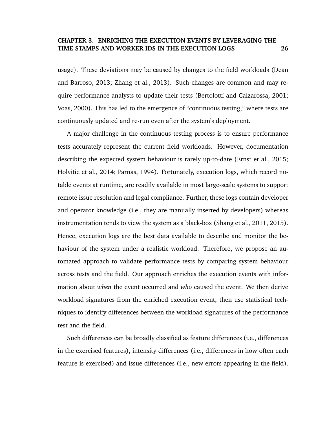usage). These deviations may be caused by changes to the field workloads (Dean and Barroso, 2013; Zhang et al., 2013). Such changes are common and may require performance analysts to update their tests (Bertolotti and Calzarossa, 2001; Voas, 2000). This has led to the emergence of "continuous testing," where tests are continuously updated and re-run even after the system's deployment.

A major challenge in the continuous testing process is to ensure performance tests accurately represent the current field workloads. However, documentation describing the expected system behaviour is rarely up-to-date (Ernst et al., 2015; Holvitie et al., 2014; Parnas, 1994). Fortunately, execution logs, which record notable events at runtime, are readily available in most large-scale systems to support remote issue resolution and legal compliance. Further, these logs contain developer and operator knowledge (i.e., they are manually inserted by developers) whereas instrumentation tends to view the system as a black-box (Shang et al., 2011, 2015). Hence, execution logs are the best data available to describe and monitor the behaviour of the system under a realistic workload. Therefore, we propose an automated approach to validate performance tests by comparing system behaviour across tests and the field. Our approach enriches the execution events with information about *when* the event occurred and *who* caused the event. We then derive workload signatures from the enriched execution event, then use statistical techniques to identify differences between the workload signatures of the performance test and the field.

Such differences can be broadly classified as feature differences (i.e., differences in the exercised features), intensity differences (i.e., differences in how often each feature is exercised) and issue differences (i.e., new errors appearing in the field).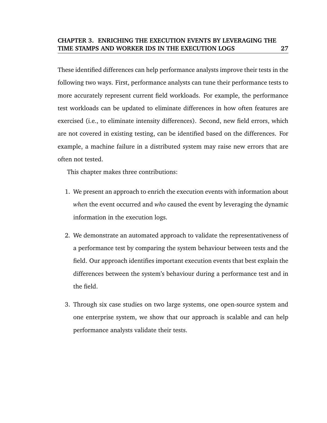These identified differences can help performance analysts improve their tests in the following two ways. First, performance analysts can tune their performance tests to more accurately represent current field workloads. For example, the performance test workloads can be updated to eliminate differences in how often features are exercised (i.e., to eliminate intensity differences). Second, new field errors, which are not covered in existing testing, can be identified based on the differences. For example, a machine failure in a distributed system may raise new errors that are often not tested.

This chapter makes three contributions:

- 1. We present an approach to enrich the execution events with information about *when* the event occurred and *who* caused the event by leveraging the dynamic information in the execution logs.
- 2. We demonstrate an automated approach to validate the representativeness of a performance test by comparing the system behaviour between tests and the field. Our approach identifies important execution events that best explain the differences between the system's behaviour during a performance test and in the field.
- 3. Through six case studies on two large systems, one open-source system and one enterprise system, we show that our approach is scalable and can help performance analysts validate their tests.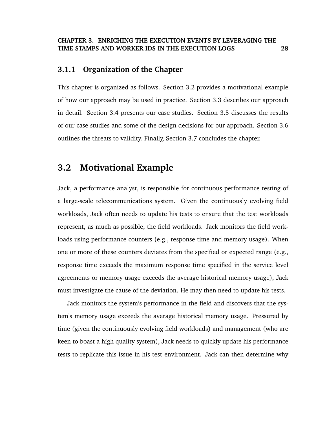### **3.1.1 Organization of the Chapter**

This chapter is organized as follows. Section 3.2 provides a motivational example of how our approach may be used in practice. Section 3.3 describes our approach in detail. Section 3.4 presents our case studies. Section 3.5 discusses the results of our case studies and some of the design decisions for our approach. Section 3.6 outlines the threats to validity. Finally, Section 3.7 concludes the chapter.

# **3.2 Motivational Example**

Jack, a performance analyst, is responsible for continuous performance testing of a large-scale telecommunications system. Given the continuously evolving field workloads, Jack often needs to update his tests to ensure that the test workloads represent, as much as possible, the field workloads. Jack monitors the field workloads using performance counters (e.g., response time and memory usage). When one or more of these counters deviates from the specified or expected range (e.g., response time exceeds the maximum response time specified in the service level agreements or memory usage exceeds the average historical memory usage), Jack must investigate the cause of the deviation. He may then need to update his tests.

Jack monitors the system's performance in the field and discovers that the system's memory usage exceeds the average historical memory usage. Pressured by time (given the continuously evolving field workloads) and management (who are keen to boast a high quality system), Jack needs to quickly update his performance tests to replicate this issue in his test environment. Jack can then determine why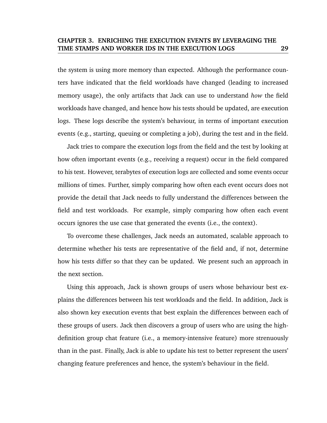the system is using more memory than expected. Although the performance counters have indicated that the field workloads have changed (leading to increased memory usage), the only artifacts that Jack can use to understand *how* the field workloads have changed, and hence how his tests should be updated, are execution logs. These logs describe the system's behaviour, in terms of important execution events (e.g., starting, queuing or completing a job), during the test and in the field.

Jack tries to compare the execution logs from the field and the test by looking at how often important events (e.g., receiving a request) occur in the field compared to his test. However, terabytes of execution logs are collected and some events occur millions of times. Further, simply comparing how often each event occurs does not provide the detail that Jack needs to fully understand the differences between the field and test workloads. For example, simply comparing how often each event occurs ignores the use case that generated the events (i.e., the context).

To overcome these challenges, Jack needs an automated, scalable approach to determine whether his tests are representative of the field and, if not, determine how his tests differ so that they can be updated. We present such an approach in the next section.

Using this approach, Jack is shown groups of users whose behaviour best explains the differences between his test workloads and the field. In addition, Jack is also shown key execution events that best explain the differences between each of these groups of users. Jack then discovers a group of users who are using the highdefinition group chat feature (i.e., a memory-intensive feature) more strenuously than in the past. Finally, Jack is able to update his test to better represent the users' changing feature preferences and hence, the system's behaviour in the field.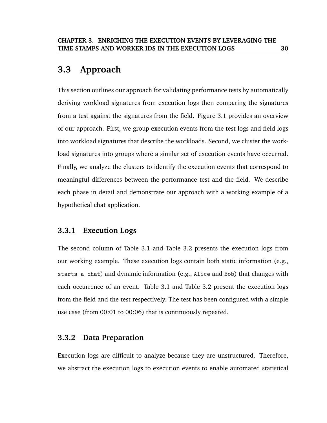# **3.3 Approach**

This section outlines our approach for validating performance tests by automatically deriving workload signatures from execution logs then comparing the signatures from a test against the signatures from the field. Figure 3.1 provides an overview of our approach. First, we group execution events from the test logs and field logs into workload signatures that describe the workloads. Second, we cluster the workload signatures into groups where a similar set of execution events have occurred. Finally, we analyze the clusters to identify the execution events that correspond to meaningful differences between the performance test and the field. We describe each phase in detail and demonstrate our approach with a working example of a hypothetical chat application.

# **3.3.1 Execution Logs**

The second column of Table 3.1 and Table 3.2 presents the execution logs from our working example. These execution logs contain both static information (e.g., starts a chat) and dynamic information (e.g., Alice and Bob) that changes with each occurrence of an event. Table 3.1 and Table 3.2 present the execution logs from the field and the test respectively. The test has been configured with a simple use case (from 00:01 to 00:06) that is continuously repeated.

# **3.3.2 Data Preparation**

Execution logs are difficult to analyze because they are unstructured. Therefore, we abstract the execution logs to execution events to enable automated statistical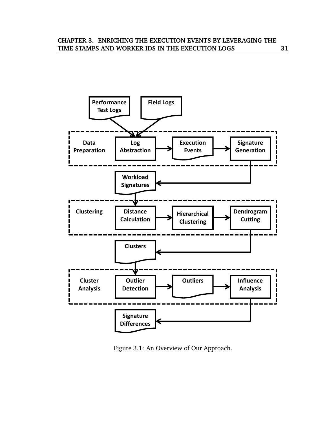

Figure 3.1: An Overview of Our Approach.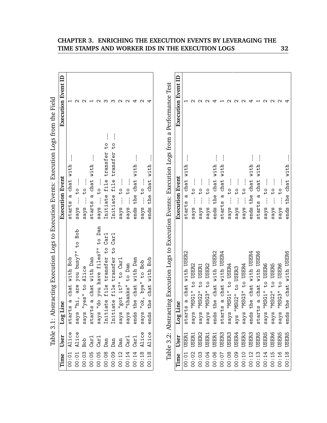| Time  | User                        | ine<br>Log Li                                                          | Execution Event                                                                                           | <b>Execution Event ID</b> |
|-------|-----------------------------|------------------------------------------------------------------------|-----------------------------------------------------------------------------------------------------------|---------------------------|
| 00:01 | Alice                       | chat with Bob<br>ದ<br>ದ<br>start                                       | with<br>$char$<br>٢Q<br>starts                                                                            |                           |
| 00:01 | Alice                       | Bob<br>$\frac{0}{4}$<br>busy?"<br>you<br>are<br>"hi,<br>sq             | $\frac{0}{1}$<br>$s$ ays                                                                                  |                           |
| 00:03 | <b>dog</b>                  | Alice<br>"yes" to<br>says                                              | $\frac{0}{1}$<br>says                                                                                     | $\scriptstyle\sim$        |
| 00:05 | Car <sub>1</sub>            | a chat with Dan<br>$\omega$<br>start:                                  | with<br>chat<br>ო<br>starts                                                                               |                           |
| 00:05 | $\frac{1}{\sqrt{2}}$        | to Dan<br>files?"<br>have<br>you<br>$\frac{1}{2}$<br>says              | $\overline{t}$<br>sq                                                                                      |                           |
| 00:08 | Dan                         | Car <sub>1</sub><br>$\overline{t}$<br>transfer<br>file<br>ate<br>Initi | $\overline{t}$<br>transfer<br>file<br>Initiate                                                            |                           |
| 00:09 | Dan                         | Car <sub>1</sub><br>$\overline{c}$<br>transfer<br>file<br>ate<br>Initi | $\overline{t}$<br>transfer<br>file<br>Initiate                                                            | ო                         |
| 00:12 | Dan                         | Carl<br>"got it?" to<br>says                                           | $\frac{0}{4}$<br>sq                                                                                       |                           |
| 00:14 | Car <sub>1</sub>            | to Dan<br>"thanks"<br>says                                             | $\frac{0}{1}$<br>says                                                                                     | $\scriptstyle\sim$        |
| 00:14 | Car <sub>1</sub>            | the chat with Dan<br>ends                                              | with<br>$char$<br>the<br>ends                                                                             |                           |
| 00:18 | Alice                       | Bob<br>bye" to<br>"ok,<br>says                                         | $\frac{0}{1}$<br>says                                                                                     | c                         |
| 00:18 | Alice                       | Bob<br>with<br>$chat$<br>the<br>ends                                   | with<br>chat<br>the<br>ends                                                                               |                           |
| Time  | Table 3.2: Abstract<br>User | ine<br>انا Log                                                         | ting Execution Logs to Execution Events: Execution Logs from a Performance Test<br><b>Execution Event</b> | <b>Execution Event ID</b> |
| 00:01 | USER:                       | with USER2<br>$\theta$<br>$\sigma$<br>$\omega$<br>start                | with<br>chat<br>ದ<br>starts                                                                               |                           |
| 00:02 | USER1                       | to USER2<br>"MSG1"                                                     | $\frac{0}{2}$                                                                                             | ᠭ                         |
|       |                             | says                                                                   | sq                                                                                                        |                           |
| 00:03 | USER <sub>2</sub>           | to USER1<br>"MSG2"<br>says                                             | $\overline{t}$<br>says                                                                                    | N                         |
| 00:04 | USER1                       | to USER2<br>"MSG3"<br>says                                             | $\overline{t}$<br>says                                                                                    | $\sim$                    |
| 00:06 | USER1                       | chat with USER2<br>the<br>ends                                         | with<br>chat<br>the<br>ends                                                                               |                           |
| 00:07 | USER <sub>3</sub>           | chat with USER4<br>ದ<br>ಐ<br>start                                     | with<br>chat<br>d<br>starts                                                                               |                           |
| 00:08 | USER <sub>3</sub>           | "MSG1" to USER4<br>sq                                                  | $\frac{0}{1}$<br>says                                                                                     |                           |
| 00:09 | USER4                       | MSG2" to USER3<br>l" ays                                               | $\frac{0}{4}$<br>says                                                                                     |                           |
| 00:10 | USER3                       | "MSG3" to USER4<br>sq                                                  | $\frac{0}{1}$<br>says                                                                                     |                           |
| 00:12 | USER <sub>3</sub>           | the chat with USER4<br>ends                                            | with<br>$char$<br>the<br>ends                                                                             |                           |
| 00:13 | <b>USER5</b>                | with USER6<br>$char$<br>ದ<br>ಐ<br>start                                | with<br>$char$<br>$\sigma$<br>starts                                                                      |                           |
| 00:14 | <b>USER5</b>                | to USER6<br>"MSG1"<br>says                                             | $\frac{0}{1}$<br>says                                                                                     | $\scriptstyle\sim$        |
| 00:15 | USER6                       | to USER5<br>"NSG2"<br>says                                             | $\frac{0}{1}$<br>$s$ ays                                                                                  | $\mathbf{\Omega}$         |
| 00:16 | <b>USER5</b>                | USER6<br>$\overline{t}$ o<br>"MSG3"<br>says                            | $\frac{1}{2}$<br>says                                                                                     |                           |
| 00:18 | <b>USER5</b>                | the chat with USER6<br>ends                                            | with<br>chat<br>the<br>ends                                                                               |                           |

Table 3.1: Abstracting Execution Logs to Execution Events: Execution Logs from the Field Table 3.1: Abstracting Execution Logs to Execution Events: Execution Logs from the Field

00:18 USER5 ends the chat with USER6 ends the chat with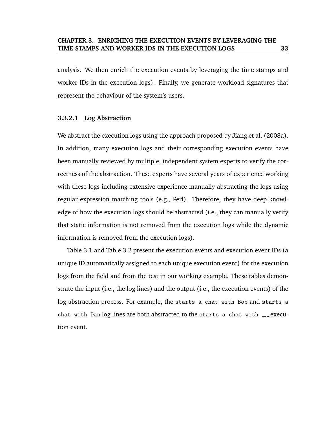analysis. We then enrich the execution events by leveraging the time stamps and worker IDs in the execution logs). Finally, we generate workload signatures that represent the behaviour of the system's users.

### **3.3.2.1 Log Abstraction**

We abstract the execution logs using the approach proposed by Jiang et al. (2008a). In addition, many execution logs and their corresponding execution events have been manually reviewed by multiple, independent system experts to verify the correctness of the abstraction. These experts have several years of experience working with these logs including extensive experience manually abstracting the logs using regular expression matching tools (e.g., Perl). Therefore, they have deep knowledge of how the execution logs should be abstracted (i.e., they can manually verify that static information is not removed from the execution logs while the dynamic information is removed from the execution logs).

Table 3.1 and Table 3.2 present the execution events and execution event IDs (a unique ID automatically assigned to each unique execution event) for the execution logs from the field and from the test in our working example. These tables demonstrate the input (i.e., the log lines) and the output (i.e., the execution events) of the log abstraction process. For example, the starts a chat with Bob and starts a chat with Dan log lines are both abstracted to the starts a chat with \_\_\_ execution event.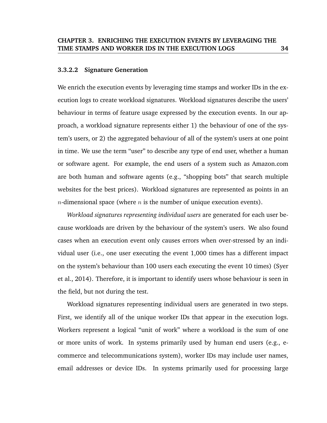### **3.3.2.2 Signature Generation**

We enrich the execution events by leveraging time stamps and worker IDs in the execution logs to create workload signatures. Workload signatures describe the users' behaviour in terms of feature usage expressed by the execution events. In our approach, a workload signature represents either 1) the behaviour of one of the system's users, or 2) the aggregated behaviour of all of the system's users at one point in time. We use the term "user" to describe any type of end user, whether a human or software agent. For example, the end users of a system such as Amazon.com are both human and software agents (e.g., "shopping bots" that search multiple websites for the best prices). Workload signatures are represented as points in an *n*-dimensional space (where *n* is the number of unique execution events).

*Workload signatures representing individual users* are generated for each user because workloads are driven by the behaviour of the system's users. We also found cases when an execution event only causes errors when over-stressed by an individual user (i.e., one user executing the event 1,000 times has a different impact on the system's behaviour than 100 users each executing the event 10 times) (Syer et al., 2014). Therefore, it is important to identify users whose behaviour is seen in the field, but not during the test.

Workload signatures representing individual users are generated in two steps. First, we identify all of the unique worker IDs that appear in the execution logs. Workers represent a logical "unit of work" where a workload is the sum of one or more units of work. In systems primarily used by human end users (e.g., ecommerce and telecommunications system), worker IDs may include user names, email addresses or device IDs. In systems primarily used for processing large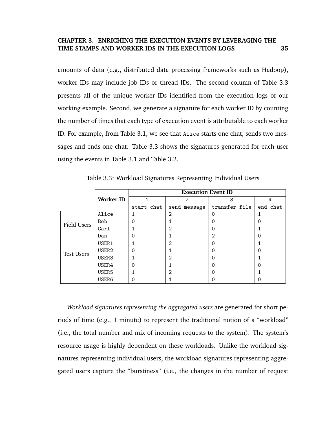amounts of data (e.g., distributed data processing frameworks such as Hadoop), worker IDs may include job IDs or thread IDs. The second column of Table 3.3 presents all of the unique worker IDs identified from the execution logs of our working example. Second, we generate a signature for each worker ID by counting the number of times that each type of execution event is attributable to each worker ID. For example, from Table 3.1, we see that Alice starts one chat, sends two messages and ends one chat. Table 3.3 shows the signatures generated for each user using the events in Table 3.1 and Table 3.2.

|                   |                   |            | <b>Execution Event ID</b> |               |          |
|-------------------|-------------------|------------|---------------------------|---------------|----------|
|                   | <b>Worker ID</b>  |            | 2                         | 3             | 4        |
|                   |                   | start chat | send message              | transfer file | end chat |
|                   | Alice             |            | 2                         | ∩             |          |
| Field Users       | <b>Bob</b>        | 0          |                           |               | 0        |
|                   | Carl              |            | $\overline{2}$            |               |          |
|                   | Dan               | Ω          |                           | 2             | 0        |
|                   | USER1             |            | 2                         |               |          |
| <b>Test Users</b> | USER <sub>2</sub> | 0          |                           |               | 0        |
|                   | USER3             |            | $\overline{2}$            |               |          |
|                   | USER4             |            |                           |               | ი        |
|                   | USER <sub>5</sub> |            | $\overline{2}$            |               |          |
|                   | USER6             |            |                           |               |          |

Table 3.3: Workload Signatures Representing Individual Users

*Workload signatures representing the aggregated users* are generated for short periods of time (e.g., 1 minute) to represent the traditional notion of a "workload" (i.e., the total number and mix of incoming requests to the system). The system's resource usage is highly dependent on these workloads. Unlike the workload signatures representing individual users, the workload signatures representing aggregated users capture the "burstiness" (i.e., the changes in the number of request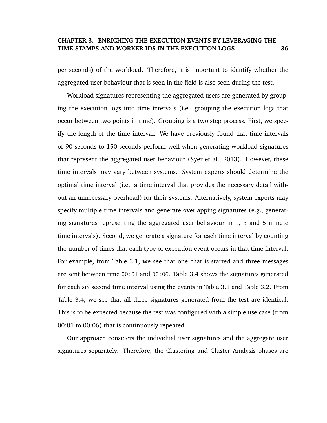per seconds) of the workload. Therefore, it is important to identify whether the aggregated user behaviour that is seen in the field is also seen during the test.

Workload signatures representing the aggregated users are generated by grouping the execution logs into time intervals (i.e., grouping the execution logs that occur between two points in time). Grouping is a two step process. First, we specify the length of the time interval. We have previously found that time intervals of 90 seconds to 150 seconds perform well when generating workload signatures that represent the aggregated user behaviour (Syer et al., 2013). However, these time intervals may vary between systems. System experts should determine the optimal time interval (i.e., a time interval that provides the necessary detail without an unnecessary overhead) for their systems. Alternatively, system experts may specify multiple time intervals and generate overlapping signatures (e.g., generating signatures representing the aggregated user behaviour in 1, 3 and 5 minute time intervals). Second, we generate a signature for each time interval by counting the number of times that each type of execution event occurs in that time interval. For example, from Table 3.1, we see that one chat is started and three messages are sent between time 00:01 and 00:06. Table 3.4 shows the signatures generated for each six second time interval using the events in Table 3.1 and Table 3.2. From Table 3.4, we see that all three signatures generated from the test are identical. This is to be expected because the test was configured with a simple use case (from 00:01 to 00:06) that is continuously repeated.

Our approach considers the individual user signatures and the aggregate user signatures separately. Therefore, the Clustering and Cluster Analysis phases are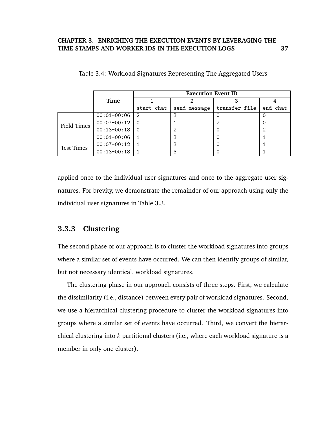|                   |                 |               | <b>Execution Event ID</b> |               |          |  |
|-------------------|-----------------|---------------|---------------------------|---------------|----------|--|
|                   | Time            |               |                           |               |          |  |
|                   |                 | start chat    | send message              | transfer file | end chat |  |
|                   | $00:01-00:06$   | $\mathcal{D}$ | 3                         |               | 0        |  |
| Field Times       | $00:07-00:12$   | - 0           |                           | 2             | 0        |  |
|                   | $00:13 - 00:18$ | $\Omega$      | っ                         |               | 2        |  |
|                   | $00:01 - 00:06$ |               | 3                         |               |          |  |
| <b>Test Times</b> | $00:07-00:12$   |               | 3                         |               |          |  |
|                   | $00:13 - 00:18$ |               |                           |               |          |  |

|  | Table 3.4: Workload Signatures Representing The Aggregated Users |  |  |
|--|------------------------------------------------------------------|--|--|
|  |                                                                  |  |  |

applied once to the individual user signatures and once to the aggregate user signatures. For brevity, we demonstrate the remainder of our approach using only the individual user signatures in Table 3.3.

### **3.3.3 Clustering**

The second phase of our approach is to cluster the workload signatures into groups where a similar set of events have occurred. We can then identify groups of similar, but not necessary identical, workload signatures.

The clustering phase in our approach consists of three steps. First, we calculate the dissimilarity (i.e., distance) between every pair of workload signatures. Second, we use a hierarchical clustering procedure to cluster the workload signatures into groups where a similar set of events have occurred. Third, we convert the hierarchical clustering into  $k$  partitional clusters (i.e., where each workload signature is a member in only one cluster).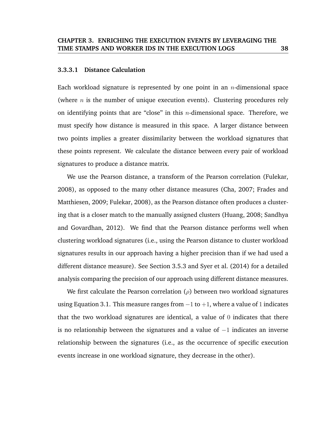### **3.3.3.1 Distance Calculation**

Each workload signature is represented by one point in an  $n$ -dimensional space (where  $n$  is the number of unique execution events). Clustering procedures rely on identifying points that are "close" in this  $n$ -dimensional space. Therefore, we must specify how distance is measured in this space. A larger distance between two points implies a greater dissimilarity between the workload signatures that these points represent. We calculate the distance between every pair of workload signatures to produce a distance matrix.

We use the Pearson distance, a transform of the Pearson correlation (Fulekar, 2008), as opposed to the many other distance measures (Cha, 2007; Frades and Matthiesen, 2009; Fulekar, 2008), as the Pearson distance often produces a clustering that is a closer match to the manually assigned clusters (Huang, 2008; Sandhya and Govardhan, 2012). We find that the Pearson distance performs well when clustering workload signatures (i.e., using the Pearson distance to cluster workload signatures results in our approach having a higher precision than if we had used a different distance measure). See Section 3.5.3 and Syer et al. (2014) for a detailed analysis comparing the precision of our approach using different distance measures.

We first calculate the Pearson correlation ( $\rho$ ) between two workload signatures using Equation 3.1. This measure ranges from  $-1$  to  $+1$ , where a value of 1 indicates that the two workload signatures are identical, a value of  $0$  indicates that there is no relationship between the signatures and a value of  $-1$  indicates an inverse relationship between the signatures (i.e., as the occurrence of specific execution events increase in one workload signature, they decrease in the other).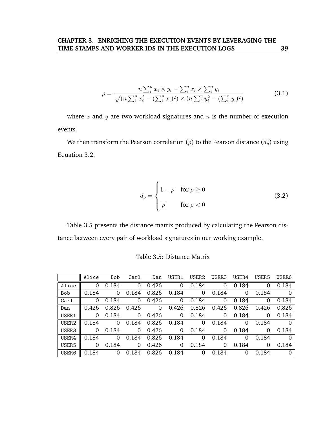$$
\rho = \frac{n \sum_{i}^{n} x_{i} \times y_{i} - \sum_{i}^{n} x_{i} \times \sum_{i}^{n} y_{i}}{\sqrt{(n \sum_{i}^{n} x_{i}^{2} - (\sum_{i}^{n} x_{i})^{2}) \times (n \sum_{i}^{n} y_{i}^{2} - (\sum_{i}^{n} y_{i})^{2})}}
$$
(3.1)

where  $x$  and  $y$  are two workload signatures and  $n$  is the number of execution events.

We then transform the Pearson correlation ( $\rho$ ) to the Pearson distance ( $d_{\rho}$ ) using Equation 3.2.

$$
d_{\rho} = \begin{cases} 1 - \rho & \text{for } \rho \ge 0 \\ |\rho| & \text{for } \rho < 0 \end{cases}
$$
 (3.2)

Table 3.5 presents the distance matrix produced by calculating the Pearson distance between every pair of workload signatures in our working example.

|                   | Alice    | <b>Bob</b> | Carl     | Dan         | USER1 | USER2    | USER3    | USER4 | USER <sub>5</sub> | USER6          |
|-------------------|----------|------------|----------|-------------|-------|----------|----------|-------|-------------------|----------------|
| Alice             | $\Omega$ | 0.184      | $\Omega$ | 0.426       | 0     | 0.184    | 0        | 0.184 | 0                 | 0.184          |
| <b>Bob</b>        | 0.184    | 0          | 0.184    | 0.826       | 0.184 | $\Omega$ | 0.184    | 0     | 0.184             | $\overline{0}$ |
| Carl              | $\Omega$ | 0.184      | $\Omega$ | 0.426       | 0     | 0.184    | $\Omega$ | 0.184 | $\Omega$          | 0.184          |
| Dan               | 0.426    | 0.826      | 0.426    | $\mathbf 0$ | 0.426 | 0.826    | 0.426    | 0.826 | 0.426             | 0.826          |
| USER1             | $\Omega$ | 0.184      | $\Omega$ | 0.426       | 0     | 0.184    | 0        | 0.184 | 0                 | 0.184          |
| USER <sub>2</sub> | 0.184    | 0          | 0.184    | 0.826       | 0.184 | 0        | 0.184    | 0     | 0.184             | $\Omega$       |
| USER3             | $\Omega$ | 0.184      | $\Omega$ | 0.426       | 0     | 0.184    | 0        | 0.184 | $\Omega$          | 0.184          |
| USER4             | 0.184    | $\Omega$   | 0.184    | 0.826       | 0.184 | 0        | 0.184    | 0     | 0.184             | $\Omega$       |
| USER <sub>5</sub> | $\Omega$ | 0.184      | $\Omega$ | 0.426       | 0     | 0.184    | 0        | 0.184 | 0                 | 0.184          |
| USER6             | 0.184    | $\Omega$   | 0.184    | 0.826       | 0.184 | 0        | 0.184    | 0     | 0.184             | $\Omega$       |

Table 3.5: Distance Matrix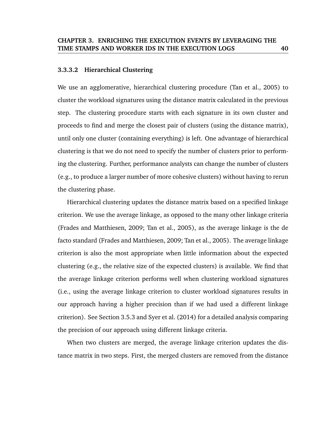### **3.3.3.2 Hierarchical Clustering**

We use an agglomerative, hierarchical clustering procedure (Tan et al., 2005) to cluster the workload signatures using the distance matrix calculated in the previous step. The clustering procedure starts with each signature in its own cluster and proceeds to find and merge the closest pair of clusters (using the distance matrix), until only one cluster (containing everything) is left. One advantage of hierarchical clustering is that we do not need to specify the number of clusters prior to performing the clustering. Further, performance analysts can change the number of clusters (e.g., to produce a larger number of more cohesive clusters) without having to rerun the clustering phase.

Hierarchical clustering updates the distance matrix based on a specified linkage criterion. We use the average linkage, as opposed to the many other linkage criteria (Frades and Matthiesen, 2009; Tan et al., 2005), as the average linkage is the de facto standard (Frades and Matthiesen, 2009; Tan et al., 2005). The average linkage criterion is also the most appropriate when little information about the expected clustering (e.g., the relative size of the expected clusters) is available. We find that the average linkage criterion performs well when clustering workload signatures (i.e., using the average linkage criterion to cluster workload signatures results in our approach having a higher precision than if we had used a different linkage criterion). See Section 3.5.3 and Syer et al. (2014) for a detailed analysis comparing the precision of our approach using different linkage criteria.

When two clusters are merged, the average linkage criterion updates the distance matrix in two steps. First, the merged clusters are removed from the distance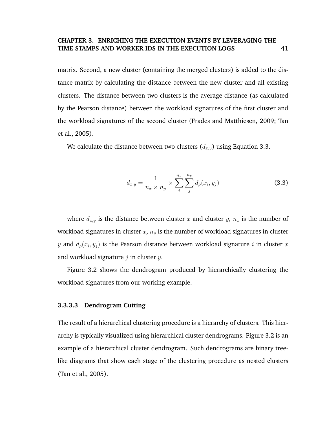matrix. Second, a new cluster (containing the merged clusters) is added to the distance matrix by calculating the distance between the new cluster and all existing clusters. The distance between two clusters is the average distance (as calculated by the Pearson distance) between the workload signatures of the first cluster and the workload signatures of the second cluster (Frades and Matthiesen, 2009; Tan et al., 2005).

We calculate the distance between two clusters  $(d_{x,y})$  using Equation 3.3.

$$
d_{x,y} = \frac{1}{n_x \times n_y} \times \sum_{i}^{n_x} \sum_{j}^{n_y} d_{\rho}(x_i, y_j)
$$
 (3.3)

where  $d_{x,y}$  is the distance between cluster x and cluster y,  $n_x$  is the number of workload signatures in cluster  $x$ ,  $n_y$  is the number of workload signatures in cluster  $y$  and  $d_{\rho}(x_i, y_j)$  is the Pearson distance between workload signature  $i$  in cluster  $x$ and workload signature  $j$  in cluster  $y$ .

Figure 3.2 shows the dendrogram produced by hierarchically clustering the workload signatures from our working example.

### **3.3.3.3 Dendrogram Cutting**

The result of a hierarchical clustering procedure is a hierarchy of clusters. This hierarchy is typically visualized using hierarchical cluster dendrograms. Figure 3.2 is an example of a hierarchical cluster dendrogram. Such dendrograms are binary treelike diagrams that show each stage of the clustering procedure as nested clusters (Tan et al., 2005).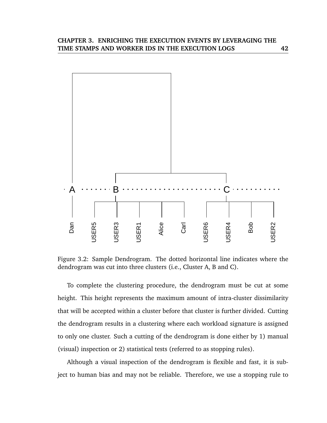

Figure 3.2: Sample Dendrogram. The dotted horizontal line indicates where the dendrogram was cut into three clusters (i.e., Cluster A, B and C).

To complete the clustering procedure, the dendrogram must be cut at some height. This height represents the maximum amount of intra-cluster dissimilarity that will be accepted within a cluster before that cluster is further divided. Cutting the dendrogram results in a clustering where each workload signature is assigned to only one cluster. Such a cutting of the dendrogram is done either by 1) manual (visual) inspection or 2) statistical tests (referred to as stopping rules).

Although a visual inspection of the dendrogram is flexible and fast, it is subject to human bias and may not be reliable. Therefore, we use a stopping rule to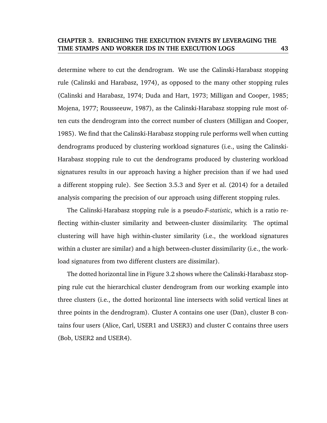determine where to cut the dendrogram. We use the Calinski-Harabasz stopping rule (Calinski and Harabasz, 1974), as opposed to the many other stopping rules (Calinski and Harabasz, 1974; Duda and Hart, 1973; Milligan and Cooper, 1985; Mojena, 1977; Rousseeuw, 1987), as the Calinski-Harabasz stopping rule most often cuts the dendrogram into the correct number of clusters (Milligan and Cooper, 1985). We find that the Calinski-Harabasz stopping rule performs well when cutting dendrograms produced by clustering workload signatures (i.e., using the Calinski-Harabasz stopping rule to cut the dendrograms produced by clustering workload signatures results in our approach having a higher precision than if we had used a different stopping rule). See Section 3.5.3 and Syer et al. (2014) for a detailed analysis comparing the precision of our approach using different stopping rules.

The Calinski-Harabasz stopping rule is a pseudo-*F-statistic*, which is a ratio reflecting within-cluster similarity and between-cluster dissimilarity. The optimal clustering will have high within-cluster similarity (i.e., the workload signatures within a cluster are similar) and a high between-cluster dissimilarity (i.e., the workload signatures from two different clusters are dissimilar).

The dotted horizontal line in Figure 3.2 shows where the Calinski-Harabasz stopping rule cut the hierarchical cluster dendrogram from our working example into three clusters (i.e., the dotted horizontal line intersects with solid vertical lines at three points in the dendrogram). Cluster A contains one user (Dan), cluster B contains four users (Alice, Carl, USER1 and USER3) and cluster C contains three users (Bob, USER2 and USER4).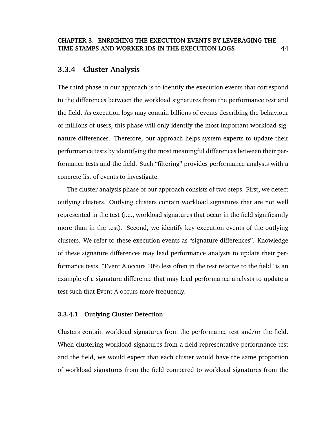### **3.3.4 Cluster Analysis**

The third phase in our approach is to identify the execution events that correspond to the differences between the workload signatures from the performance test and the field. As execution logs may contain billions of events describing the behaviour of millions of users, this phase will only identify the most important workload signature differences. Therefore, our approach helps system experts to update their performance tests by identifying the most meaningful differences between their performance tests and the field. Such "filtering" provides performance analysts with a concrete list of events to investigate.

The cluster analysis phase of our approach consists of two steps. First, we detect outlying clusters. Outlying clusters contain workload signatures that are not well represented in the test (i.e., workload signatures that occur in the field significantly more than in the test). Second, we identify key execution events of the outlying clusters. We refer to these execution events as "signature differences". Knowledge of these signature differences may lead performance analysts to update their performance tests. "Event A occurs 10% less often in the test relative to the field" is an example of a signature difference that may lead performance analysts to update a test such that Event A occurs more frequently.

### **3.3.4.1 Outlying Cluster Detection**

Clusters contain workload signatures from the performance test and/or the field. When clustering workload signatures from a field-representative performance test and the field, we would expect that each cluster would have the same proportion of workload signatures from the field compared to workload signatures from the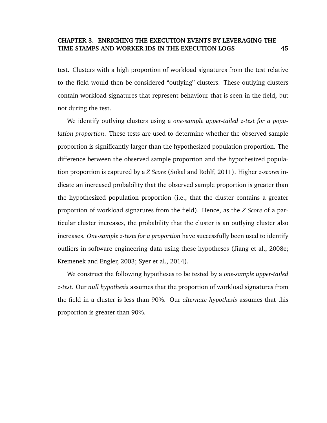test. Clusters with a high proportion of workload signatures from the test relative to the field would then be considered "outlying" clusters. These outlying clusters contain workload signatures that represent behaviour that is seen in the field, but not during the test.

We identify outlying clusters using a *one-sample upper-tailed z-test for a population proportion*. These tests are used to determine whether the observed sample proportion is significantly larger than the hypothesized population proportion. The difference between the observed sample proportion and the hypothesized population proportion is captured by a *Z Score* (Sokal and Rohlf, 2011). Higher *z-scores* indicate an increased probability that the observed sample proportion is greater than the hypothesized population proportion (i.e., that the cluster contains a greater proportion of workload signatures from the field). Hence, as the *Z Score* of a particular cluster increases, the probability that the cluster is an outlying cluster also increases. *One-sample z-tests for a proportion* have successfully been used to identify outliers in software engineering data using these hypotheses (Jiang et al., 2008c; Kremenek and Engler, 2003; Syer et al., 2014).

We construct the following hypotheses to be tested by a *one-sample upper-tailed z-test*. Our *null hypothesis* assumes that the proportion of workload signatures from the field in a cluster is less than 90%. Our *alternate hypothesis* assumes that this proportion is greater than 90%.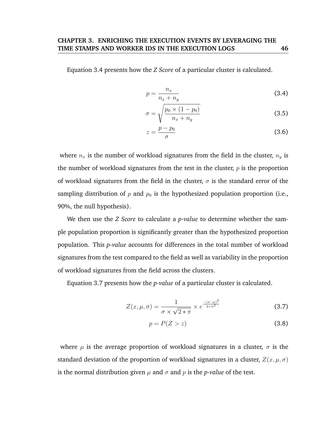Equation 3.4 presents how the *Z Score* of a particular cluster is calculated.

$$
p = \frac{n_x}{n_x + n_y} \tag{3.4}
$$

$$
\sigma = \sqrt{\frac{p_0 \times (1 - p_0)}{n_x + n_y}}
$$
\n(3.5)

$$
z = \frac{p - p_0}{\sigma} \tag{3.6}
$$

where  $n_x$  is the number of workload signatures from the field in the cluster,  $n_y$  is the number of workload signatures from the test in the cluster,  $p$  is the proportion of workload signatures from the field in the cluster,  $\sigma$  is the standard error of the sampling distribution of p and  $p_0$  is the hypothesized population proportion (i.e., 90%, the null hypothesis).

We then use the *Z Score* to calculate a *p-value* to determine whether the sample population proportion is significantly greater than the hypothesized proportion population. This *p-value* accounts for differences in the total number of workload signatures from the test compared to the field as well as variability in the proportion of workload signatures from the field across the clusters.

Equation 3.7 presents how the *p-value* of a particular cluster is calculated.

$$
Z(x, \mu, \sigma) = \frac{1}{\sigma \times \sqrt{2 \times \pi}} \times e^{\frac{-(x-\mu)^2}{2 \times \sigma^2}}
$$
(3.7)

$$
p = P(Z > z) \tag{3.8}
$$

where  $\mu$  is the average proportion of workload signatures in a cluster,  $\sigma$  is the standard deviation of the proportion of workload signatures in a cluster,  $Z(x, \mu, \sigma)$ is the normal distribution given  $\mu$  and  $\sigma$  and  $p$  is the *p*-value of the test.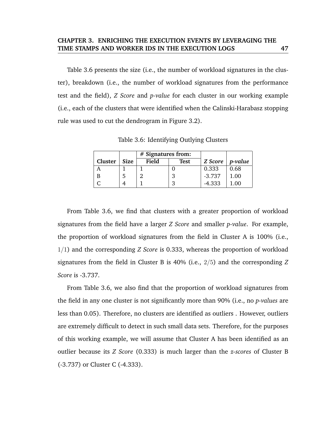Table 3.6 presents the size (i.e., the number of workload signatures in the cluster), breakdown (i.e., the number of workload signatures from the performance test and the field), *Z Score* and *p-value* for each cluster in our working example (i.e., each of the clusters that were identified when the Calinski-Harabasz stopping rule was used to cut the dendrogram in Figure 3.2).

Table 3.6: Identifying Outlying Clusters

|         |             | $#$ Signatures from: |             |          |                 |
|---------|-------------|----------------------|-------------|----------|-----------------|
| Cluster | <b>Size</b> | Field                | <b>Test</b> | Z Score  | <i>p</i> -value |
|         |             |                      |             | 0.333    | 0.68            |
|         |             |                      | 3           | $-3.737$ | 1.00            |
|         |             |                      | 3           | $-4.333$ | 1.00            |

From Table 3.6, we find that clusters with a greater proportion of workload signatures from the field have a larger *Z Score* and smaller *p-value*. For example, the proportion of workload signatures from the field in Cluster A is 100% (i.e., 1/1) and the corresponding *Z Score* is 0.333, whereas the proportion of workload signatures from the field in Cluster B is 40% (i.e., 2/5) and the corresponding *Z Score* is -3.737.

From Table 3.6, we also find that the proportion of workload signatures from the field in any one cluster is not significantly more than 90% (i.e., no *p-values* are less than 0.05). Therefore, no clusters are identified as outliers . However, outliers are extremely difficult to detect in such small data sets. Therefore, for the purposes of this working example, we will assume that Cluster A has been identified as an outlier because its *Z Score* (0.333) is much larger than the *z-scores* of Cluster B (-3.737) or Cluster C (-4.333).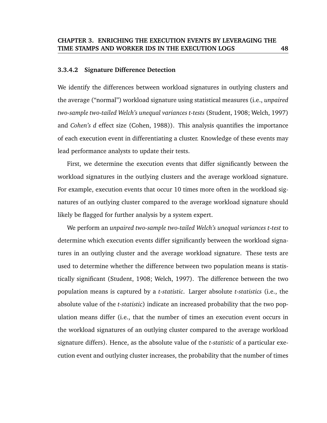### **3.3.4.2 Signature Difference Detection**

We identify the differences between workload signatures in outlying clusters and the average ("normal") workload signature using statistical measures (i.e., *unpaired two-sample two-tailed Welch's unequal variances t-tests* (Student, 1908; Welch, 1997) and *Cohen's d* effect size (Cohen, 1988)). This analysis quantifies the importance of each execution event in differentiating a cluster. Knowledge of these events may lead performance analysts to update their tests.

First, we determine the execution events that differ significantly between the workload signatures in the outlying clusters and the average workload signature. For example, execution events that occur 10 times more often in the workload signatures of an outlying cluster compared to the average workload signature should likely be flagged for further analysis by a system expert.

We perform an *unpaired two-sample two-tailed Welch's unequal variances t-test* to determine which execution events differ significantly between the workload signatures in an outlying cluster and the average workload signature. These tests are used to determine whether the difference between two population means is statistically significant (Student, 1908; Welch, 1997). The difference between the two population means is captured by a *t-statistic*. Larger absolute *t-statistics* (i.e., the absolute value of the *t-statistic*) indicate an increased probability that the two population means differ (i.e., that the number of times an execution event occurs in the workload signatures of an outlying cluster compared to the average workload signature differs). Hence, as the absolute value of the *t-statistic* of a particular execution event and outlying cluster increases, the probability that the number of times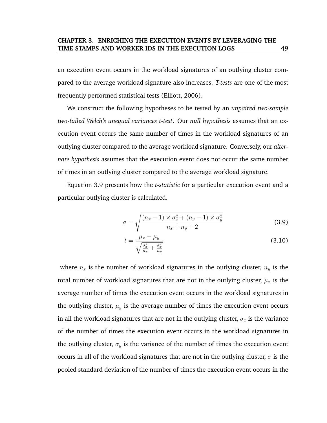an execution event occurs in the workload signatures of an outlying cluster compared to the average workload signature also increases. *T-tests* are one of the most frequently performed statistical tests (Elliott, 2006).

We construct the following hypotheses to be tested by an *unpaired two-sample two-tailed Welch's unequal variances t-test*. Our *null hypothesis* assumes that an execution event occurs the same number of times in the workload signatures of an outlying cluster compared to the average workload signature. Conversely, our *alternate hypothesis* assumes that the execution event does not occur the same number of times in an outlying cluster compared to the average workload signature.

Equation 3.9 presents how the *t-statistic* for a particular execution event and a particular outlying cluster is calculated.

$$
\sigma = \sqrt{\frac{(n_x - 1) \times \sigma_x^2 + (n_y - 1) \times \sigma_y^2}{n_x + n_y + 2}}
$$
\n(3.9)

$$
t = \frac{\mu_x - \mu_y}{\sqrt{\frac{\sigma_x^2}{n_x} + \frac{\sigma_x^2}{n_y}}}
$$
(3.10)

where  $n_x$  is the number of workload signatures in the outlying cluster,  $n_y$  is the total number of workload signatures that are not in the outlying cluster,  $\mu_x$  is the average number of times the execution event occurs in the workload signatures in the outlying cluster,  $\mu_y$  is the average number of times the execution event occurs in all the workload signatures that are not in the outlying cluster,  $\sigma_x$  is the variance of the number of times the execution event occurs in the workload signatures in the outlying cluster,  $\sigma_y$  is the variance of the number of times the execution event occurs in all of the workload signatures that are not in the outlying cluster,  $\sigma$  is the pooled standard deviation of the number of times the execution event occurs in the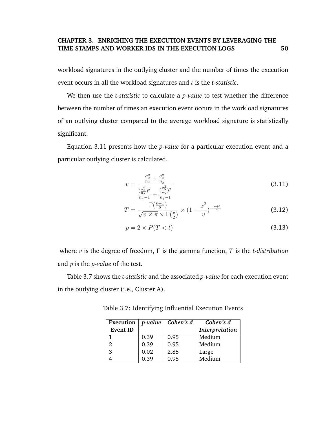workload signatures in the outlying cluster and the number of times the execution event occurs in all the workload signatures and *t* is the *t*-statistic.

We then use the *t-statistic* to calculate a *p-value* to test whether the difference between the number of times an execution event occurs in the workload signatures of an outlying cluster compared to the average workload signature is statistically significant.

Equation 3.11 presents how the *p-value* for a particular execution event and a particular outlying cluster is calculated.

$$
v = \frac{\frac{\sigma_x^2}{n_x} + \frac{\sigma_x^2}{n_y}}{\frac{(\frac{\sigma_x^2}{n_x})^2}{n_x - 1} + \frac{(\frac{\sigma_y^2}{n_y})^2}{n_y - 1}}
$$
(3.11)

$$
T = \frac{\Gamma(\frac{v+1}{2})}{\sqrt{v \times \pi} \times \Gamma(\frac{v}{2})} \times (1 + \frac{x^2}{v})^{-\frac{v+1}{2}}
$$
(3.12)

$$
p = 2 \times P(T < t) \tag{3.13}
$$

where v is the degree of freedom, Γ is the gamma function, T is the *t-distribution* and p is the *p-value* of the test.

Table 3.7 shows the *t-statistic* and the associated *p-value* for each execution event in the outlying cluster (i.e., Cluster A).

Table 3.7: Identifying Influential Execution Events

| Execution       | p-value | $\vert$ Cohen's d | Cohen's d      |
|-----------------|---------|-------------------|----------------|
| <b>Event ID</b> |         |                   | Interpretation |
|                 | 0.39    | 0.95              | Medium         |
| 2               | 0.39    | 0.95              | Medium         |
| 3               | 0.02    | 2.85              | Large          |
|                 | 0.39    | 0.95              | Medium         |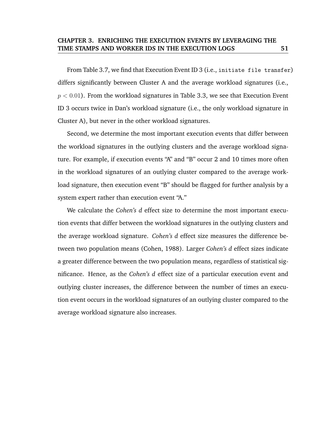From Table 3.7, we find that Execution Event ID 3 (i.e., initiate file transfer) differs significantly between Cluster A and the average workload signatures (i.e.,  $p < 0.01$ ). From the workload signatures in Table 3.3, we see that Execution Event ID 3 occurs twice in Dan's workload signature (i.e., the only workload signature in Cluster A), but never in the other workload signatures.

Second, we determine the most important execution events that differ between the workload signatures in the outlying clusters and the average workload signature. For example, if execution events "A" and "B" occur 2 and 10 times more often in the workload signatures of an outlying cluster compared to the average workload signature, then execution event "B" should be flagged for further analysis by a system expert rather than execution event "A."

We calculate the *Cohen's d* effect size to determine the most important execution events that differ between the workload signatures in the outlying clusters and the average workload signature. *Cohen's d* effect size measures the difference between two population means (Cohen, 1988). Larger *Cohen's d* effect sizes indicate a greater difference between the two population means, regardless of statistical significance. Hence, as the *Cohen's d* effect size of a particular execution event and outlying cluster increases, the difference between the number of times an execution event occurs in the workload signatures of an outlying cluster compared to the average workload signature also increases.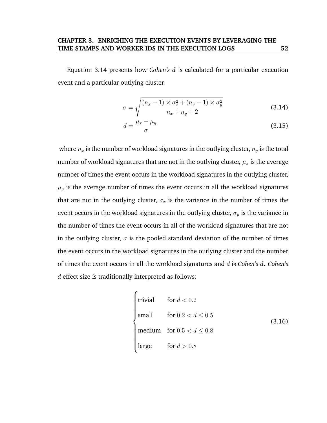Equation 3.14 presents how *Cohen's d* is calculated for a particular execution event and a particular outlying cluster.

$$
\sigma = \sqrt{\frac{(n_x - 1) \times \sigma_x^2 + (n_y - 1) \times \sigma_y^2}{n_x + n_y + 2}}
$$
\n(3.14)

$$
d = \frac{\mu_x - \mu_y}{\sigma} \tag{3.15}
$$

where  $n_x$  is the number of workload signatures in the outlying cluster,  $n_y$  is the total number of workload signatures that are not in the outlying cluster,  $\mu_x$  is the average number of times the event occurs in the workload signatures in the outlying cluster,  $\mu_y$  is the average number of times the event occurs in all the workload signatures that are not in the outlying cluster,  $\sigma_x$  is the variance in the number of times the event occurs in the workload signatures in the outlying cluster,  $\sigma_y$  is the variance in the number of times the event occurs in all of the workload signatures that are not in the outlying cluster,  $\sigma$  is the pooled standard deviation of the number of times the event occurs in the workload signatures in the outlying cluster and the number of times the event occurs in all the workload signatures and d is *Cohen's d*. *Cohen's d* effect size is traditionally interpreted as follows:

$$
\begin{cases}\n\text{trivial} & \text{for } d < 0.2 \\
\text{small} & \text{for } 0.2 < d \le 0.5 \\
\text{medium} & \text{for } 0.5 < d \le 0.8 \\
\text{large} & \text{for } d > 0.8\n\end{cases}\n\tag{3.16}
$$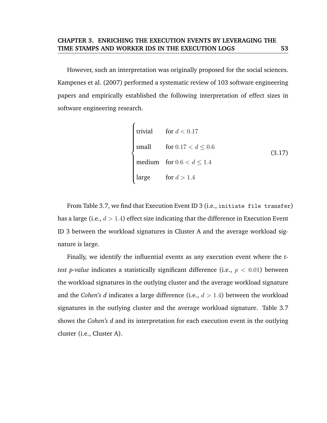However, such an interpretation was originally proposed for the social sciences. Kampenes et al. (2007) performed a systematic review of 103 software engineering papers and empirically established the following interpretation of effect sizes in software engineering research.

$$
\begin{cases}\n\text{trivial} & \text{for } d < 0.17 \\
\text{small} & \text{for } 0.17 < d \le 0.6 \\
\text{medium} & \text{for } 0.6 < d \le 1.4 \\
\text{large} & \text{for } d > 1.4\n\end{cases}\n\tag{3.17}
$$

From Table 3.7, we find that Execution Event ID 3 (i.e., initiate file transfer) has a large (i.e.,  $d > 1.4$ ) effect size indicating that the difference in Execution Event ID 3 between the workload signatures in Cluster A and the average workload signature is large.

Finally, we identify the influential events as any execution event where the *ttest p-value* indicates a statistically significant difference (i.e., p < 0.01) between the workload signatures in the outlying cluster and the average workload signature and the *Cohen's d* indicates a large difference (i.e.,  $d > 1.4$ ) between the workload signatures in the outlying cluster and the average workload signature. Table 3.7 shows the *Cohen's d* and its interpretation for each execution event in the outlying cluster (i.e., Cluster A).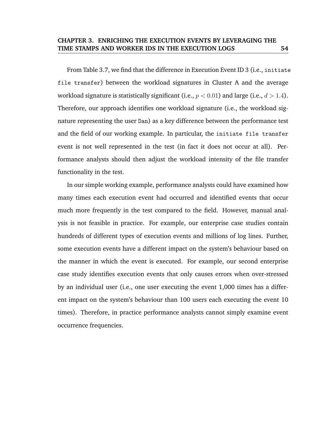From Table 3.7, we find that the difference in Execution Event ID 3 (i.e., initiate file transfer) between the workload signatures in Cluster A and the average workload signature is statistically significant (i.e.,  $p < 0.01$ ) and large (i.e.,  $d > 1.4$ ). Therefore, our approach identifies one workload signature (i.e., the workload signature representing the user Dan) as a key difference between the performance test and the field of our working example. In particular, the initiate file transfer event is not well represented in the test (in fact it does not occur at all). Performance analysts should then adjust the workload intensity of the file transfer functionality in the test.

In our simple working example, performance analysts could have examined how many times each execution event had occurred and identified events that occur much more frequently in the test compared to the field. However, manual analysis is not feasible in practice. For example, our enterprise case studies contain hundreds of different types of execution events and millions of log lines. Further, some execution events have a different impact on the system's behaviour based on the manner in which the event is executed. For example, our second enterprise case study identifies execution events that only causes errors when over-stressed by an individual user (i.e., one user executing the event 1,000 times has a different impact on the system's behaviour than 100 users each executing the event 10 times). Therefore, in practice performance analysts cannot simply examine event occurrence frequencies.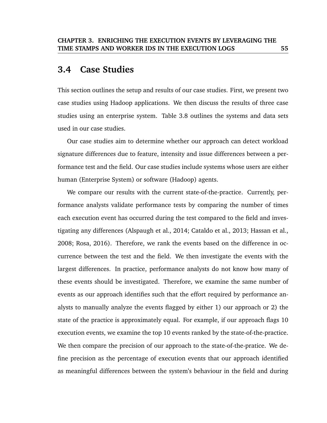# **3.4 Case Studies**

This section outlines the setup and results of our case studies. First, we present two case studies using Hadoop applications. We then discuss the results of three case studies using an enterprise system. Table 3.8 outlines the systems and data sets used in our case studies.

Our case studies aim to determine whether our approach can detect workload signature differences due to feature, intensity and issue differences between a performance test and the field. Our case studies include systems whose users are either human (Enterprise System) or software (Hadoop) agents.

We compare our results with the current state-of-the-practice. Currently, performance analysts validate performance tests by comparing the number of times each execution event has occurred during the test compared to the field and investigating any differences (Alspaugh et al., 2014; Cataldo et al., 2013; Hassan et al., 2008; Rosa, 2016). Therefore, we rank the events based on the difference in occurrence between the test and the field. We then investigate the events with the largest differences. In practice, performance analysts do not know how many of these events should be investigated. Therefore, we examine the same number of events as our approach identifies such that the effort required by performance analysts to manually analyze the events flagged by either 1) our approach or 2) the state of the practice is approximately equal. For example, if our approach flags 10 execution events, we examine the top 10 events ranked by the state-of-the-practice. We then compare the precision of our approach to the state-of-the-pratice. We define precision as the percentage of execution events that our approach identified as meaningful differences between the system's behaviour in the field and during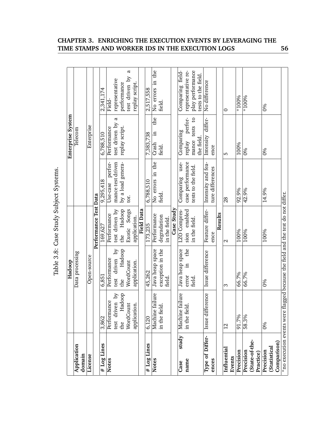|                                 |                           | Hadoop                                               |                              |                                        | Enterprise System            |                                                      |
|---------------------------------|---------------------------|------------------------------------------------------|------------------------------|----------------------------------------|------------------------------|------------------------------------------------------|
| Application<br>domain           |                           | Data processing                                      |                              |                                        | Telecom                      |                                                      |
| License                         |                           | Open-source                                          |                              |                                        | Enterprise                   |                                                      |
|                                 |                           |                                                      | Performance Test Data        |                                        |                              |                                                      |
| # Log Lines                     | 3,862                     | 6.851                                                | 169.627                      | 9,295,418                              | 6,788,510                    | 2,341,174                                            |
| <b>Notes</b>                    | Performance               | Performance                                          | Performance                  | perfor-<br>Use-case                    | Performance                  | Field-                                               |
|                                 | test driven by            | driven by<br>test                                    | test driven by               | mance test driven                      | 4<br>test driven by          | representative                                       |
|                                 | Hadoop<br>the             | Hadoop<br>the                                        | Hadoop<br>the                | by a load genera-<br>tor.              | replay script.               | performance                                          |
|                                 | WordCount<br>application. | WordCount<br>application.                            | Exotic Songs<br>application. |                                        |                              | a<br>$\overline{M}$<br>replay script.<br>test driven |
|                                 |                           |                                                      | <b>Field Data</b>            |                                        |                              |                                                      |
| # Log Lines                     | 6,120                     | 45,262                                               | 173,235                      | 6,788,510                              | 7,383,738                    | 2,517,558                                            |
| <b>Notes</b>                    | failure<br>Machine 1      | Java heap space                                      | Performance                  | No errors in the                       | the<br>$\Xi$<br>Crash        | No errors in the                                     |
|                                 | $\vec{d}$<br>in the fiel  | exception in the<br>field.                           | degradation<br>in the field. | field.                                 | field.                       | field.                                               |
|                                 |                           |                                                      | Case Study                   |                                        |                              |                                                      |
| study<br>Case                   | failure<br>Machine        | Java heap space                                      | LZO Compres-                 | use-<br>Comparing                      | Comparing                    | Comparing field-                                     |
| name                            | $\vec{d}$<br>in the fiel  | the<br>$\Xi$<br>error                                | sion enabled                 | case performance                       | perfor-<br>replay            | representative re-                                   |
|                                 |                           | field.                                               | in the field.                | tests to the field.                    | mance tests to<br>the field. | play performance<br>ests to the field.               |
|                                 |                           |                                                      |                              |                                        |                              |                                                      |
| Type of Differ-<br>ences        | Issue difference          | Issue difference                                     | Feature differ-<br>ence      | Intensity and fea-<br>ture differences | differ-<br>Intensity<br>ence | No difference                                        |
|                                 |                           |                                                      | Results                      |                                        |                              |                                                      |
| Influential<br>Events           | $^{12}$                   | S                                                    | $\mathbf{c}$                 | 28                                     | LO                           | 0                                                    |
| Precision                       | 91.7%                     | 66.7%                                                | 100%                         | 92.9%                                  | 100%                         | $*100%$                                              |
|                                 |                           |                                                      |                              |                                        |                              |                                                      |
| (State-of-the-<br>Precision     | 58.3%                     | 66.7%                                                | 100%                         | 42.9%                                  | 0%                           | $*100%$                                              |
| Practice)                       |                           |                                                      |                              |                                        |                              |                                                      |
| Precision                       | $\frac{8}{6}$             | $\frac{9}{6}$                                        | 100%                         | 14.9%                                  | 0%                           | 0%                                                   |
| (Statistica)                    |                           |                                                      |                              |                                        |                              |                                                      |
| Comparison)                     |                           |                                                      |                              |                                        |                              |                                                      |
| $*$ no execution events were fl |                           | lagged because the field and the test do not differ. |                              |                                        |                              |                                                      |

# Table 3.8: Case Study Subject Systems.

**CHAPTER 3. ENRICHING THE EXECUTION EVENTS BY LEVERAGING THE TIME STAMPS AND WORKER IDS IN THE EXECUTION LOGS 56**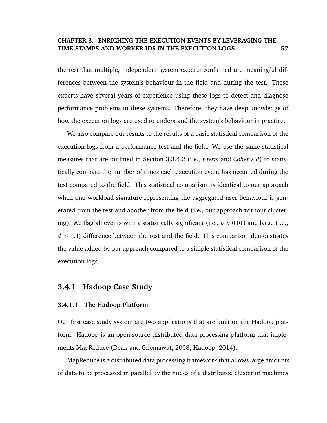the test that multiple, independent system experts confirmed are meaningful differences between the system's behaviour in the field and during the test. These experts have several years of experience using these logs to detect and diagnose performance problems in these systems. Therefore, they have deep knowledge of how the execution logs are used to understand the system's behaviour in practice.

We also compare our results to the results of a basic statistical comparison of the execution logs from a performance test and the field. We use the same statistical measures that are outlined in Section 3.3.4.2 (i.e., *t-tests* and *Cohen's d*) to statistically compare the number of times each execution event has occurred during the test compared to the field. This statistical comparison is identical to our approach when one workload signature representing the aggregated user behaviour is generated from the test and another from the field (i.e., our approach without clustering). We flag all events with a statistically significant (i.e.,  $p < 0.01$ ) and large (i.e.,  $d > 1.4$ ) difference between the test and the field. This comparison demonstrates the value added by our approach compared to a simple statistical comparison of the execution logs.

### **3.4.1 Hadoop Case Study**

### **3.4.1.1 The Hadoop Platform**

Our first case study system are two applications that are built on the Hadoop platform. Hadoop is an open-source distributed data processing platform that implements MapReduce (Dean and Ghemawat, 2008; Hadoop, 2014).

MapReduce is a distributed data processing framework that allows large amounts of data to be processed in parallel by the nodes of a distributed cluster of machines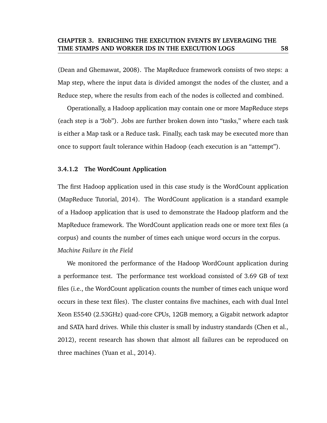(Dean and Ghemawat, 2008). The MapReduce framework consists of two steps: a Map step, where the input data is divided amongst the nodes of the cluster, and a Reduce step, where the results from each of the nodes is collected and combined.

Operationally, a Hadoop application may contain one or more MapReduce steps (each step is a "Job"). Jobs are further broken down into "tasks," where each task is either a Map task or a Reduce task. Finally, each task may be executed more than once to support fault tolerance within Hadoop (each execution is an "attempt").

#### **3.4.1.2 The WordCount Application**

The first Hadoop application used in this case study is the WordCount application (MapReduce Tutorial, 2014). The WordCount application is a standard example of a Hadoop application that is used to demonstrate the Hadoop platform and the MapReduce framework. The WordCount application reads one or more text files (a corpus) and counts the number of times each unique word occurs in the corpus. *Machine Failure in the Field*

We monitored the performance of the Hadoop WordCount application during a performance test. The performance test workload consisted of 3.69 GB of text files (i.e., the WordCount application counts the number of times each unique word occurs in these text files). The cluster contains five machines, each with dual Intel Xeon E5540 (2.53GHz) quad-core CPUs, 12GB memory, a Gigabit network adaptor and SATA hard drives. While this cluster is small by industry standards (Chen et al., 2012), recent research has shown that almost all failures can be reproduced on three machines (Yuan et al., 2014).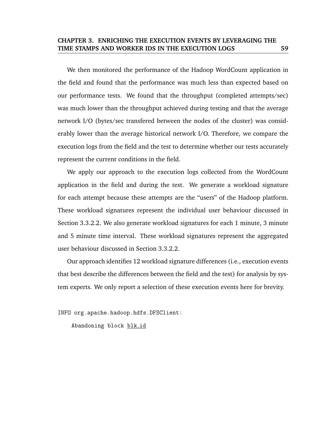We then monitored the performance of the Hadoop WordCount application in the field and found that the performance was much less than expected based on our performance tests. We found that the throughput (completed attempts/sec) was much lower than the throughput achieved during testing and that the average network I/O (bytes/sec transfered between the nodes of the cluster) was considerably lower than the average historical network I/O. Therefore, we compare the execution logs from the field and the test to determine whether our tests accurately represent the current conditions in the field.

We apply our approach to the execution logs collected from the WordCount application in the field and during the test. We generate a workload signature for each attempt because these attempts are the "users" of the Hadoop platform. These workload signatures represent the individual user behaviour discussed in Section 3.3.2.2. We also generate workload signatures for each 1 minute, 3 minute and 5 minute time interval. These workload signatures represent the aggregated user behaviour discussed in Section 3.3.2.2.

Our approach identifies 12 workload signature differences (i.e., execution events that best describe the differences between the field and the test) for analysis by system experts. We only report a selection of these execution events here for brevity.

INFO org.apache.hadoop.hdfs.DFSClient:

Abandoning block blk id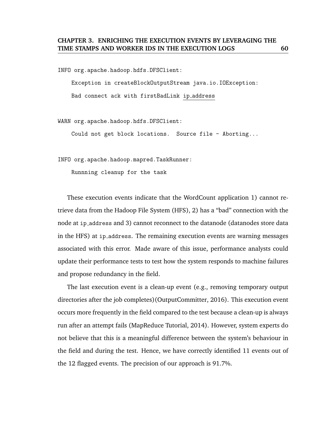INFO org.apache.hadoop.hdfs.DFSClient:

Exception in createBlockOutputStream java.io.IOException: Bad connect ack with firstBadLink ip address

WARN org.apache.hadoop.hdfs.DFSClient:

Could not get block locations. Source file - Aborting...

INFO org.apache.hadoop.mapred.TaskRunner:

Runnning cleanup for the task

These execution events indicate that the WordCount application 1) cannot retrieve data from the Hadoop File System (HFS), 2) has a "bad" connection with the node at ip address and 3) cannot reconnect to the datanode (datanodes store data in the HFS) at ip address. The remaining execution events are warning messages associated with this error. Made aware of this issue, performance analysts could update their performance tests to test how the system responds to machine failures and propose redundancy in the field.

The last execution event is a clean-up event (e.g., removing temporary output directories after the job completes)(OutputCommitter, 2016). This execution event occurs more frequently in the field compared to the test because a clean-up is always run after an attempt fails (MapReduce Tutorial, 2014). However, system experts do not believe that this is a meaningful difference between the system's behaviour in the field and during the test. Hence, we have correctly identified 11 events out of the 12 flagged events. The precision of our approach is 91.7%.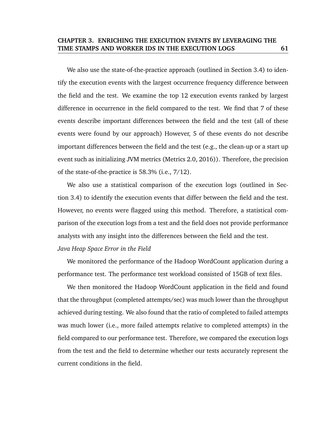We also use the state-of-the-practice approach (outlined in Section 3.4) to identify the execution events with the largest occurrence frequency difference between the field and the test. We examine the top 12 execution events ranked by largest difference in occurrence in the field compared to the test. We find that 7 of these events describe important differences between the field and the test (all of these events were found by our approach) However, 5 of these events do not describe important differences between the field and the test (e.g., the clean-up or a start up event such as initializing JVM metrics (Metrics 2.0, 2016)). Therefore, the precision of the state-of-the-practice is 58.3% (i.e., 7/12).

We also use a statistical comparison of the execution logs (outlined in Section 3.4) to identify the execution events that differ between the field and the test. However, no events were flagged using this method. Therefore, a statistical comparison of the execution logs from a test and the field does not provide performance analysts with any insight into the differences between the field and the test.

## *Java Heap Space Error in the Field*

We monitored the performance of the Hadoop WordCount application during a performance test. The performance test workload consisted of 15GB of text files.

We then monitored the Hadoop WordCount application in the field and found that the throughput (completed attempts/sec) was much lower than the throughput achieved during testing. We also found that the ratio of completed to failed attempts was much lower (i.e., more failed attempts relative to completed attempts) in the field compared to our performance test. Therefore, we compared the execution logs from the test and the field to determine whether our tests accurately represent the current conditions in the field.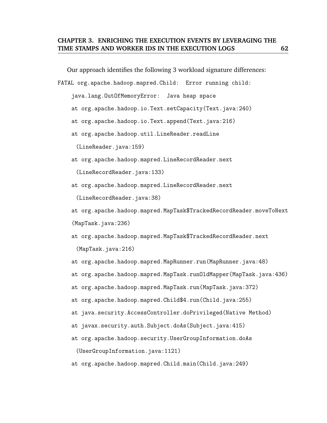Our approach identifies the following 3 workload signature differences:

FATAL org.apache.hadoop.mapred.Child: Error running child:

java.lang.OutOfMemoryError: Java heap space

- at org.apache.hadoop.io.Text.setCapacity(Text.java:240)
- at org.apache.hadoop.io.Text.append(Text.java:216)
- at org.apache.hadoop.util.LineReader.readLine

(LineReader.java:159)

at org.apache.hadoop.mapred.LineRecordReader.next

(LineRecordReader.java:133)

at org.apache.hadoop.mapred.LineRecordReader.next

(LineRecordReader.java:38)

at org.apache.hadoop.mapred.MapTask\$TrackedRecordReader.moveToNext (MapTask.java:236)

- at org.apache.hadoop.mapred.MapTask\$TrackedRecordReader.next (MapTask.java:216)
- at org.apache.hadoop.mapred.MapRunner.run(MapRunner.java:48)
- at org.apache.hadoop.mapred.MapTask.runOldMapper(MapTask.java:436)
- at org.apache.hadoop.mapred.MapTask.run(MapTask.java:372)
- at org.apache.hadoop.mapred.Child\$4.run(Child.java:255)
- at java.security.AccessController.doPrivileged(Native Method)
- at javax.security.auth.Subject.doAs(Subject.java:415)
- at org.apache.hadoop.security.UserGroupInformation.doAs

(UserGroupInformation.java:1121)

at org.apache.hadoop.mapred.Child.main(Child.java:249)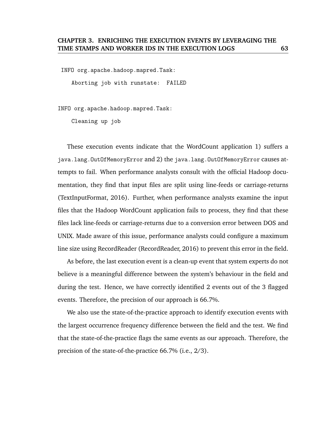INFO org.apache.hadoop.mapred.Task:

Aborting job with runstate: FAILED

INFO org.apache.hadoop.mapred.Task:

Cleaning up job

These execution events indicate that the WordCount application 1) suffers a java.lang.OutOfMemoryError and 2) the java.lang.OutOfMemoryError causes attempts to fail. When performance analysts consult with the official Hadoop documentation, they find that input files are split using line-feeds or carriage-returns (TextInputFormat, 2016). Further, when performance analysts examine the input files that the Hadoop WordCount application fails to process, they find that these files lack line-feeds or carriage-returns due to a conversion error between DOS and UNIX. Made aware of this issue, performance analysts could configure a maximum line size using RecordReader (RecordReader, 2016) to prevent this error in the field.

As before, the last execution event is a clean-up event that system experts do not believe is a meaningful difference between the system's behaviour in the field and during the test. Hence, we have correctly identified 2 events out of the 3 flagged events. Therefore, the precision of our approach is 66.7%.

We also use the state-of-the-practice approach to identify execution events with the largest occurrence frequency difference between the field and the test. We find that the state-of-the-practice flags the same events as our approach. Therefore, the precision of the state-of-the-practice 66.7% (i.e., 2/3).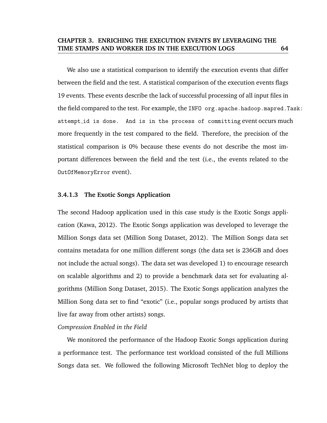We also use a statistical comparison to identify the execution events that differ between the field and the test. A statistical comparison of the execution events flags 19 events. These events describe the lack of successful processing of all input files in the field compared to the test. For example, the INFO org. apache.hadoop.mapred.Task: attempt id is done. And is in the process of committing event occurs much more frequently in the test compared to the field. Therefore, the precision of the statistical comparison is 0% because these events do not describe the most important differences between the field and the test (i.e., the events related to the OutOfMemoryError event).

#### **3.4.1.3 The Exotic Songs Application**

The second Hadoop application used in this case study is the Exotic Songs application (Kawa, 2012). The Exotic Songs application was developed to leverage the Million Songs data set (Million Song Dataset, 2012). The Million Songs data set contains metadata for one million different songs (the data set is 236GB and does not include the actual songs). The data set was developed 1) to encourage research on scalable algorithms and 2) to provide a benchmark data set for evaluating algorithms (Million Song Dataset, 2015). The Exotic Songs application analyzes the Million Song data set to find "exotic" (i.e., popular songs produced by artists that live far away from other artists) songs.

#### *Compression Enabled in the Field*

We monitored the performance of the Hadoop Exotic Songs application during a performance test. The performance test workload consisted of the full Millions Songs data set. We followed the following Microsoft TechNet blog to deploy the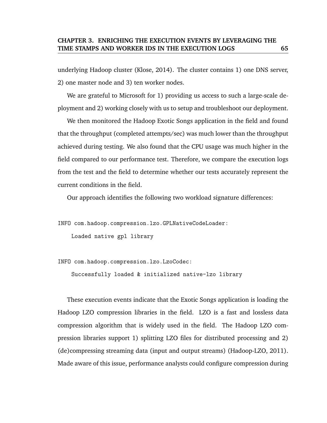underlying Hadoop cluster (Klose, 2014). The cluster contains 1) one DNS server, 2) one master node and 3) ten worker nodes.

We are grateful to Microsoft for 1) providing us access to such a large-scale deployment and 2) working closely with us to setup and troubleshoot our deployment.

We then monitored the Hadoop Exotic Songs application in the field and found that the throughput (completed attempts/sec) was much lower than the throughput achieved during testing. We also found that the CPU usage was much higher in the field compared to our performance test. Therefore, we compare the execution logs from the test and the field to determine whether our tests accurately represent the current conditions in the field.

Our approach identifies the following two workload signature differences:

INFO com.hadoop.compression.lzo.GPLNativeCodeLoader:

Loaded native gpl library

INFO com.hadoop.compression.lzo.LzoCodec:

Successfully loaded & initialized native-lzo library

These execution events indicate that the Exotic Songs application is loading the Hadoop LZO compression libraries in the field. LZO is a fast and lossless data compression algorithm that is widely used in the field. The Hadoop LZO compression libraries support 1) splitting LZO files for distributed processing and 2) (de)compressing streaming data (input and output streams) (Hadoop-LZO, 2011). Made aware of this issue, performance analysts could configure compression during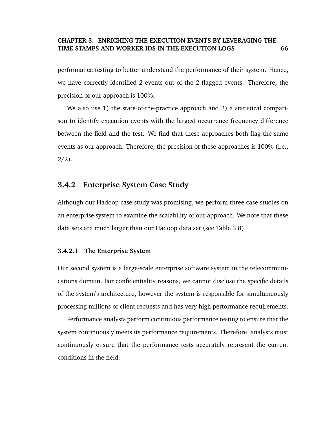performance testing to better understand the performance of their system. Hence, we have correctly identified 2 events out of the 2 flagged events. Therefore, the precision of our approach is 100%.

We also use 1) the state-of-the-practice approach and 2) a statistical comparison to identify execution events with the largest occurrence frequency difference between the field and the test. We find that these approaches both flag the same events as our approach. Therefore, the precision of these approaches is 100% (i.e.,  $2/2$ ).

# **3.4.2 Enterprise System Case Study**

Although our Hadoop case study was promising, we perform three case studies on an enterprise system to examine the scalability of our approach. We note that these data sets are much larger than our Hadoop data set (see Table 3.8).

## **3.4.2.1 The Enterprise System**

Our second system is a large-scale enterprise software system in the telecommunications domain. For confidentiality reasons, we cannot disclose the specific details of the system's architecture, however the system is responsible for simultaneously processing millions of client requests and has very high performance requirements.

Performance analysts perform continuous performance testing to ensure that the system continuously meets its performance requirements. Therefore, analysts must continuously ensure that the performance tests accurately represent the current conditions in the field.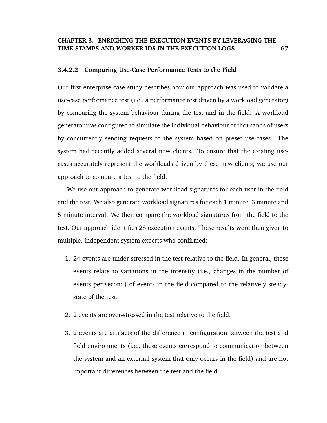#### **3.4.2.2 Comparing Use-Case Performance Tests to the Field**

Our first enterprise case study describes how our approach was used to validate a use-case performance test (i.e., a performance test driven by a workload generator) by comparing the system behaviour during the test and in the field. A workload generator was configured to simulate the individual behaviour of thousands of users by concurrently sending requests to the system based on preset use-cases. The system had recently added several new clients. To ensure that the existing usecases accurately represent the workloads driven by these new clients, we use our approach to compare a test to the field.

We use our approach to generate workload signatures for each user in the field and the test. We also generate workload signatures for each 1 minute, 3 minute and 5 minute interval. We then compare the workload signatures from the field to the test. Our approach identifies 28 execution events. These results were then given to multiple, independent system experts who confirmed:

- 1. 24 events are under-stressed in the test relative to the field. In general, these events relate to variations in the intensity (i.e., changes in the number of events per second) of events in the field compared to the relatively steadystate of the test.
- 2. 2 events are over-stressed in the test relative to the field.
- 3. 2 events are artifacts of the difference in configuration between the test and field environments (i.e., these events correspond to communication between the system and an external system that only occurs in the field) and are not important differences between the test and the field.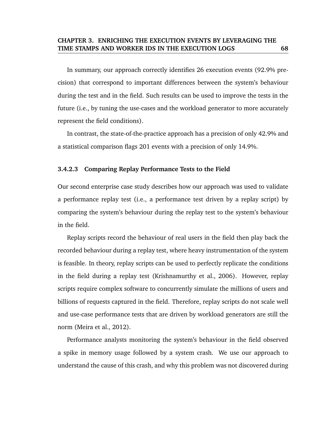In summary, our approach correctly identifies 26 execution events (92.9% precision) that correspond to important differences between the system's behaviour during the test and in the field. Such results can be used to improve the tests in the future (i.e., by tuning the use-cases and the workload generator to more accurately represent the field conditions).

In contrast, the state-of-the-practice approach has a precision of only 42.9% and a statistical comparison flags 201 events with a precision of only 14.9%.

#### **3.4.2.3 Comparing Replay Performance Tests to the Field**

Our second enterprise case study describes how our approach was used to validate a performance replay test (i.e., a performance test driven by a replay script) by comparing the system's behaviour during the replay test to the system's behaviour in the field.

Replay scripts record the behaviour of real users in the field then play back the recorded behaviour during a replay test, where heavy instrumentation of the system is feasible. In theory, replay scripts can be used to perfectly replicate the conditions in the field during a replay test (Krishnamurthy et al., 2006). However, replay scripts require complex software to concurrently simulate the millions of users and billions of requests captured in the field. Therefore, replay scripts do not scale well and use-case performance tests that are driven by workload generators are still the norm (Meira et al., 2012).

Performance analysts monitoring the system's behaviour in the field observed a spike in memory usage followed by a system crash. We use our approach to understand the cause of this crash, and why this problem was not discovered during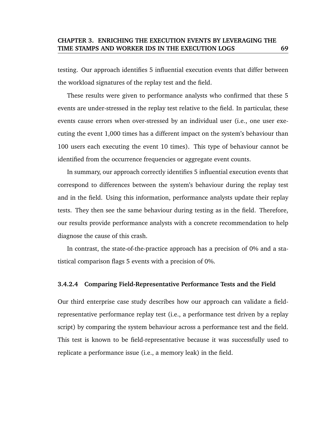testing. Our approach identifies 5 influential execution events that differ between the workload signatures of the replay test and the field.

These results were given to performance analysts who confirmed that these 5 events are under-stressed in the replay test relative to the field. In particular, these events cause errors when over-stressed by an individual user (i.e., one user executing the event 1,000 times has a different impact on the system's behaviour than 100 users each executing the event 10 times). This type of behaviour cannot be identified from the occurrence frequencies or aggregate event counts.

In summary, our approach correctly identifies 5 influential execution events that correspond to differences between the system's behaviour during the replay test and in the field. Using this information, performance analysts update their replay tests. They then see the same behaviour during testing as in the field. Therefore, our results provide performance analysts with a concrete recommendation to help diagnose the cause of this crash.

In contrast, the state-of-the-practice approach has a precision of 0% and a statistical comparison flags 5 events with a precision of 0%.

#### **3.4.2.4 Comparing Field-Representative Performance Tests and the Field**

Our third enterprise case study describes how our approach can validate a fieldrepresentative performance replay test (i.e., a performance test driven by a replay script) by comparing the system behaviour across a performance test and the field. This test is known to be field-representative because it was successfully used to replicate a performance issue (i.e., a memory leak) in the field.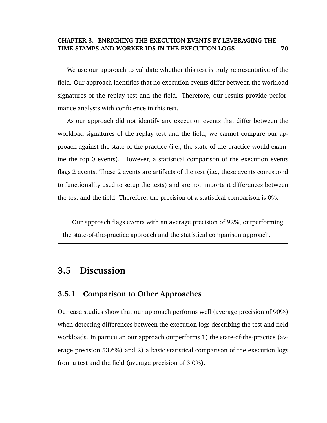We use our approach to validate whether this test is truly representative of the field. Our approach identifies that no execution events differ between the workload signatures of the replay test and the field. Therefore, our results provide performance analysts with confidence in this test.

As our approach did not identify any execution events that differ between the workload signatures of the replay test and the field, we cannot compare our approach against the state-of-the-practice (i.e., the state-of-the-practice would examine the top 0 events). However, a statistical comparison of the execution events flags 2 events. These 2 events are artifacts of the test (i.e., these events correspond to functionality used to setup the tests) and are not important differences between the test and the field. Therefore, the precision of a statistical comparison is 0%.

Our approach flags events with an average precision of 92%, outperforming the state-of-the-practice approach and the statistical comparison approach.

# **3.5 Discussion**

# **3.5.1 Comparison to Other Approaches**

Our case studies show that our approach performs well (average precision of 90%) when detecting differences between the execution logs describing the test and field workloads. In particular, our approach outperforms 1) the state-of-the-practice (average precision 53.6%) and 2) a basic statistical comparison of the execution logs from a test and the field (average precision of 3.0%).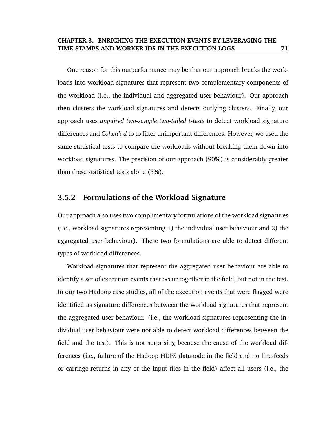One reason for this outperformance may be that our approach breaks the workloads into workload signatures that represent two complementary components of the workload (i.e., the individual and aggregated user behaviour). Our approach then clusters the workload signatures and detects outlying clusters. Finally, our approach uses *unpaired two-sample two-tailed t-tests* to detect workload signature differences and *Cohen's d* to to filter unimportant differences. However, we used the same statistical tests to compare the workloads without breaking them down into workload signatures. The precision of our approach (90%) is considerably greater than these statistical tests alone (3%).

# **3.5.2 Formulations of the Workload Signature**

Our approach also uses two complimentary formulations of the workload signatures (i.e., workload signatures representing 1) the individual user behaviour and 2) the aggregated user behaviour). These two formulations are able to detect different types of workload differences.

Workload signatures that represent the aggregated user behaviour are able to identify a set of execution events that occur together in the field, but not in the test. In our two Hadoop case studies, all of the execution events that were flagged were identified as signature differences between the workload signatures that represent the aggregated user behaviour. (i.e., the workload signatures representing the individual user behaviour were not able to detect workload differences between the field and the test). This is not surprising because the cause of the workload differences (i.e., failure of the Hadoop HDFS datanode in the field and no line-feeds or carriage-returns in any of the input files in the field) affect all users (i.e., the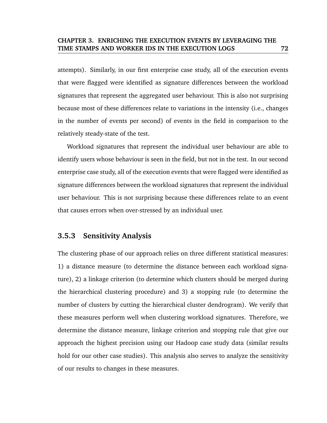attempts). Similarly, in our first enterprise case study, all of the execution events that were flagged were identified as signature differences between the workload signatures that represent the aggregated user behaviour. This is also not surprising because most of these differences relate to variations in the intensity (i.e., changes in the number of events per second) of events in the field in comparison to the relatively steady-state of the test.

Workload signatures that represent the individual user behaviour are able to identify users whose behaviour is seen in the field, but not in the test. In our second enterprise case study, all of the execution events that were flagged were identified as signature differences between the workload signatures that represent the individual user behaviour. This is not surprising because these differences relate to an event that causes errors when over-stressed by an individual user.

# **3.5.3 Sensitivity Analysis**

The clustering phase of our approach relies on three different statistical measures: 1) a distance measure (to determine the distance between each workload signature), 2) a linkage criterion (to determine which clusters should be merged during the hierarchical clustering procedure) and 3) a stopping rule (to determine the number of clusters by cutting the hierarchical cluster dendrogram). We verify that these measures perform well when clustering workload signatures. Therefore, we determine the distance measure, linkage criterion and stopping rule that give our approach the highest precision using our Hadoop case study data (similar results hold for our other case studies). This analysis also serves to analyze the sensitivity of our results to changes in these measures.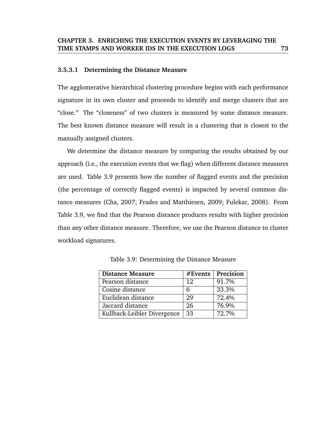#### **3.5.3.1 Determining the Distance Measure**

The agglomerative hierarchical clustering procedure begins with each performance signature in its own cluster and proceeds to identify and merge clusters that are "close." The "closeness" of two clusters is measured by some distance measure. The best known distance measure will result in a clustering that is closest to the manually assigned clusters.

We determine the distance measure by comparing the results obtained by our approach (i.e., the execution events that we flag) when different distance measures are used. Table 3.9 presents how the number of flagged events and the precision (the percentage of correctly flagged events) is impacted by several common distance measures (Cha, 2007; Frades and Matthiesen, 2009; Fulekar, 2008). From Table 3.9, we find that the Pearson distance produces results with higher precision than any other distance measure. Therefore, we use the Pearson distance to cluster workload signatures.

| <b>Distance Measure</b>     | #Events | Precision |
|-----------------------------|---------|-----------|
| Pearson distance            | 12      | 91.7%     |
| Cosine distance             | 6       | 33.3%     |
| Euclidean distance          | 29      | 72.4%     |
| Jaccard distance            | 26      | 76.9%     |
| Kullback-Leibler Divergence | 33      | 72.7%     |

Table 3.9: Determining the Distance Measure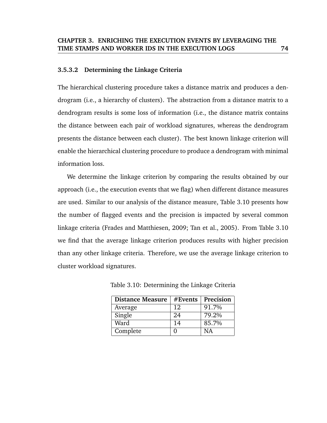#### **3.5.3.2 Determining the Linkage Criteria**

The hierarchical clustering procedure takes a distance matrix and produces a dendrogram (i.e., a hierarchy of clusters). The abstraction from a distance matrix to a dendrogram results is some loss of information (i.e., the distance matrix contains the distance between each pair of workload signatures, whereas the dendrogram presents the distance between each cluster). The best known linkage criterion will enable the hierarchical clustering procedure to produce a dendrogram with minimal information loss.

We determine the linkage criterion by comparing the results obtained by our approach (i.e., the execution events that we flag) when different distance measures are used. Similar to our analysis of the distance measure, Table 3.10 presents how the number of flagged events and the precision is impacted by several common linkage criteria (Frades and Matthiesen, 2009; Tan et al., 2005). From Table 3.10 we find that the average linkage criterion produces results with higher precision than any other linkage criteria. Therefore, we use the average linkage criterion to cluster workload signatures.

| <b>Distance Measure</b> | #Events | Precision |
|-------------------------|---------|-----------|
| Average                 | 12      | 91.7%     |
| Single                  | 24      | 79.2%     |
| Ward                    | 14      | 85.7%     |
| Complete                |         | ΝA        |

Table 3.10: Determining the Linkage Criteria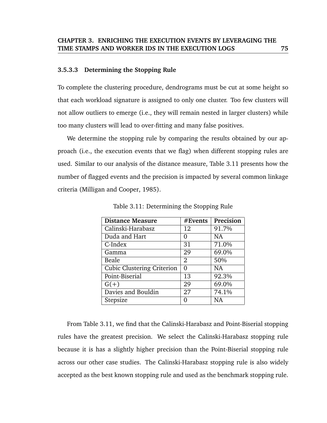#### **3.5.3.3 Determining the Stopping Rule**

To complete the clustering procedure, dendrograms must be cut at some height so that each workload signature is assigned to only one cluster. Too few clusters will not allow outliers to emerge (i.e., they will remain nested in larger clusters) while too many clusters will lead to over-fitting and many false positives.

We determine the stopping rule by comparing the results obtained by our approach (i.e., the execution events that we flag) when different stopping rules are used. Similar to our analysis of the distance measure, Table 3.11 presents how the number of flagged events and the precision is impacted by several common linkage criteria (Milligan and Cooper, 1985).

| <b>Distance Measure</b>           | #Events        | Precision |
|-----------------------------------|----------------|-----------|
| Calinski-Harabasz                 | 12             | 91.7%     |
| Duda and Hart                     | 0              | <b>NA</b> |
| C-Index                           | 31             | 71.0%     |
| Gamma                             | 29             | 69.0%     |
| Beale                             | $\overline{2}$ | 50%       |
| <b>Cubic Clustering Criterion</b> | $\Omega$       | <b>NA</b> |
| Point-Biserial                    | 13             | 92.3%     |
| $G(+)$                            | 29             | 69.0%     |
| Davies and Bouldin                | 27             | 74.1%     |
| Stepsize                          | በ              | <b>NA</b> |

Table 3.11: Determining the Stopping Rule

From Table 3.11, we find that the Calinski-Harabasz and Point-Biserial stopping rules have the greatest precision. We select the Calinski-Harabasz stopping rule because it is has a slightly higher precision than the Point-Biserial stopping rule across our other case studies. The Calinski-Harabasz stopping rule is also widely accepted as the best known stopping rule and used as the benchmark stopping rule.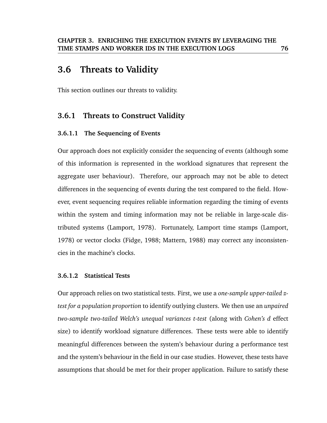# **3.6 Threats to Validity**

This section outlines our threats to validity.

# **3.6.1 Threats to Construct Validity**

### **3.6.1.1 The Sequencing of Events**

Our approach does not explicitly consider the sequencing of events (although some of this information is represented in the workload signatures that represent the aggregate user behaviour). Therefore, our approach may not be able to detect differences in the sequencing of events during the test compared to the field. However, event sequencing requires reliable information regarding the timing of events within the system and timing information may not be reliable in large-scale distributed systems (Lamport, 1978). Fortunately, Lamport time stamps (Lamport, 1978) or vector clocks (Fidge, 1988; Mattern, 1988) may correct any inconsistencies in the machine's clocks.

### **3.6.1.2 Statistical Tests**

Our approach relies on two statistical tests. First, we use a *one-sample upper-tailed ztest for a population proportion* to identify outlying clusters. We then use an *unpaired two-sample two-tailed Welch's unequal variances t-test* (along with *Cohen's d* effect size) to identify workload signature differences. These tests were able to identify meaningful differences between the system's behaviour during a performance test and the system's behaviour in the field in our case studies. However, these tests have assumptions that should be met for their proper application. Failure to satisfy these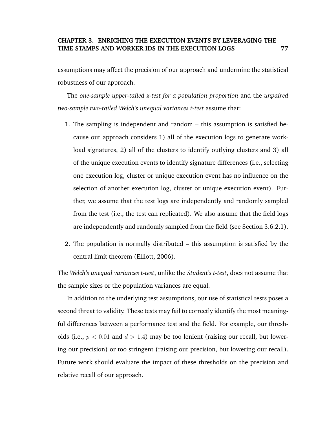assumptions may affect the precision of our approach and undermine the statistical robustness of our approach.

The *one-sample upper-tailed z-test for a population proportion* and the *unpaired two-sample two-tailed Welch's unequal variances t-test* assume that:

- 1. The sampling is independent and random this assumption is satisfied because our approach considers 1) all of the execution logs to generate workload signatures, 2) all of the clusters to identify outlying clusters and 3) all of the unique execution events to identify signature differences (i.e., selecting one execution log, cluster or unique execution event has no influence on the selection of another execution log, cluster or unique execution event). Further, we assume that the test logs are independently and randomly sampled from the test (i.e., the test can replicated). We also assume that the field logs are independently and randomly sampled from the field (see Section 3.6.2.1).
- 2. The population is normally distributed this assumption is satisfied by the central limit theorem (Elliott, 2006).

The *Welch's unequal variances t-test*, unlike the *Student's t-test*, does not assume that the sample sizes or the population variances are equal.

In addition to the underlying test assumptions, our use of statistical tests poses a second threat to validity. These tests may fail to correctly identify the most meaningful differences between a performance test and the field. For example, our thresholds (i.e.,  $p < 0.01$  and  $d > 1.4$ ) may be too lenient (raising our recall, but lowering our precision) or too stringent (raising our precision, but lowering our recall). Future work should evaluate the impact of these thresholds on the precision and relative recall of our approach.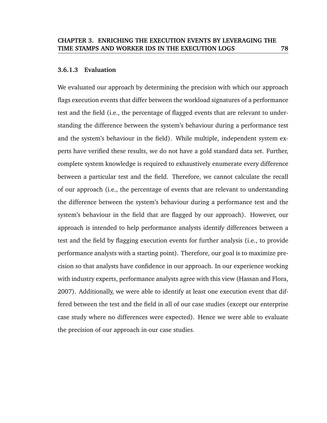#### **3.6.1.3 Evaluation**

We evaluated our approach by determining the precision with which our approach flags execution events that differ between the workload signatures of a performance test and the field (i.e., the percentage of flagged events that are relevant to understanding the difference between the system's behaviour during a performance test and the system's behaviour in the field). While multiple, independent system experts have verified these results, we do not have a gold standard data set. Further, complete system knowledge is required to exhaustively enumerate every difference between a particular test and the field. Therefore, we cannot calculate the recall of our approach (i.e., the percentage of events that are relevant to understanding the difference between the system's behaviour during a performance test and the system's behaviour in the field that are flagged by our approach). However, our approach is intended to help performance analysts identify differences between a test and the field by flagging execution events for further analysis (i.e., to provide performance analysts with a starting point). Therefore, our goal is to maximize precision so that analysts have confidence in our approach. In our experience working with industry experts, performance analysts agree with this view (Hassan and Flora, 2007). Additionally, we were able to identify at least one execution event that differed between the test and the field in all of our case studies (except our enterprise case study where no differences were expected). Hence we were able to evaluate the precision of our approach in our case studies.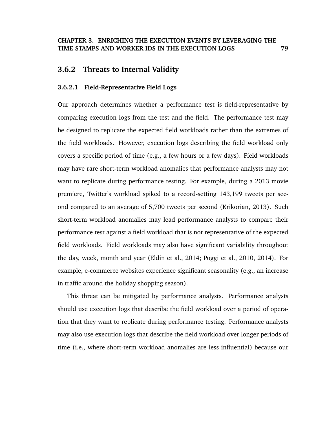# **3.6.2 Threats to Internal Validity**

#### **3.6.2.1 Field-Representative Field Logs**

Our approach determines whether a performance test is field-representative by comparing execution logs from the test and the field. The performance test may be designed to replicate the expected field workloads rather than the extremes of the field workloads. However, execution logs describing the field workload only covers a specific period of time (e.g., a few hours or a few days). Field workloads may have rare short-term workload anomalies that performance analysts may not want to replicate during performance testing. For example, during a 2013 movie premiere, Twitter's workload spiked to a record-setting 143,199 tweets per second compared to an average of 5,700 tweets per second (Krikorian, 2013). Such short-term workload anomalies may lead performance analysts to compare their performance test against a field workload that is not representative of the expected field workloads. Field workloads may also have significant variability throughout the day, week, month and year (Eldin et al., 2014; Poggi et al., 2010, 2014). For example, e-commerce websites experience significant seasonality (e.g., an increase in traffic around the holiday shopping season).

This threat can be mitigated by performance analysts. Performance analysts should use execution logs that describe the field workload over a period of operation that they want to replicate during performance testing. Performance analysts may also use execution logs that describe the field workload over longer periods of time (i.e., where short-term workload anomalies are less influential) because our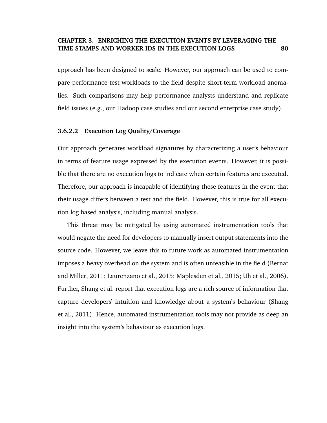approach has been designed to scale. However, our approach can be used to compare performance test workloads to the field despite short-term workload anomalies. Such comparisons may help performance analysts understand and replicate field issues (e.g., our Hadoop case studies and our second enterprise case study).

### **3.6.2.2 Execution Log Quality/Coverage**

Our approach generates workload signatures by characterizing a user's behaviour in terms of feature usage expressed by the execution events. However, it is possible that there are no execution logs to indicate when certain features are executed. Therefore, our approach is incapable of identifying these features in the event that their usage differs between a test and the field. However, this is true for all execution log based analysis, including manual analysis.

This threat may be mitigated by using automated instrumentation tools that would negate the need for developers to manually insert output statements into the source code. However, we leave this to future work as automated instrumentation imposes a heavy overhead on the system and is often unfeasible in the field (Bernat and Miller, 2011; Laurenzano et al., 2015; Maplesden et al., 2015; Uh et al., 2006). Further, Shang et al. report that execution logs are a rich source of information that capture developers' intuition and knowledge about a system's behaviour (Shang et al., 2011). Hence, automated instrumentation tools may not provide as deep an insight into the system's behaviour as execution logs.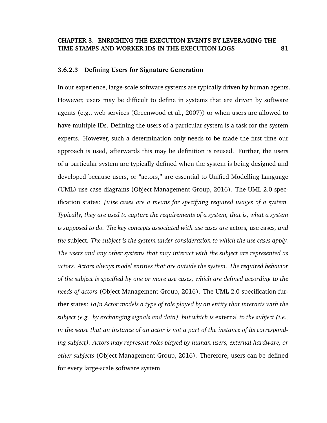#### **3.6.2.3 Defining Users for Signature Generation**

In our experience, large-scale software systems are typically driven by human agents. However, users may be difficult to define in systems that are driven by software agents (e.g., web services (Greenwood et al., 2007)) or when users are allowed to have multiple IDs. Defining the users of a particular system is a task for the system experts. However, such a determination only needs to be made the first time our approach is used, afterwards this may be definition is reused. Further, the users of a particular system are typically defined when the system is being designed and developed because users, or "actors," are essential to Unified Modelling Language (UML) use case diagrams (Object Management Group, 2016). The UML 2.0 specification states: *[u]se cases are a means for specifying required usages of a system. Typically, they are used to capture the requirements of a system, that is, what a system is supposed to do. The key concepts associated with use cases are* actors*,* use cases*, and the* subject*. The subject is the system under consideration to which the use cases apply. The users and any other systems that may interact with the subject are represented as actors. Actors always model entities that are outside the system. The required behavior of the subject is specified by one or more use cases, which are defined according to the needs of actors* (Object Management Group, 2016). The UML 2.0 specification further states: *[a]n Actor models a type of role played by an entity that interacts with the subject (e.g., by exchanging signals and data), but which is* external *to the subject (i.e., in the sense that an instance of an actor is not a part of the instance of its corresponding subject). Actors may represent roles played by human users, external hardware, or other subjects* (Object Management Group, 2016). Therefore, users can be defined for every large-scale software system.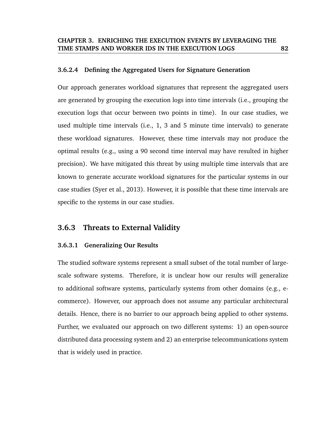#### **3.6.2.4 Defining the Aggregated Users for Signature Generation**

Our approach generates workload signatures that represent the aggregated users are generated by grouping the execution logs into time intervals (i.e., grouping the execution logs that occur between two points in time). In our case studies, we used multiple time intervals (i.e., 1, 3 and 5 minute time intervals) to generate these workload signatures. However, these time intervals may not produce the optimal results (e.g., using a 90 second time interval may have resulted in higher precision). We have mitigated this threat by using multiple time intervals that are known to generate accurate workload signatures for the particular systems in our case studies (Syer et al., 2013). However, it is possible that these time intervals are specific to the systems in our case studies.

## **3.6.3 Threats to External Validity**

### **3.6.3.1 Generalizing Our Results**

The studied software systems represent a small subset of the total number of largescale software systems. Therefore, it is unclear how our results will generalize to additional software systems, particularly systems from other domains (e.g., ecommerce). However, our approach does not assume any particular architectural details. Hence, there is no barrier to our approach being applied to other systems. Further, we evaluated our approach on two different systems: 1) an open-source distributed data processing system and 2) an enterprise telecommunications system that is widely used in practice.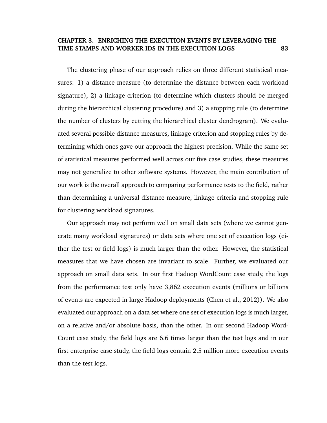The clustering phase of our approach relies on three different statistical measures: 1) a distance measure (to determine the distance between each workload signature), 2) a linkage criterion (to determine which clusters should be merged during the hierarchical clustering procedure) and 3) a stopping rule (to determine the number of clusters by cutting the hierarchical cluster dendrogram). We evaluated several possible distance measures, linkage criterion and stopping rules by determining which ones gave our approach the highest precision. While the same set of statistical measures performed well across our five case studies, these measures may not generalize to other software systems. However, the main contribution of our work is the overall approach to comparing performance tests to the field, rather than determining a universal distance measure, linkage criteria and stopping rule for clustering workload signatures.

Our approach may not perform well on small data sets (where we cannot generate many workload signatures) or data sets where one set of execution logs (either the test or field logs) is much larger than the other. However, the statistical measures that we have chosen are invariant to scale. Further, we evaluated our approach on small data sets. In our first Hadoop WordCount case study, the logs from the performance test only have 3,862 execution events (millions or billions of events are expected in large Hadoop deployments (Chen et al., 2012)). We also evaluated our approach on a data set where one set of execution logs is much larger, on a relative and/or absolute basis, than the other. In our second Hadoop Word-Count case study, the field logs are 6.6 times larger than the test logs and in our first enterprise case study, the field logs contain 2.5 million more execution events than the test logs.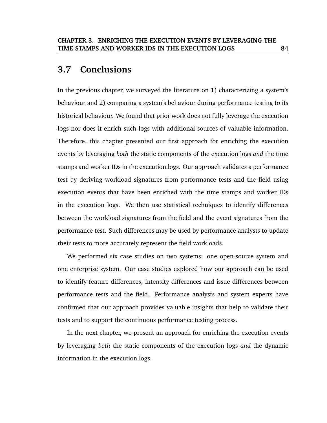# **3.7 Conclusions**

In the previous chapter, we surveyed the literature on 1) characterizing a system's behaviour and 2) comparing a system's behaviour during performance testing to its historical behaviour. We found that prior work does not fully leverage the execution logs nor does it enrich such logs with additional sources of valuable information. Therefore, this chapter presented our first approach for enriching the execution events by leveraging *both* the static components of the execution logs *and* the time stamps and worker IDs in the execution logs. Our approach validates a performance test by deriving workload signatures from performance tests and the field using execution events that have been enriched with the time stamps and worker IDs in the execution logs. We then use statistical techniques to identify differences between the workload signatures from the field and the event signatures from the performance test. Such differences may be used by performance analysts to update their tests to more accurately represent the field workloads.

We performed six case studies on two systems: one open-source system and one enterprise system. Our case studies explored how our approach can be used to identify feature differences, intensity differences and issue differences between performance tests and the field. Performance analysts and system experts have confirmed that our approach provides valuable insights that help to validate their tests and to support the continuous performance testing process.

In the next chapter, we present an approach for enriching the execution events by leveraging *both* the static components of the execution logs *and* the dynamic information in the execution logs.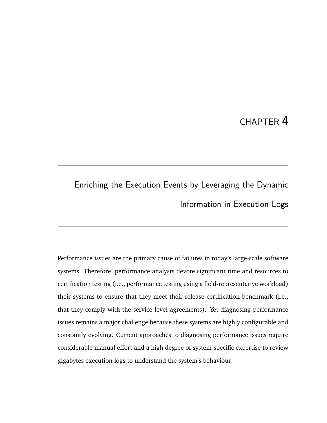# CHAPTER 4

# Enriching the Execution Events by Leveraging the Dynamic Information in Execution Logs

Performance issues are the primary cause of failures in today's large-scale software systems. Therefore, performance analysts devote significant time and resources to certification testing (i.e., performance testing using a field-representative workload) their systems to ensure that they meet their release certification benchmark (i.e., that they comply with the service level agreements). Yet diagnosing performance issues remains a major challenge because these systems are highly configurable and constantly evolving. Current approaches to diagnosing performance issues require considerable manual effort and a high degree of system-specific expertise to review gigabytes execution logs to understand the system's behaviour.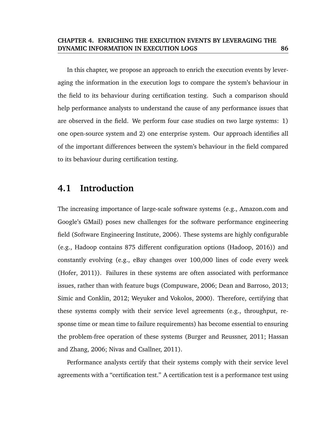In this chapter, we propose an approach to enrich the execution events by leveraging the information in the execution logs to compare the system's behaviour in the field to its behaviour during certification testing. Such a comparison should help performance analysts to understand the cause of any performance issues that are observed in the field. We perform four case studies on two large systems: 1) one open-source system and 2) one enterprise system. Our approach identifies all of the important differences between the system's behaviour in the field compared to its behaviour during certification testing.

# **4.1 Introduction**

The increasing importance of large-scale software systems (e.g., Amazon.com and Google's GMail) poses new challenges for the software performance engineering field (Software Engineering Institute, 2006). These systems are highly configurable (e.g., Hadoop contains 875 different configuration options (Hadoop, 2016)) and constantly evolving (e.g., eBay changes over 100,000 lines of code every week (Hofer, 2011)). Failures in these systems are often associated with performance issues, rather than with feature bugs (Compuware, 2006; Dean and Barroso, 2013; Simic and Conklin, 2012; Weyuker and Vokolos, 2000). Therefore, certifying that these systems comply with their service level agreements (e.g., throughput, response time or mean time to failure requirements) has become essential to ensuring the problem-free operation of these systems (Burger and Reussner, 2011; Hassan and Zhang, 2006; Nivas and Csallner, 2011).

Performance analysts certify that their systems comply with their service level agreements with a "certification test." A certification test is a performance test using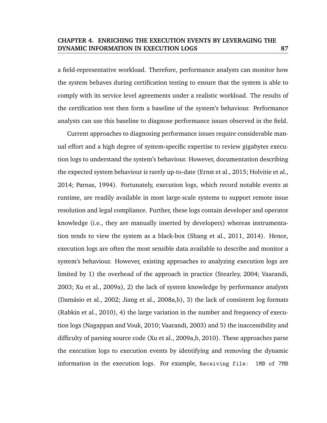a field-representative workload. Therefore, performance analysts can monitor how the system behaves during certification testing to ensure that the system is able to comply with its service level agreements under a realistic workload. The results of the certification test then form a baseline of the system's behaviour. Performance analysts can use this baseline to diagnose performance issues observed in the field.

Current approaches to diagnosing performance issues require considerable manual effort and a high degree of system-specific expertise to review gigabytes execution logs to understand the system's behaviour. However, documentation describing the expected system behaviour is rarely up-to-date (Ernst et al., 2015; Holvitie et al., 2014; Parnas, 1994). Fortunately, execution logs, which record notable events at runtime, are readily available in most large-scale systems to support remote issue resolution and legal compliance. Further, these logs contain developer and operator knowledge (i.e., they are manually inserted by developers) whereas instrumentation tends to view the system as a black-box (Shang et al., 2011, 2014). Hence, execution logs are often the most sensible data available to describe and monitor a system's behaviour. However, existing approaches to analyzing execution logs are limited by 1) the overhead of the approach in practice (Stearley, 2004; Vaarandi, 2003; Xu et al., 2009a), 2) the lack of system knowledge by performance analysts (Damásio et al., 2002; Jiang et al., 2008a,b), 3) the lack of consistent  $log$  formats (Rabkin et al., 2010), 4) the large variation in the number and frequency of execution logs (Nagappan and Vouk, 2010; Vaarandi, 2003) and 5) the inaccessibility and difficulty of parsing source code (Xu et al., 2009a,b, 2010). These approaches parse the execution logs to execution events by identifying and removing the dynamic information in the execution logs. For example, Receiving file: 1MB of 7MB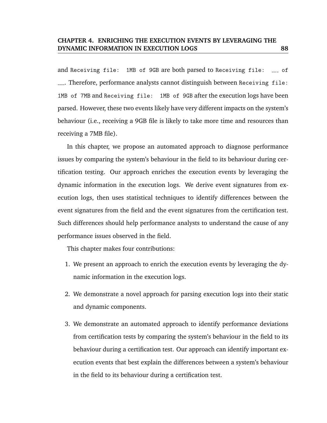and Receiving file: 1MB of 9GB are both parsed to Receiving file: \_\_ of . Therefore, performance analysts cannot distinguish between Receiving file: 1MB of 7MB and Receiving file: 1MB of 9GB after the execution logs have been parsed. However, these two events likely have very different impacts on the system's behaviour (i.e., receiving a 9GB file is likely to take more time and resources than receiving a 7MB file).

In this chapter, we propose an automated approach to diagnose performance issues by comparing the system's behaviour in the field to its behaviour during certification testing. Our approach enriches the execution events by leveraging the dynamic information in the execution logs. We derive event signatures from execution logs, then uses statistical techniques to identify differences between the event signatures from the field and the event signatures from the certification test. Such differences should help performance analysts to understand the cause of any performance issues observed in the field.

This chapter makes four contributions:

- 1. We present an approach to enrich the execution events by leveraging the dynamic information in the execution logs.
- 2. We demonstrate a novel approach for parsing execution logs into their static and dynamic components.
- 3. We demonstrate an automated approach to identify performance deviations from certification tests by comparing the system's behaviour in the field to its behaviour during a certification test. Our approach can identify important execution events that best explain the differences between a system's behaviour in the field to its behaviour during a certification test.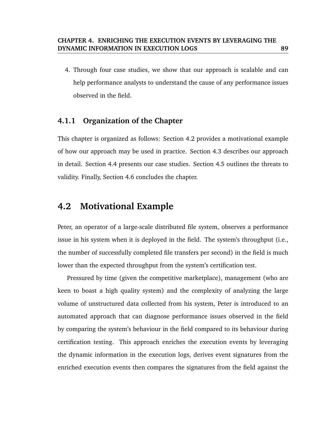4. Through four case studies, we show that our approach is scalable and can help performance analysts to understand the cause of any performance issues observed in the field.

# **4.1.1 Organization of the Chapter**

This chapter is organized as follows: Section 4.2 provides a motivational example of how our approach may be used in practice. Section 4.3 describes our approach in detail. Section 4.4 presents our case studies. Section 4.5 outlines the threats to validity. Finally, Section 4.6 concludes the chapter.

# **4.2 Motivational Example**

Peter, an operator of a large-scale distributed file system, observes a performance issue in his system when it is deployed in the field. The system's throughput (i.e., the number of successfully completed file transfers per second) in the field is much lower than the expected throughput from the system's certification test.

Pressured by time (given the competitive marketplace), management (who are keen to boast a high quality system) and the complexity of analyzing the large volume of unstructured data collected from his system, Peter is introduced to an automated approach that can diagnose performance issues observed in the field by comparing the system's behaviour in the field compared to its behaviour during certification testing. This approach enriches the execution events by leveraging the dynamic information in the execution logs, derives event signatures from the enriched execution events then compares the signatures from the field against the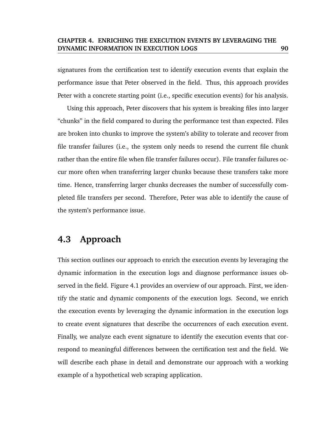signatures from the certification test to identify execution events that explain the performance issue that Peter observed in the field. Thus, this approach provides Peter with a concrete starting point (i.e., specific execution events) for his analysis.

Using this approach, Peter discovers that his system is breaking files into larger "chunks" in the field compared to during the performance test than expected. Files are broken into chunks to improve the system's ability to tolerate and recover from file transfer failures (i.e., the system only needs to resend the current file chunk rather than the entire file when file transfer failures occur). File transfer failures occur more often when transferring larger chunks because these transfers take more time. Hence, transferring larger chunks decreases the number of successfully completed file transfers per second. Therefore, Peter was able to identify the cause of the system's performance issue.

# **4.3 Approach**

This section outlines our approach to enrich the execution events by leveraging the dynamic information in the execution logs and diagnose performance issues observed in the field. Figure 4.1 provides an overview of our approach. First, we identify the static and dynamic components of the execution logs. Second, we enrich the execution events by leveraging the dynamic information in the execution logs to create event signatures that describe the occurrences of each execution event. Finally, we analyze each event signature to identify the execution events that correspond to meaningful differences between the certification test and the field. We will describe each phase in detail and demonstrate our approach with a working example of a hypothetical web scraping application.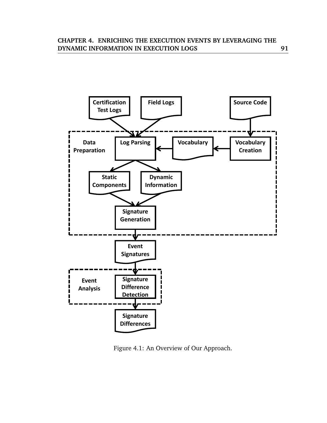

Figure 4.1: An Overview of Our Approach.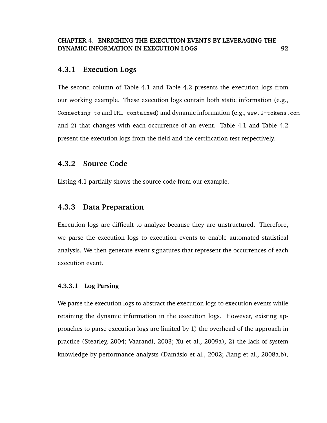# **4.3.1 Execution Logs**

The second column of Table 4.1 and Table 4.2 presents the execution logs from our working example. These execution logs contain both static information (e.g., Connecting to and URL contained) and dynamic information (e.g., www.2-tokens.com and 2) that changes with each occurrence of an event. Table 4.1 and Table 4.2 present the execution logs from the field and the certification test respectively.

# **4.3.2 Source Code**

Listing 4.1 partially shows the source code from our example.

# **4.3.3 Data Preparation**

Execution logs are difficult to analyze because they are unstructured. Therefore, we parse the execution logs to execution events to enable automated statistical analysis. We then generate event signatures that represent the occurrences of each execution event.

## **4.3.3.1 Log Parsing**

We parse the execution logs to abstract the execution logs to execution events while retaining the dynamic information in the execution logs. However, existing approaches to parse execution logs are limited by 1) the overhead of the approach in practice (Stearley, 2004; Vaarandi, 2003; Xu et al., 2009a), 2) the lack of system knowledge by performance analysts (Damásio et al., 2002; Jiang et al., 2008a,b),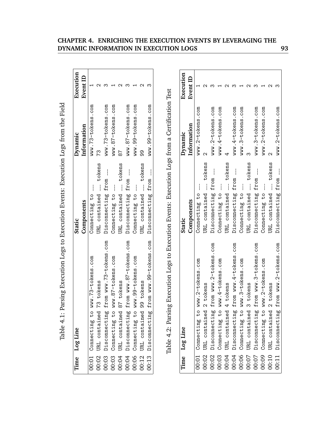|       | l'ime Log Line          |                                                                                                                                                                                                   | Static                      | Dynamic           | Execution       |
|-------|-------------------------|---------------------------------------------------------------------------------------------------------------------------------------------------------------------------------------------------|-----------------------------|-------------------|-----------------|
|       |                         |                                                                                                                                                                                                   | Components                  | Information       | <b>Event ID</b> |
|       |                         | 00:01 Connecting to www.73-tokens.com                                                                                                                                                             | Connecting to               | www.73-tokens.com |                 |
| 0:02  | URL contained 73 tokens |                                                                                                                                                                                                   | URL contained __ tokens     | 73                |                 |
| 00:03 |                         | Disconnecting from www.73-tokens.com                                                                                                                                                              | Disconnecting from __       | www.73-tokens.com |                 |
|       |                         |                                                                                                                                                                                                   | Connecting to               | www.87-tokens.com |                 |
|       |                         |                                                                                                                                                                                                   | tokens<br>JRL contained ___ | 78                |                 |
|       |                         | Disconnecting from www.87-tokens.com<br>00:03 Connecting to www.87-tokens.com<br>00:04 URL contained 87 tokens<br>00:04 Disconnecting from www.87-tokens<br>00:06 Connecting to www.99-tokens.com | Disconnecting from __       | www.87-tokens.com |                 |
|       |                         |                                                                                                                                                                                                   | Connecting to __            | www.99-tokens.com |                 |
| 0:12  | URL contained 99 tokens |                                                                                                                                                                                                   | URL contained __ tokens     | ඉ<br>ඉ            |                 |
|       |                         | 00:13 Disconnecting from www.99-tokens.com                                                                                                                                                        | Disconnecting from __       | www.99-tokens.com |                 |
|       |                         |                                                                                                                                                                                                   |                             |                   |                 |

| j                                                      |
|--------------------------------------------------------|
|                                                        |
| 22.222                                                 |
|                                                        |
| - 1416-1416 - 1416-1417 - 1416-1417                    |
| I<br>֧֚֝<br>֧֧֧֚֚֝֝֘׆֧֚                                |
| thought production   oct to production production<br>I |
|                                                        |
| I                                                      |
|                                                        |
|                                                        |
|                                                        |
| I                                                      |
|                                                        |
|                                                        |
|                                                        |
|                                                        |

|       | Time Log Line                                     | <b>Static</b>                          | Dynamic           | Execution          |
|-------|---------------------------------------------------|----------------------------------------|-------------------|--------------------|
|       |                                                   | Components                             | Information       | Event ID           |
| 00:01 | www.73-tokens.com<br>t <sub>0</sub><br>Connecting | Connecting to                          | www.73-tokens.com |                    |
| 00:02 | 73 tokens<br>URL contained                        | tokens<br>URL contained                | 73                | $\scriptstyle\sim$ |
| 00:03 | from www.73-tokens.com<br>Disconnecting           | from<br>Disconnecting                  | www.73-tokens.com | ო                  |
| 00:03 | www.87-tokens.com<br>Connecting to                | Connecting to                          | www.87-tokens.com |                    |
| 00:04 | 87 tokens<br>URL contained                        | tokens<br>URL contained                | 78                |                    |
| 00:04 | from www.87-tokens.com<br>Disconnecting           | from ___<br>Disconnecting              | www.87-tokens.com | ო                  |
| 00:06 | www.99-tokens.com<br>Connecting to                | Connecting to                          | www.99-tokens.com |                    |
| 00:12 | 99 tokens<br>URL contained                        | tokens<br>URL contained                | 99                | $\scriptstyle\sim$ |
| 00:13 | from www.99-tokens.com<br>Disconnecting           | from<br>Disconnecting                  | www.99-tokens.com | ო                  |
| Time  | Log Line                                          | Static                                 | Dynamic           | Execution          |
|       |                                                   |                                        |                   |                    |
|       |                                                   | Components                             | Information       | <b>Event ID</b>    |
| 00:01 | www.2-tokens.com<br>$\overline{c}$<br>Connecting  | Connecting to                          | www.2-tokens.com  |                    |
| 00:02 | 2 tokens<br>URL contained                         | tokens<br>URL contained                | $\mathbf{\Omega}$ |                    |
| 00:02 | from www.2-tokens.com<br>Disconnecting            | $\frac{1}{2}$<br>from<br>Disconnecting | www.2-tokens.com  |                    |
| 00:03 | www.4-tokens.com<br>Connecting to                 | Connecting to                          | www.4-tokens.com  |                    |
| 00:04 | 4 tokens<br>URL contained                         | tokens<br>URL contained                | 4                 |                    |
| 00:04 | from www.4-tokens.com<br>Disconnecting            | from<br>Disconnecting                  | www.4-tokens.com  |                    |
| 00:06 | www.3-tokens.com<br>Connecting to                 | Connecting to                          | www.3-tokens.com  |                    |
| 00:07 | 3 tokens<br>URL contained                         | tokens<br>URL contained                | ო                 |                    |
| 00:07 | from www.3-tokens.com<br>Disconnecting            | from<br>Disconnecting                  | www.3-tokens.com  |                    |
| 00:09 | www.2-tokens.com<br>Connecting to                 | Connecting to                          | www.2-tokens.com  |                    |
| 00:10 | 2 tokens<br>URL contained                         | tokens<br>URL contained                | $\mathsf{\alpha}$ | $\scriptstyle\sim$ |
| 00:11 | from www.2-tokens.com<br>Disconnecting            | Disconnecting from __                  | www.2-tokens.com  | ო                  |
|       |                                                   |                                        |                   |                    |

## **CHAPTER 4. ENRICHING THE EXECUTION EVENTS BY LEVERAGING THE DYNAMIC INFORMATION IN EXECUTION LOGS 93**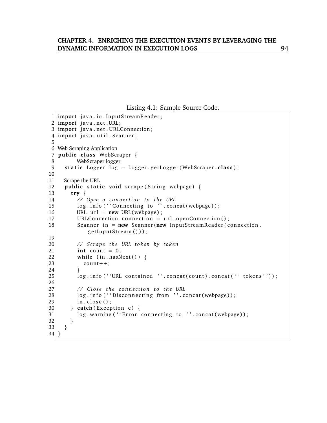Listing 4.1: Sample Source Code.

```
1 import java.io. InputStreamReader;
2 import java.net.URL;
3 import java.net.URLConnection;
4 import java.util. Scanner;
5
6 Web Scraping Application
7 public class WebScraper {
8 WebScraper logger<br>9 static Logger log
    static Logger log = Logger.getLogger(WebScraper.class);
10
11 Scrape the URL
12 public static void scrape (String webpage) {
13 try {
14 // Open a connection to the URL
15 log.info ("Connecting to "'.concat (webpage));
16 URL url = new URL(webpage);
17 URLConnection connection = url.openConnection();
18 Scanner in = new Scanner (new InputStreamReader (connection.
            getInputStream() ) ;
19
20 // Scrape the URL token by token
21 int count = 0;
22 while (in . hasNext()) {
23 count++;
\frac{24}{25}log.info(''URL contained ''.concat(count).concat(' ' tokens ''));
26
27 // Close the connection to the URL
28 log.info ("Disconnecting from ''.concat (webpage));
29 in . close ();
30 } catch (Exception e) {
31 log.warning ("Error connecting to ".concat (webpage));
32 }
33 }
34 }
```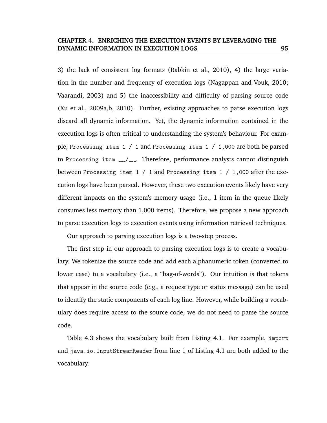3) the lack of consistent log formats (Rabkin et al., 2010), 4) the large variation in the number and frequency of execution logs (Nagappan and Vouk, 2010; Vaarandi, 2003) and 5) the inaccessibility and difficulty of parsing source code (Xu et al., 2009a,b, 2010). Further, existing approaches to parse execution logs discard all dynamic information. Yet, the dynamic information contained in the execution logs is often critical to understanding the system's behaviour. For example, Processing item 1 / 1 and Processing item 1 / 1,000 are both be parsed to Processing item  $\frac{1}{2}$ . Therefore, performance analysts cannot distinguish between Processing item 1 / 1 and Processing item 1 / 1,000 after the execution logs have been parsed. However, these two execution events likely have very different impacts on the system's memory usage (i.e., 1 item in the queue likely consumes less memory than 1,000 items). Therefore, we propose a new approach to parse execution logs to execution events using information retrieval techniques.

Our approach to parsing execution logs is a two-step process.

The first step in our approach to parsing execution logs is to create a vocabulary. We tokenize the source code and add each alphanumeric token (converted to lower case) to a vocabulary (i.e., a "bag-of-words"). Our intuition is that tokens that appear in the source code (e.g., a request type or status message) can be used to identify the static components of each log line. However, while building a vocabulary does require access to the source code, we do not need to parse the source code.

Table 4.3 shows the vocabulary built from Listing 4.1. For example, import and java.io.InputStreamReader from line 1 of Listing 4.1 are both added to the vocabulary.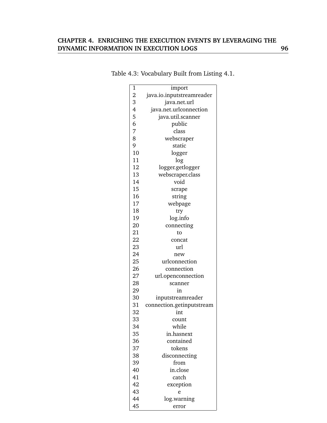# **CHAPTER 4. ENRICHING THE EXECUTION EVENTS BY LEVERAGING THE DYNAMIC INFORMATION IN EXECUTION LOGS 96**

| 1     | import                    |
|-------|---------------------------|
|       | java.io.inputstreamreader |
| 23456 | java.net.url              |
|       | java.net.urlconnection    |
|       | java.util.scanner         |
|       | public                    |
| 7     | class                     |
| 8     | webscraper                |
| 9     | static                    |
| 10    | logger                    |
| 11    | log                       |
| 12    | logger.getlogger          |
| 13    | webscraper.class          |
| 14    | void                      |
| 15    | scrape                    |
| 16    | string                    |
| 17    | webpage                   |
| 18    | try                       |
| 19    | log.info                  |
| 20    | connecting                |
| 21    | to                        |
| 22    | concat                    |
| 23    | url                       |
| 24    | new                       |
| 25    | urlconnection             |
| 26    | connection                |
| 27    | url.openconnection        |
| 28    | scanner                   |
| 29    | in                        |
| 30    | inputstreamreader         |
| 31    | connection.getinputstream |
| 32    | int                       |
| 33    | count                     |
| 34    | while                     |
| 35    | in.hasnext                |
| 36    | contained                 |
| 37    | tokens                    |
| 38    | disconnecting             |
| 39    | from                      |
| 40    | in.close                  |
| 41    | catch                     |
| 42    | exception                 |
| 43    | e                         |
| 44    | log.warning               |
| 45    | error                     |

# Table 4.3: Vocabulary Built from Listing 4.1.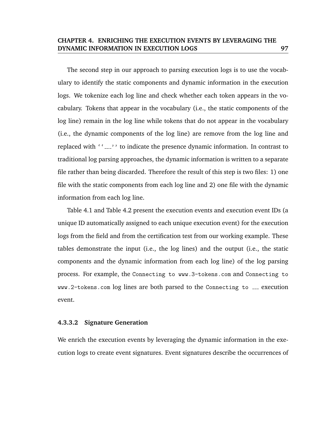The second step in our approach to parsing execution logs is to use the vocabulary to identify the static components and dynamic information in the execution logs. We tokenize each log line and check whether each token appears in the vocabulary. Tokens that appear in the vocabulary (i.e., the static components of the log line) remain in the log line while tokens that do not appear in the vocabulary (i.e., the dynamic components of the log line) are remove from the log line and replaced with ''...,'' to indicate the presence dynamic information. In contrast to traditional log parsing approaches, the dynamic information is written to a separate file rather than being discarded. Therefore the result of this step is two files: 1) one file with the static components from each log line and 2) one file with the dynamic information from each log line.

Table 4.1 and Table 4.2 present the execution events and execution event IDs (a unique ID automatically assigned to each unique execution event) for the execution logs from the field and from the certification test from our working example. These tables demonstrate the input (i.e., the log lines) and the output (i.e., the static components and the dynamic information from each log line) of the log parsing process. For example, the Connecting to www.3-tokens.com and Connecting to  $www.2-tokens.com log lines are both parsed to the Connectivity to  $z$ - execution$ event.

#### **4.3.3.2 Signature Generation**

We enrich the execution events by leveraging the dynamic information in the execution logs to create event signatures. Event signatures describe the occurrences of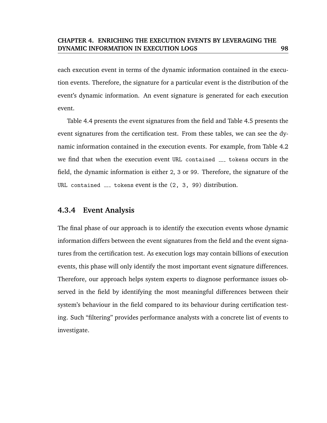each execution event in terms of the dynamic information contained in the execution events. Therefore, the signature for a particular event is the distribution of the event's dynamic information. An event signature is generated for each execution event.

Table 4.4 presents the event signatures from the field and Table 4.5 presents the event signatures from the certification test. From these tables, we can see the dynamic information contained in the execution events. For example, from Table 4.2 we find that when the execution event URL contained  $\sim$  tokens occurs in the field, the dynamic information is either 2, 3 or 99. Therefore, the signature of the URL contained  $\sim$  tokens event is the (2, 3, 99) distribution.

# **4.3.4 Event Analysis**

The final phase of our approach is to identify the execution events whose dynamic information differs between the event signatures from the field and the event signatures from the certification test. As execution logs may contain billions of execution events, this phase will only identify the most important event signature differences. Therefore, our approach helps system experts to diagnose performance issues observed in the field by identifying the most meaningful differences between their system's behaviour in the field compared to its behaviour during certification testing. Such "filtering" provides performance analysts with a concrete list of events to investigate.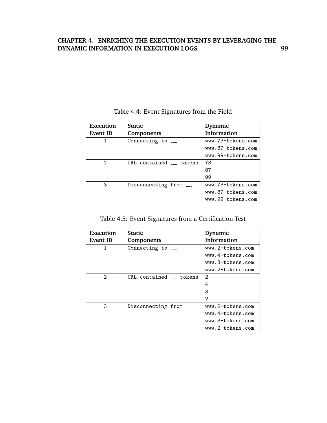| Execution       | <b>Static</b>                          | Dynamic            |
|-----------------|----------------------------------------|--------------------|
| <b>Event ID</b> | Components                             | <b>Information</b> |
| 1               | Connecting to $\overline{\phantom{a}}$ | www.73-tokens.com  |
|                 |                                        | www.87-tokens.com  |
|                 |                                        | www.99-tokens.com  |
| 2               | URL contained __ tokens                | 73                 |
|                 |                                        | 87                 |
|                 |                                        | 99                 |
| 3               | Disconnecting from ___                 | www.73-tokens.com  |
|                 |                                        | www.87-tokens.com  |
|                 |                                        | www.99-tokens.com  |

# Table 4.4: Event Signatures from the Field

| Table 4.5: Event Signatures from a Certification Test |  |  |  |
|-------------------------------------------------------|--|--|--|
|                                                       |  |  |  |

| Execution       | <b>Static</b>          | Dynamic            |
|-----------------|------------------------|--------------------|
| <b>Event ID</b> | Components             | <b>Information</b> |
| 1               | Connecting to $_{---}$ | www.2-tokens.com   |
|                 |                        | www.4-tokens.com   |
|                 |                        | www.3-tokens.com   |
|                 |                        | www.2-tokens.com   |
| 2               | URL contained tokens   | $\mathcal{D}_{1}$  |
|                 |                        | 4                  |
|                 |                        | 3                  |
|                 |                        | 2                  |
| 3               | Disconnecting from     | www.2-tokens.com   |
|                 |                        | www.4-tokens.com   |
|                 |                        | www.3-tokens.com   |
|                 |                        | www.2-tokens.com   |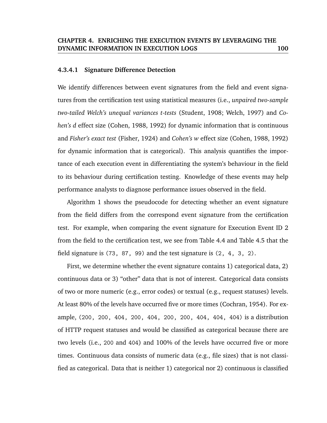#### **4.3.4.1 Signature Difference Detection**

We identify differences between event signatures from the field and event signatures from the certification test using statistical measures (i.e., *unpaired two-sample two-tailed Welch's unequal variances t-tests* (Student, 1908; Welch, 1997) and *Cohen's d* effect size (Cohen, 1988, 1992) for dynamic information that is continuous and *Fisher's exact test* (Fisher, 1924) and *Cohen's w* effect size (Cohen, 1988, 1992) for dynamic information that is categorical). This analysis quantifies the importance of each execution event in differentiating the system's behaviour in the field to its behaviour during certification testing. Knowledge of these events may help performance analysts to diagnose performance issues observed in the field.

Algorithm 1 shows the pseudocode for detecting whether an event signature from the field differs from the correspond event signature from the certification test. For example, when comparing the event signature for Execution Event ID 2 from the field to the certification test, we see from Table 4.4 and Table 4.5 that the field signature is (73, 87, 99) and the test signature is (2, 4, 3, 2).

First, we determine whether the event signature contains 1) categorical data, 2) continuous data or 3) "other" data that is not of interest. Categorical data consists of two or more numeric (e.g., error codes) or textual (e.g., request statuses) levels. At least 80% of the levels have occurred five or more times (Cochran, 1954). For example, (200, 200, 404, 200, 404, 200, 200, 404, 404, 404) is a distribution of HTTP request statuses and would be classified as categorical because there are two levels (i.e., 200 and 404) and 100% of the levels have occurred five or more times. Continuous data consists of numeric data (e.g., file sizes) that is not classified as categorical. Data that is neither 1) categorical nor 2) continuous is classified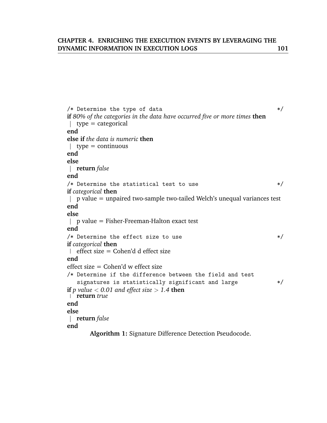```
/* Determine the type of data */if 80% of the categories in the data have occurred five or more times then
\vert type = categorical
end
else if the data is numeric then
| type = continuous
end
else
return false
end
/* Determine the statistical test to use */
if categorical then
\parallel p value = unpaired two-sample two-tailed Welch's unequal variances test
end
else
\Box p value = Fisher-Freeman-Halton exact test
end
/* Determine the effect size to use *if categorical then
\left| \right| effect size = Cohen'd d effect size
end
effect size = Cohen'd w effect size
/* Determine if the difference between the field and test
   signatures is statistically significant and large */
if p value < 0.01 and effect size > 1.4 then
return true
end
else
return false
end
      Algorithm 1: Signature Difference Detection Pseudocode.
```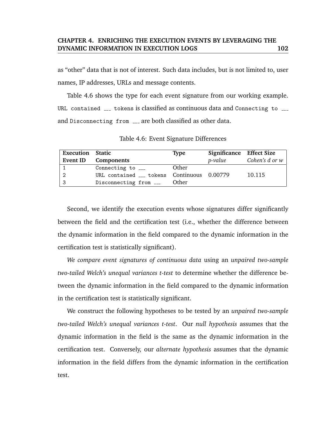as "other" data that is not of interest. Such data includes, but is not limited to, user names, IP addresses, URLs and message contents.

Table 4.6 shows the type for each event signature from our working example. URL contained <sub>---</sub> tokens is classified as continuous data and Connecting to <sub>---</sub> and Disconnecting from \_\_\_ are both classified as other data.

**Execution Static Type Significance Effect Size Event ID Components** *p-value Cohen's d or w* 1 Connecting to \_\_\_ Other 2 URL contained <sub>---</sub> tokens Continuous 0.00779 10.115

3 Disconnecting from \_\_\_ Other

Table 4.6: Event Signature Differences

Second, we identify the execution events whose signatures differ significantly between the field and the certification test (i.e., whether the difference between the dynamic information in the field compared to the dynamic information in the certification test is statistically significant).

*We compare event signatures of continuous data* using an *unpaired two-sample two-tailed Welch's unequal variances t-test* to determine whether the difference between the dynamic information in the field compared to the dynamic information in the certification test is statistically significant.

We construct the following hypotheses to be tested by an *unpaired two-sample two-tailed Welch's unequal variances t-test*. Our *null hypothesis* assumes that the dynamic information in the field is the same as the dynamic information in the certification test. Conversely, our *alternate hypothesis* assumes that the dynamic information in the field differs from the dynamic information in the certification test.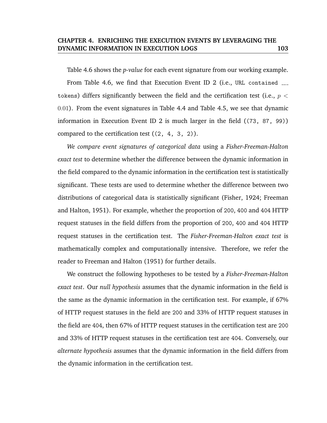Table 4.6 shows the *p-value* for each event signature from our working example. From Table 4.6, we find that Execution Event ID 2 (i.e., URL contained \_\_\_ tokens) differs significantly between the field and the certification test (i.e.,  $p <$ 0.01). From the event signatures in Table 4.4 and Table 4.5, we see that dynamic information in Execution Event ID 2 is much larger in the field ((73, 87, 99)) compared to the certification test  $((2, 4, 3, 2))$ .

*We compare event signatures of categorical data* using a *Fisher-Freeman-Halton exact test* to determine whether the difference between the dynamic information in the field compared to the dynamic information in the certification test is statistically significant. These tests are used to determine whether the difference between two distributions of categorical data is statistically significant (Fisher, 1924; Freeman and Halton, 1951). For example, whether the proportion of 200, 400 and 404 HTTP request statuses in the field differs from the proportion of 200, 400 and 404 HTTP request statuses in the certification test. The *Fisher-Freeman-Halton exact test* is mathematically complex and computationally intensive. Therefore, we refer the reader to Freeman and Halton (1951) for further details.

We construct the following hypotheses to be tested by a *Fisher-Freeman-Halton exact test*. Our *null hypothesis* assumes that the dynamic information in the field is the same as the dynamic information in the certification test. For example, if 67% of HTTP request statuses in the field are 200 and 33% of HTTP request statuses in the field are 404, then 67% of HTTP request statuses in the certification test are 200 and 33% of HTTP request statuses in the certification test are 404. Conversely, our *alternate hypothesis* assumes that the dynamic information in the field differs from the dynamic information in the certification test.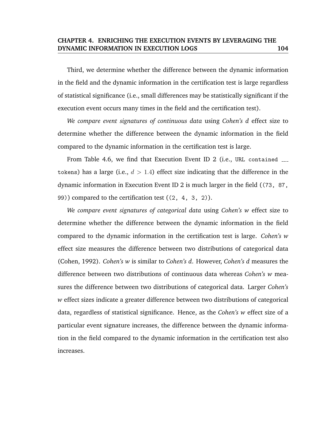Third, we determine whether the difference between the dynamic information in the field and the dynamic information in the certification test is large regardless of statistical significance (i.e., small differences may be statistically significant if the execution event occurs many times in the field and the certification test).

*We compare event signatures of continuous data* using *Cohen's d* effect size to determine whether the difference between the dynamic information in the field compared to the dynamic information in the certification test is large.

From Table 4.6, we find that Execution Event ID 2 (i.e., URL contained \_\_\_ tokens) has a large (i.e.,  $d > 1.4$ ) effect size indicating that the difference in the dynamic information in Execution Event ID 2 is much larger in the field ((73, 87, 99)) compared to the certification test ((2, 4, 3, 2)).

*We compare event signatures of categorical data* using *Cohen's w* effect size to determine whether the difference between the dynamic information in the field compared to the dynamic information in the certification test is large. *Cohen's w* effect size measures the difference between two distributions of categorical data (Cohen, 1992). *Cohen's w* is similar to *Cohen's d*. However, *Cohen's d* measures the difference between two distributions of continuous data whereas *Cohen's w* measures the difference between two distributions of categorical data. Larger *Cohen's w* effect sizes indicate a greater difference between two distributions of categorical data, regardless of statistical significance. Hence, as the *Cohen's w* effect size of a particular event signature increases, the difference between the dynamic information in the field compared to the dynamic information in the certification test also increases.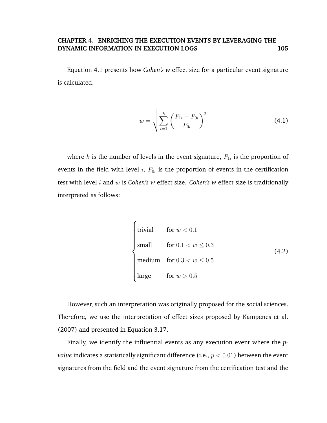Equation 4.1 presents how *Cohen's w* effect size for a particular event signature is calculated.

$$
w = \sqrt{\sum_{i=1}^{k} \left( \frac{P_{1i} - P_{0i}}{P_{0i}} \right)^2}
$$
(4.1)

where  $k$  is the number of levels in the event signature,  $P_{1i}$  is the proportion of events in the field with level  $i,~P_{0i}$  is the proportion of events in the certification test with level i and w is *Cohen's w* effect size. *Cohen's w* effect size is traditionally interpreted as follows:

 $\epsilon$ 

trivial for 
$$
w < 0.1
$$

\nsmall for  $0.1 < w \leq 0.3$ 

\nmedium for  $0.3 < w \leq 0.5$ 

\nlarge for  $w > 0.5$ 

\n(4.2)

However, such an interpretation was originally proposed for the social sciences. Therefore, we use the interpretation of effect sizes proposed by Kampenes et al. (2007) and presented in Equation 3.17.

Finally, we identify the influential events as any execution event where the *pvalue* indicates a statistically significant difference (i.e.,  $p < 0.01$ ) between the event signatures from the field and the event signature from the certification test and the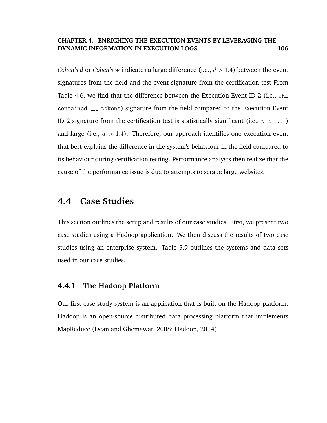*Cohen's d* or *Cohen's w* indicates a large difference (i.e.,  $d > 1.4$ ) between the event signatures from the field and the event signature from the certification test From Table 4.6, we find that the difference between the Execution Event ID 2 (i.e., URL contained <sub>---</sub> tokens) signature from the field compared to the Execution Event ID 2 signature from the certification test is statistically significant (i.e.,  $p < 0.01$ ) and large (i.e.,  $d > 1.4$ ). Therefore, our approach identifies one execution event that best explains the difference in the system's behaviour in the field compared to its behaviour during certification testing. Performance analysts then realize that the cause of the performance issue is due to attempts to scrape large websites.

# **4.4 Case Studies**

This section outlines the setup and results of our case studies. First, we present two case studies using a Hadoop application. We then discuss the results of two case studies using an enterprise system. Table 5.9 outlines the systems and data sets used in our case studies.

# **4.4.1 The Hadoop Platform**

Our first case study system is an application that is built on the Hadoop platform. Hadoop is an open-source distributed data processing platform that implements MapReduce (Dean and Ghemawat, 2008; Hadoop, 2014).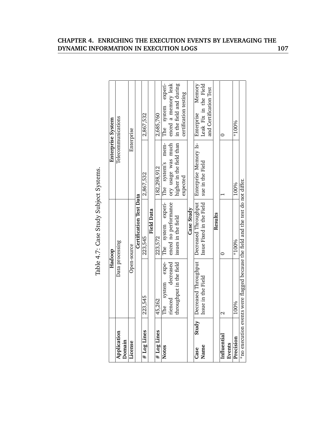|                             |                         | Table 4.7: Case Study Subject Systems.                                          |                          |                         |
|-----------------------------|-------------------------|---------------------------------------------------------------------------------|--------------------------|-------------------------|
|                             |                         | Hadoop                                                                          | Enterprise System        |                         |
| Application<br><b>Omain</b> |                         | Data processing                                                                 | Telecommunications       |                         |
| License                     |                         | Open-source                                                                     | Enterprise               |                         |
|                             |                         | Certification Test Data                                                         |                          |                         |
| # Log Lines                 | 223,545                 | 223,545                                                                         | 2,867,532                | 2,867,532               |
|                             |                         | <b>Field Data</b>                                                               |                          |                         |
| # Log Lines                 | 45,262                  | 223,572                                                                         | 182,298,912              | 2,685,760               |
| <b>Notes</b>                | expe-<br>system<br>The  | The system experi-                                                              | The system's mem-        | system experi-<br>The   |
|                             | decreased<br>rienced    | enced no performance                                                            | ory usage was much       | enced a memory leak     |
|                             | throughput in the field | issues in the field                                                             | higher in the field than | in the field and during |
|                             |                         |                                                                                 | expected                 | certification testing   |
|                             |                         | Case Study                                                                      |                          |                         |
| Study<br>Case               | Decreased Throughput    | Decreased Throughput                                                            | Enterprise Memory Is-    | Memory<br>Enterprise    |
| Name                        | Issue in the Field      | Issue Fixed in the Field                                                        | sue in the Field         | Leak Fix in the Field   |
|                             |                         |                                                                                 |                          | and Certification Test  |
|                             |                         | Results                                                                         |                          |                         |
| Influentia                  | 2                       |                                                                                 |                          | 0                       |
| Events                      |                         |                                                                                 |                          |                         |
| Precision                   | 100%                    | $*100\%$                                                                        | 100%                     | $*100\%$                |
|                             |                         | *no execution events were flagged because the field and the test do not differ. |                          |                         |

Table 4.7: Case Study Subject Systems.

# **CHAPTER 4. ENRICHING THE EXECUTION EVENTS BY LEVERAGING THE DYNAMIC INFORMATION IN EXECUTION LOGS 107**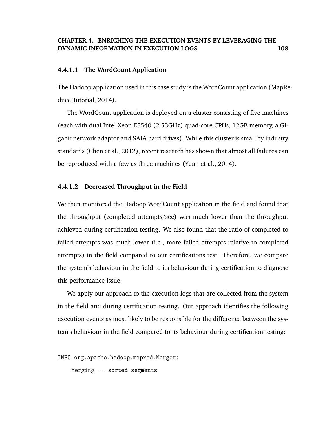#### **4.4.1.1 The WordCount Application**

The Hadoop application used in this case study is the WordCount application (MapReduce Tutorial, 2014).

The WordCount application is deployed on a cluster consisting of five machines (each with dual Intel Xeon E5540 (2.53GHz) quad-core CPUs, 12GB memory, a Gigabit network adaptor and SATA hard drives). While this cluster is small by industry standards (Chen et al., 2012), recent research has shown that almost all failures can be reproduced with a few as three machines (Yuan et al., 2014).

#### **4.4.1.2 Decreased Throughput in the Field**

We then monitored the Hadoop WordCount application in the field and found that the throughput (completed attempts/sec) was much lower than the throughput achieved during certification testing. We also found that the ratio of completed to failed attempts was much lower (i.e., more failed attempts relative to completed attempts) in the field compared to our certifications test. Therefore, we compare the system's behaviour in the field to its behaviour during certification to diagnose this performance issue.

We apply our approach to the execution logs that are collected from the system in the field and during certification testing. Our approach identifies the following execution events as most likely to be responsible for the difference between the system's behaviour in the field compared to its behaviour during certification testing:

INFO org.apache.hadoop.mapred.Merger:

Merging \_\_\_ sorted segments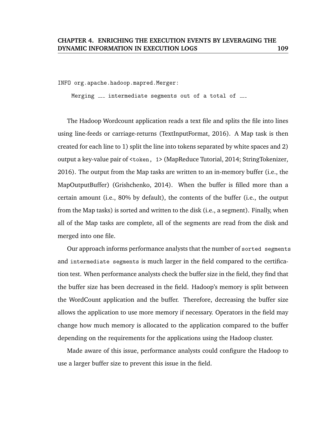INFO org.apache.hadoop.mapred.Merger:

Merging <sub>---</sub> intermediate segments out of a total of <sub>---</sub>

The Hadoop Wordcount application reads a text file and splits the file into lines using line-feeds or carriage-returns (TextInputFormat, 2016). A Map task is then created for each line to 1) split the line into tokens separated by white spaces and 2) output a key-value pair of <token, 1> (MapReduce Tutorial, 2014; StringTokenizer, 2016). The output from the Map tasks are written to an in-memory buffer (i.e., the MapOutputBuffer) (Grishchenko, 2014). When the buffer is filled more than a certain amount (i.e., 80% by default), the contents of the buffer (i.e., the output from the Map tasks) is sorted and written to the disk (i.e., a segment). Finally, when all of the Map tasks are complete, all of the segments are read from the disk and merged into one file.

Our approach informs performance analysts that the number of sorted segments and intermediate segments is much larger in the field compared to the certification test. When performance analysts check the buffer size in the field, they find that the buffer size has been decreased in the field. Hadoop's memory is split between the WordCount application and the buffer. Therefore, decreasing the buffer size allows the application to use more memory if necessary. Operators in the field may change how much memory is allocated to the application compared to the buffer depending on the requirements for the applications using the Hadoop cluster.

Made aware of this issue, performance analysts could configure the Hadoop to use a larger buffer size to prevent this issue in the field.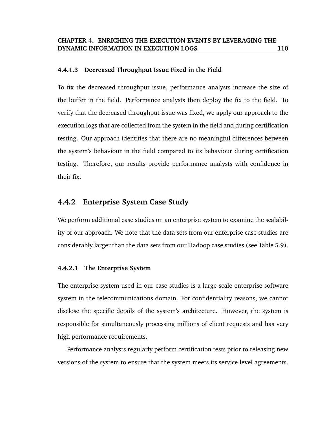#### **4.4.1.3 Decreased Throughput Issue Fixed in the Field**

To fix the decreased throughput issue, performance analysts increase the size of the buffer in the field. Performance analysts then deploy the fix to the field. To verify that the decreased throughput issue was fixed, we apply our approach to the execution logs that are collected from the system in the field and during certification testing. Our approach identifies that there are no meaningful differences between the system's behaviour in the field compared to its behaviour during certification testing. Therefore, our results provide performance analysts with confidence in their fix.

## **4.4.2 Enterprise System Case Study**

We perform additional case studies on an enterprise system to examine the scalability of our approach. We note that the data sets from our enterprise case studies are considerably larger than the data sets from our Hadoop case studies (see Table 5.9).

#### **4.4.2.1 The Enterprise System**

The enterprise system used in our case studies is a large-scale enterprise software system in the telecommunications domain. For confidentiality reasons, we cannot disclose the specific details of the system's architecture. However, the system is responsible for simultaneously processing millions of client requests and has very high performance requirements.

Performance analysts regularly perform certification tests prior to releasing new versions of the system to ensure that the system meets its service level agreements.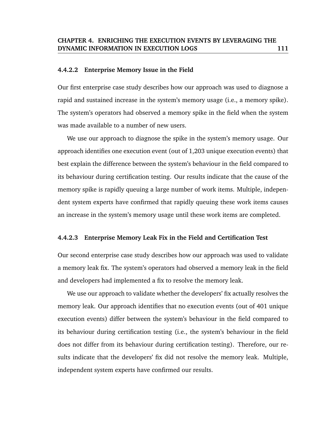#### **4.4.2.2 Enterprise Memory Issue in the Field**

Our first enterprise case study describes how our approach was used to diagnose a rapid and sustained increase in the system's memory usage (i.e., a memory spike). The system's operators had observed a memory spike in the field when the system was made available to a number of new users.

We use our approach to diagnose the spike in the system's memory usage. Our approach identifies one execution event (out of 1,203 unique execution events) that best explain the difference between the system's behaviour in the field compared to its behaviour during certification testing. Our results indicate that the cause of the memory spike is rapidly queuing a large number of work items. Multiple, independent system experts have confirmed that rapidly queuing these work items causes an increase in the system's memory usage until these work items are completed.

### **4.4.2.3 Enterprise Memory Leak Fix in the Field and Certification Test**

Our second enterprise case study describes how our approach was used to validate a memory leak fix. The system's operators had observed a memory leak in the field and developers had implemented a fix to resolve the memory leak.

We use our approach to validate whether the developers' fix actually resolves the memory leak. Our approach identifies that no execution events (out of 401 unique execution events) differ between the system's behaviour in the field compared to its behaviour during certification testing (i.e., the system's behaviour in the field does not differ from its behaviour during certification testing). Therefore, our results indicate that the developers' fix did not resolve the memory leak. Multiple, independent system experts have confirmed our results.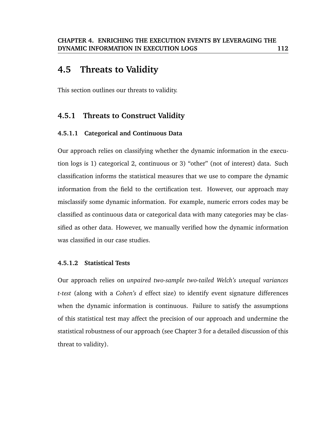# **4.5 Threats to Validity**

This section outlines our threats to validity.

# **4.5.1 Threats to Construct Validity**

# **4.5.1.1 Categorical and Continuous Data**

Our approach relies on classifying whether the dynamic information in the execution logs is 1) categorical 2, continuous or 3) "other" (not of interest) data. Such classification informs the statistical measures that we use to compare the dynamic information from the field to the certification test. However, our approach may misclassify some dynamic information. For example, numeric errors codes may be classified as continuous data or categorical data with many categories may be classified as other data. However, we manually verified how the dynamic information was classified in our case studies.

## **4.5.1.2 Statistical Tests**

Our approach relies on *unpaired two-sample two-tailed Welch's unequal variances t-test* (along with a *Cohen's d* effect size) to identify event signature differences when the dynamic information is continuous. Failure to satisfy the assumptions of this statistical test may affect the precision of our approach and undermine the statistical robustness of our approach (see Chapter 3 for a detailed discussion of this threat to validity).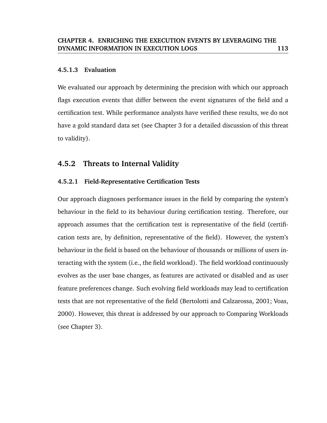#### **4.5.1.3 Evaluation**

We evaluated our approach by determining the precision with which our approach flags execution events that differ between the event signatures of the field and a certification test. While performance analysts have verified these results, we do not have a gold standard data set (see Chapter 3 for a detailed discussion of this threat to validity).

# **4.5.2 Threats to Internal Validity**

## **4.5.2.1 Field-Representative Certification Tests**

Our approach diagnoses performance issues in the field by comparing the system's behaviour in the field to its behaviour during certification testing. Therefore, our approach assumes that the certification test is representative of the field (certification tests are, by definition, representative of the field). However, the system's behaviour in the field is based on the behaviour of thousands or millions of users interacting with the system (i.e., the field workload). The field workload continuously evolves as the user base changes, as features are activated or disabled and as user feature preferences change. Such evolving field workloads may lead to certification tests that are not representative of the field (Bertolotti and Calzarossa, 2001; Voas, 2000). However, this threat is addressed by our approach to Comparing Workloads (see Chapter 3).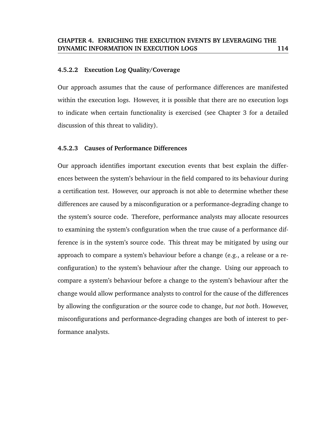#### **4.5.2.2 Execution Log Quality/Coverage**

Our approach assumes that the cause of performance differences are manifested within the execution logs. However, it is possible that there are no execution logs to indicate when certain functionality is exercised (see Chapter 3 for a detailed discussion of this threat to validity).

#### **4.5.2.3 Causes of Performance Differences**

Our approach identifies important execution events that best explain the differences between the system's behaviour in the field compared to its behaviour during a certification test. However, our approach is not able to determine whether these differences are caused by a misconfiguration or a performance-degrading change to the system's source code. Therefore, performance analysts may allocate resources to examining the system's configuration when the true cause of a performance difference is in the system's source code. This threat may be mitigated by using our approach to compare a system's behaviour before a change (e.g., a release or a reconfiguration) to the system's behaviour after the change. Using our approach to compare a system's behaviour before a change to the system's behaviour after the change would allow performance analysts to control for the cause of the differences by allowing the configuration *or* the source code to change, *but not both*. However, misconfigurations and performance-degrading changes are both of interest to performance analysts.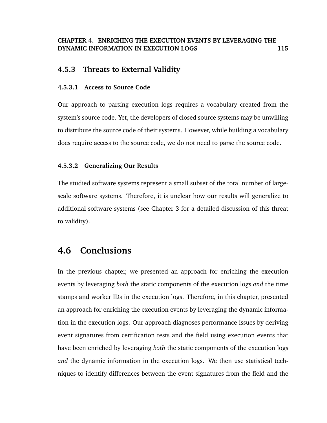# **4.5.3 Threats to External Validity**

#### **4.5.3.1 Access to Source Code**

Our approach to parsing execution logs requires a vocabulary created from the system's source code. Yet, the developers of closed source systems may be unwilling to distribute the source code of their systems. However, while building a vocabulary does require access to the source code, we do not need to parse the source code.

## **4.5.3.2 Generalizing Our Results**

The studied software systems represent a small subset of the total number of largescale software systems. Therefore, it is unclear how our results will generalize to additional software systems (see Chapter 3 for a detailed discussion of this threat to validity).

# **4.6 Conclusions**

In the previous chapter, we presented an approach for enriching the execution events by leveraging *both* the static components of the execution logs *and* the time stamps and worker IDs in the execution logs. Therefore, in this chapter, presented an approach for enriching the execution events by leveraging the dynamic information in the execution logs. Our approach diagnoses performance issues by deriving event signatures from certification tests and the field using execution events that have been enriched by leveraging *both* the static components of the execution logs *and* the dynamic information in the execution logs. We then use statistical techniques to identify differences between the event signatures from the field and the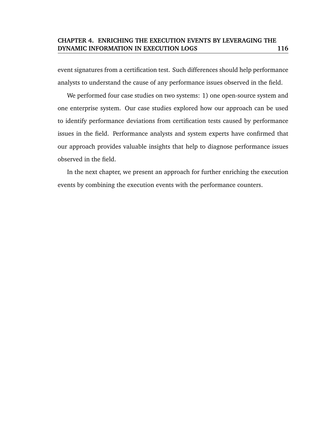event signatures from a certification test. Such differences should help performance analysts to understand the cause of any performance issues observed in the field.

We performed four case studies on two systems: 1) one open-source system and one enterprise system. Our case studies explored how our approach can be used to identify performance deviations from certification tests caused by performance issues in the field. Performance analysts and system experts have confirmed that our approach provides valuable insights that help to diagnose performance issues observed in the field.

In the next chapter, we present an approach for further enriching the execution events by combining the execution events with the performance counters.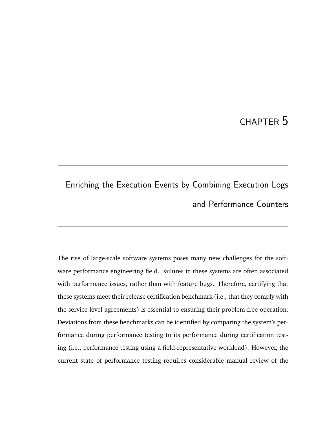# CHAPTER 5

# Enriching the Execution Events by Combining Execution Logs and Performance Counters

The rise of large-scale software systems poses many new challenges for the software performance engineering field. Failures in these systems are often associated with performance issues, rather than with feature bugs. Therefore, certifying that these systems meet their release certification benchmark (i.e., that they comply with the service level agreements) is essential to ensuring their problem-free operation. Deviations from these benchmarks can be identified by comparing the system's performance during performance testing to its performance during certification testing (i.e., performance testing using a field-representative workload). However, the current state of performance testing requires considerable manual review of the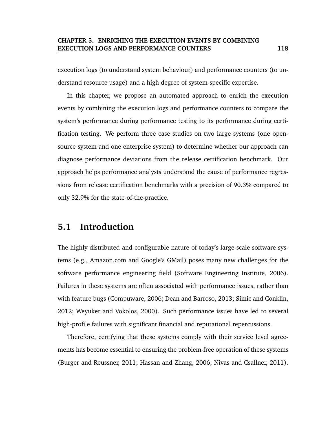execution logs (to understand system behaviour) and performance counters (to understand resource usage) and a high degree of system-specific expertise.

In this chapter, we propose an automated approach to enrich the execution events by combining the execution logs and performance counters to compare the system's performance during performance testing to its performance during certification testing. We perform three case studies on two large systems (one opensource system and one enterprise system) to determine whether our approach can diagnose performance deviations from the release certification benchmark. Our approach helps performance analysts understand the cause of performance regressions from release certification benchmarks with a precision of 90.3% compared to only 32.9% for the state-of-the-practice.

# **5.1 Introduction**

The highly distributed and configurable nature of today's large-scale software systems (e.g., Amazon.com and Google's GMail) poses many new challenges for the software performance engineering field (Software Engineering Institute, 2006). Failures in these systems are often associated with performance issues, rather than with feature bugs (Compuware, 2006; Dean and Barroso, 2013; Simic and Conklin, 2012; Weyuker and Vokolos, 2000). Such performance issues have led to several high-profile failures with significant financial and reputational repercussions.

Therefore, certifying that these systems comply with their service level agreements has become essential to ensuring the problem-free operation of these systems (Burger and Reussner, 2011; Hassan and Zhang, 2006; Nivas and Csallner, 2011).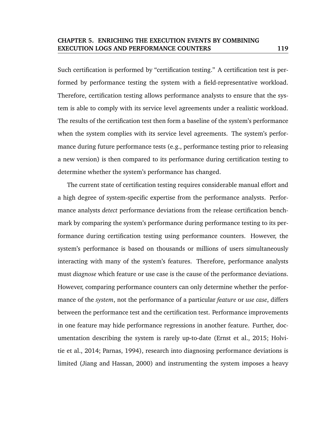Such certification is performed by "certification testing." A certification test is performed by performance testing the system with a field-representative workload. Therefore, certification testing allows performance analysts to ensure that the system is able to comply with its service level agreements under a realistic workload. The results of the certification test then form a baseline of the system's performance when the system complies with its service level agreements. The system's performance during future performance tests (e.g., performance testing prior to releasing a new version) is then compared to its performance during certification testing to determine whether the system's performance has changed.

The current state of certification testing requires considerable manual effort and a high degree of system-specific expertise from the performance analysts. Performance analysts *detect* performance deviations from the release certification benchmark by comparing the system's performance during performance testing to its performance during certification testing using performance counters. However, the system's performance is based on thousands or millions of users simultaneously interacting with many of the system's features. Therefore, performance analysts must *diagnose* which feature or use case is the cause of the performance deviations. However, comparing performance counters can only determine whether the performance of the *system*, not the performance of a particular *feature* or *use case*, differs between the performance test and the certification test. Performance improvements in one feature may hide performance regressions in another feature. Further, documentation describing the system is rarely up-to-date (Ernst et al., 2015; Holvitie et al., 2014; Parnas, 1994), research into diagnosing performance deviations is limited (Jiang and Hassan, 2000) and instrumenting the system imposes a heavy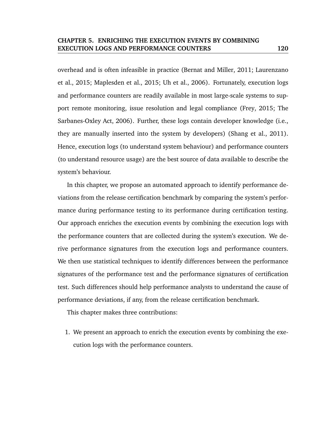overhead and is often infeasible in practice (Bernat and Miller, 2011; Laurenzano et al., 2015; Maplesden et al., 2015; Uh et al., 2006). Fortunately, execution logs and performance counters are readily available in most large-scale systems to support remote monitoring, issue resolution and legal compliance (Frey, 2015; The Sarbanes-Oxley Act, 2006). Further, these logs contain developer knowledge (i.e., they are manually inserted into the system by developers) (Shang et al., 2011). Hence, execution logs (to understand system behaviour) and performance counters (to understand resource usage) are the best source of data available to describe the system's behaviour.

In this chapter, we propose an automated approach to identify performance deviations from the release certification benchmark by comparing the system's performance during performance testing to its performance during certification testing. Our approach enriches the execution events by combining the execution logs with the performance counters that are collected during the system's execution. We derive performance signatures from the execution logs and performance counters. We then use statistical techniques to identify differences between the performance signatures of the performance test and the performance signatures of certification test. Such differences should help performance analysts to understand the cause of performance deviations, if any, from the release certification benchmark.

This chapter makes three contributions:

1. We present an approach to enrich the execution events by combining the execution logs with the performance counters.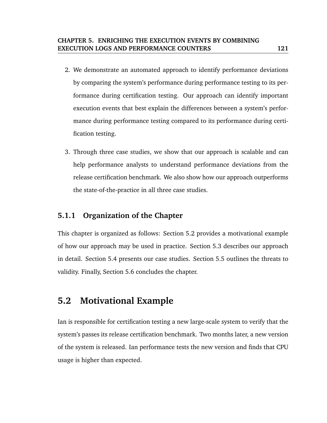- 2. We demonstrate an automated approach to identify performance deviations by comparing the system's performance during performance testing to its performance during certification testing. Our approach can identify important execution events that best explain the differences between a system's performance during performance testing compared to its performance during certification testing.
- 3. Through three case studies, we show that our approach is scalable and can help performance analysts to understand performance deviations from the release certification benchmark. We also show how our approach outperforms the state-of-the-practice in all three case studies.

# **5.1.1 Organization of the Chapter**

This chapter is organized as follows: Section 5.2 provides a motivational example of how our approach may be used in practice. Section 5.3 describes our approach in detail. Section 5.4 presents our case studies. Section 5.5 outlines the threats to validity. Finally, Section 5.6 concludes the chapter.

# **5.2 Motivational Example**

Ian is responsible for certification testing a new large-scale system to verify that the system's passes its release certification benchmark. Two months later, a new version of the system is released. Ian performance tests the new version and finds that CPU usage is higher than expected.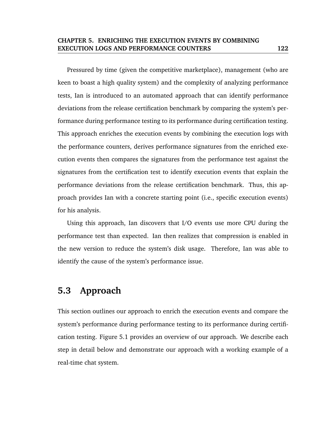Pressured by time (given the competitive marketplace), management (who are keen to boast a high quality system) and the complexity of analyzing performance tests, Ian is introduced to an automated approach that can identify performance deviations from the release certification benchmark by comparing the system's performance during performance testing to its performance during certification testing. This approach enriches the execution events by combining the execution logs with the performance counters, derives performance signatures from the enriched execution events then compares the signatures from the performance test against the signatures from the certification test to identify execution events that explain the performance deviations from the release certification benchmark. Thus, this approach provides Ian with a concrete starting point (i.e., specific execution events) for his analysis.

Using this approach, Ian discovers that I/O events use more CPU during the performance test than expected. Ian then realizes that compression is enabled in the new version to reduce the system's disk usage. Therefore, Ian was able to identify the cause of the system's performance issue.

# **5.3 Approach**

This section outlines our approach to enrich the execution events and compare the system's performance during performance testing to its performance during certification testing. Figure 5.1 provides an overview of our approach. We describe each step in detail below and demonstrate our approach with a working example of a real-time chat system.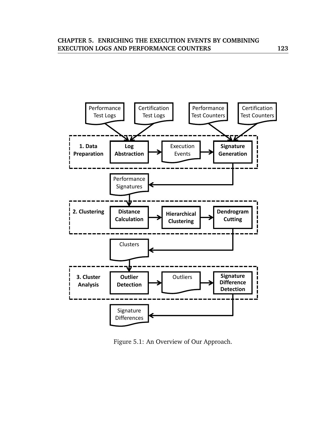

Figure 5.1: An Overview of Our Approach.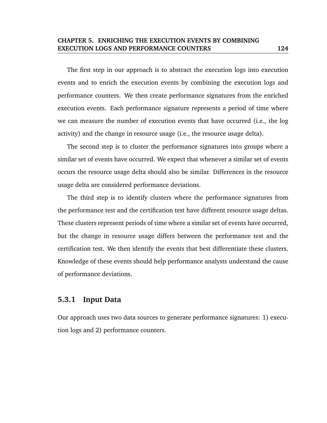The first step in our approach is to abstract the execution logs into execution events and to enrich the execution events by combining the execution logs and performance counters. We then create performance signatures from the enriched execution events. Each performance signature represents a period of time where we can measure the number of execution events that have occurred (i.e., the log activity) and the change in resource usage (i.e., the resource usage delta).

The second step is to cluster the performance signatures into groups where a similar set of events have occurred. We expect that whenever a similar set of events occurs the resource usage delta should also be similar. Differences in the resource usage delta are considered performance deviations.

The third step is to identify clusters where the performance signatures from the performance test and the certification test have different resource usage deltas. These clusters represent periods of time where a similar set of events have occurred, but the change in resource usage differs between the performance test and the certification test. We then identify the events that best differentiate these clusters. Knowledge of these events should help performance analysts understand the cause of performance deviations.

# **5.3.1 Input Data**

Our approach uses two data sources to generate performance signatures: 1) execution logs and 2) performance counters.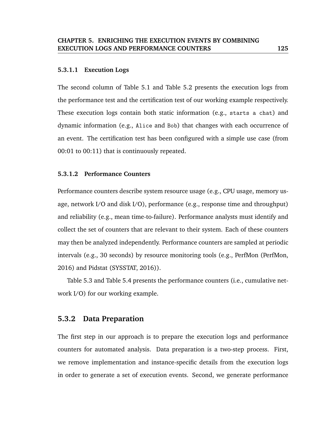#### **5.3.1.1 Execution Logs**

The second column of Table 5.1 and Table 5.2 presents the execution logs from the performance test and the certification test of our working example respectively. These execution logs contain both static information (e.g., starts a chat) and dynamic information (e.g., Alice and Bob) that changes with each occurrence of an event. The certification test has been configured with a simple use case (from 00:01 to 00:11) that is continuously repeated.

#### **5.3.1.2 Performance Counters**

Performance counters describe system resource usage (e.g., CPU usage, memory usage, network I/O and disk I/O), performance (e.g., response time and throughput) and reliability (e.g., mean time-to-failure). Performance analysts must identify and collect the set of counters that are relevant to their system. Each of these counters may then be analyzed independently. Performance counters are sampled at periodic intervals (e.g., 30 seconds) by resource monitoring tools (e.g., PerfMon (PerfMon, 2016) and Pidstat (SYSSTAT, 2016)).

Table 5.3 and Table 5.4 presents the performance counters (i.e., cumulative network I/O) for our working example.

#### **5.3.2 Data Preparation**

The first step in our approach is to prepare the execution logs and performance counters for automated analysis. Data preparation is a two-step process. First, we remove implementation and instance-specific details from the execution logs in order to generate a set of execution events. Second, we generate performance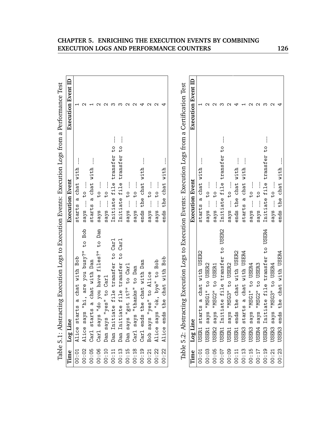|                                    | Table 5.1: Abstracting Execution Logs to Execution Events: Execution Logs from a Performance Test   |                                                        |                           |
|------------------------------------|-----------------------------------------------------------------------------------------------------|--------------------------------------------------------|---------------------------|
| Time                               | Log Line                                                                                            | <b>Execution Event</b>                                 | <b>Execution Event ID</b> |
| 00:01                              | s a chat with Bob<br>Alice start                                                                    | starts a chat with                                     |                           |
| 00:02                              | "hi, are you busy?" to Bob<br>Alice says                                                            | $\overline{10}$<br>$-$ says                            |                           |
| 00:05                              | a chat with Dan<br>Carl starts                                                                      | starts a chat with                                     |                           |
| 00:06                              | Carl says "do you have files?" to Dan                                                               | $\overline{10}$<br>$---$                               |                           |
| 00:10                              | says "yes" to Carl<br>Dan                                                                           | says $--$ to $--$                                      |                           |
| 00:11                              | Dan Initiate file transfer to Carl                                                                  | Initiate file transfer to                              |                           |
| 00:13                              | Carl<br>Initiate file transfer to<br>Dan                                                            | transfer to<br>Initiate file                           |                           |
| 00:15                              |                                                                                                     | $-$<br>$\frac{1}{2}$<br>s <sub>Y</sub> s               |                           |
| 00:18                              | Dan says "got it?" to Carl<br>Carl says "thanks" to Dan                                             | $-1$ of $  2\sqrt{8}$                                  |                           |
| 00:19                              | Carl ends the chat with Dan                                                                         | the chat with<br>ends                                  |                           |
| 00:21                              | Bob says "yes" to Alice                                                                             | $\overline{10}$<br>sq                                  |                           |
| 00:22                              | "ok, bye" to Bob<br>Alice says                                                                      | ς4<br>s <sub>Y</sub> s                                 |                           |
| 00:22                              | the chat with Bob<br>ends<br>Alice                                                                  | chat with<br>the<br>ends                               |                           |
|                                    |                                                                                                     |                                                        |                           |
|                                    | Table 5.2: Abstracting Execution Logs to Execution Events: Execution Logs from a Certification Test |                                                        |                           |
| Time                               | Log Line                                                                                            | <b>Execution Event</b>                                 | <b>Execution Event ID</b> |
| 00:01                              | starts a chat with USER2<br>USER1                                                                   | starts a chat with                                     |                           |
| 00:03                              | "MSG1" to USER2<br>s <sub>q</sub><br>USER1                                                          | $\frac{1}{2}$<br>$\frac{1}{2}$<br>$says$ <sub>--</sub> | c                         |
| 00:05                              | "MSG2" to USER1<br>USER2 says                                                                       | says __ to                                             |                           |
| $\sim$ $\sim$ $\sim$ $\sim$ $\sim$ | Caabli v+ truter to the v+<br>TCED1 To:+:                                                           | しょ ちくせじとうせ くーけん インキャー・チャー                              |                           |

|                                                                 |                                                                  | Execution Event           | Execution Event ID |
|-----------------------------------------------------------------|------------------------------------------------------------------|---------------------------|--------------------|
|                                                                 | Time Log Line                                                    |                           |                    |
| 00:01                                                           | starts a chat with USER2<br>USER1                                | starts a chat with        |                    |
| 00:03                                                           | "MSG1" to USER2<br>sys<br>USER1                                  | $---$                     |                    |
|                                                                 | "MSG2" to USER1                                                  | says $-$ to $-$           |                    |
| $00:00$<br>70:00<br>70:00                                       | iate file transfer to USER2<br>USER2 says<br>USER1 Initi:        | Initiate file transfer to |                    |
|                                                                 | "MSG3" to USER2<br>$s$ qys                                       | says $-$ to $-$           |                    |
|                                                                 | the chat with USER2<br>ends                                      | ends the chat with        |                    |
|                                                                 | starts a chat with USER4                                         | starts a chat with        |                    |
| $\begin{array}{c} 00:11 \\ 00:13 \\ 00:15 \\ 00:17 \end{array}$ | "MSG1" to USER4<br>$s$ g $s$<br>USER1<br>USER1<br>USER3<br>USER3 | $says$ $-$ to             |                    |
|                                                                 | "MSG2" to USER3<br>$s$ gra<br>USER4                              | says $-$ to $-$           |                    |
| 00:19                                                           | iate file transfer to USER4<br>Initi<br>USER3                    | Initiate file transfer to |                    |
| 00:21                                                           | "MSG3" to USER4<br>$s$ ys<br>USER3                               | says $-$ to $-$           |                    |
| 00:23                                                           | the chat with USER4<br>ends<br>USER3                             | ends the chat with        |                    |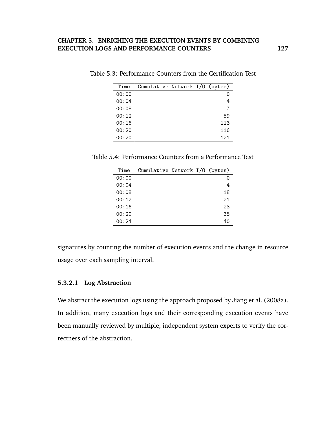| Time  | Cumulative Network I/O (bytes) |  |     |
|-------|--------------------------------|--|-----|
| 00:00 |                                |  |     |
| 00:04 |                                |  |     |
| 00:08 |                                |  |     |
| 00:12 |                                |  | 59  |
| 00:16 |                                |  | 113 |
| 00:20 |                                |  | 116 |
| 00:20 |                                |  | 121 |

Table 5.3: Performance Counters from the Certification Test

Table 5.4: Performance Counters from a Performance Test

| Time  | Cumulative Network I/O (bytes) |  |    |
|-------|--------------------------------|--|----|
| 00:00 |                                |  |    |
| 00:04 |                                |  | 4  |
| 00:08 |                                |  | 18 |
| 00:12 |                                |  | 21 |
| 00:16 |                                |  | 23 |
| 00:20 |                                |  | 35 |
| 00:24 |                                |  | 40 |

signatures by counting the number of execution events and the change in resource usage over each sampling interval.

#### **5.3.2.1 Log Abstraction**

We abstract the execution logs using the approach proposed by Jiang et al. (2008a). In addition, many execution logs and their corresponding execution events have been manually reviewed by multiple, independent system experts to verify the correctness of the abstraction.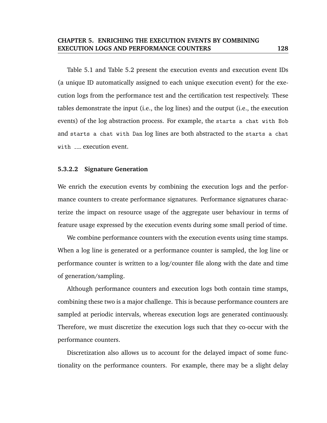Table 5.1 and Table 5.2 present the execution events and execution event IDs (a unique ID automatically assigned to each unique execution event) for the execution logs from the performance test and the certification test respectively. These tables demonstrate the input (i.e., the log lines) and the output (i.e., the execution events) of the log abstraction process. For example, the starts a chat with Bob and starts a chat with Dan log lines are both abstracted to the starts a chat with \_\_\_ execution event.

#### **5.3.2.2 Signature Generation**

We enrich the execution events by combining the execution logs and the performance counters to create performance signatures. Performance signatures characterize the impact on resource usage of the aggregate user behaviour in terms of feature usage expressed by the execution events during some small period of time.

We combine performance counters with the execution events using time stamps. When a log line is generated or a performance counter is sampled, the log line or performance counter is written to a log/counter file along with the date and time of generation/sampling.

Although performance counters and execution logs both contain time stamps, combining these two is a major challenge. This is because performance counters are sampled at periodic intervals, whereas execution logs are generated continuously. Therefore, we must discretize the execution logs such that they co-occur with the performance counters.

Discretization also allows us to account for the delayed impact of some functionality on the performance counters. For example, there may be a slight delay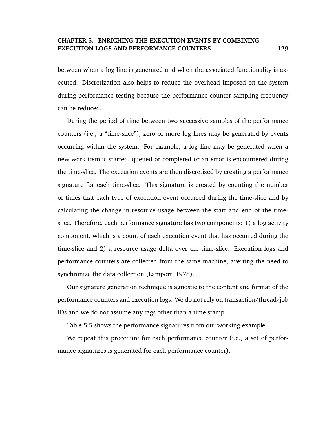between when a log line is generated and when the associated functionality is executed. Discretization also helps to reduce the overhead imposed on the system during performance testing because the performance counter sampling frequency can be reduced.

During the period of time between two successive samples of the performance counters (i.e., a "time-slice"), zero or more log lines may be generated by events occurring within the system. For example, a log line may be generated when a new work item is started, queued or completed or an error is encountered during the time-slice. The execution events are then discretized by creating a performance signature for each time-slice. This signature is created by counting the number of times that each type of execution event occurred during the time-slice and by calculating the change in resource usage between the start and end of the timeslice. Therefore, each performance signature has two components: 1) a log activity component, which is a count of each execution event that has occurred during the time-slice and 2) a resource usage delta over the time-slice. Execution logs and performance counters are collected from the same machine, averting the need to synchronize the data collection (Lamport, 1978).

Our signature generation technique is agnostic to the content and format of the performance counters and execution logs. We do not rely on transaction/thread/job IDs and we do not assume any tags other than a time stamp.

Table 5.5 shows the performance signatures from our working example.

We repeat this procedure for each performance counter (i.e., a set of performance signatures is generated for each performance counter).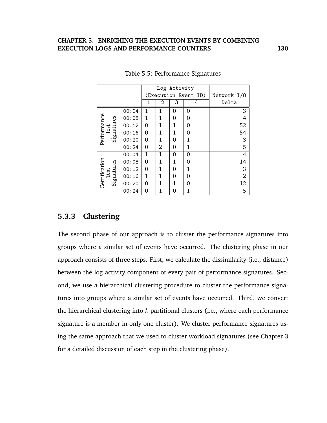|                                     |       |   |                | Log Activity |                      |                |
|-------------------------------------|-------|---|----------------|--------------|----------------------|----------------|
|                                     |       |   |                |              | (Execution Event ID) | Network I/O    |
|                                     |       | 1 | 2              | 3            | 4                    | Delta          |
|                                     | 00:04 | 1 | 1              | 0            | 0                    | 3              |
| Performance<br>Test                 | 00:08 | 1 | 1              | 0            | 0                    | 4              |
| Signatures                          | 00:12 | 0 | 1              | 1            | 0                    | 52             |
|                                     | 00:16 | 0 | 1              | 1            | 0                    | 54             |
|                                     | 00:20 | 0 | 1              | 0            | 1                    | 3              |
|                                     | 00:24 | 0 | $\overline{2}$ | 0            | 1                    | 5              |
|                                     | 00:04 | 1 | 1              | 0            | 0                    | 4              |
|                                     | 00:08 | 0 | 1              | 1            | 0                    | 14             |
|                                     | 00:12 | 0 | 1              | 0            | 1                    | 3              |
|                                     | 00:16 | 1 | 1              | 0            | 0                    | $\overline{2}$ |
| Certification<br>Test<br>Signatures | 00:20 | 0 | 1              | 1            | O                    | 12             |
|                                     | 00:24 | 0 | 1              | 0            |                      | 5              |

Table 5.5: Performance Signatures

# **5.3.3 Clustering**

The second phase of our approach is to cluster the performance signatures into groups where a similar set of events have occurred. The clustering phase in our approach consists of three steps. First, we calculate the dissimilarity (i.e., distance) between the log activity component of every pair of performance signatures. Second, we use a hierarchical clustering procedure to cluster the performance signatures into groups where a similar set of events have occurred. Third, we convert the hierarchical clustering into  $k$  partitional clusters (i.e., where each performance signature is a member in only one cluster). We cluster performance signatures using the same approach that we used to cluster workload signatures (see Chapter 3 for a detailed discussion of each step in the clustering phase).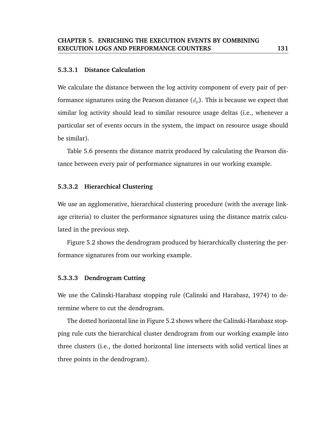#### **5.3.3.1 Distance Calculation**

We calculate the distance between the log activity component of every pair of performance signatures using the Pearson distance  $(d<sub>o</sub>)$ . This is because we expect that similar log activity should lead to similar resource usage deltas (i.e., whenever a particular set of events occurs in the system, the impact on resource usage should be similar).

Table 5.6 presents the distance matrix produced by calculating the Pearson distance between every pair of performance signatures in our working example.

#### **5.3.3.2 Hierarchical Clustering**

We use an agglomerative, hierarchical clustering procedure (with the average linkage criteria) to cluster the performance signatures using the distance matrix calculated in the previous step.

Figure 5.2 shows the dendrogram produced by hierarchically clustering the performance signatures from our working example.

#### **5.3.3.3 Dendrogram Cutting**

We use the Calinski-Harabasz stopping rule (Calinski and Harabasz, 1974) to determine where to cut the dendrogram.

The dotted horizontal line in Figure 5.2 shows where the Calinski-Harabasz stopping rule cuts the hierarchical cluster dendrogram from our working example into three clusters (i.e., the dotted horizontal line intersects with solid vertical lines at three points in the dendrogram).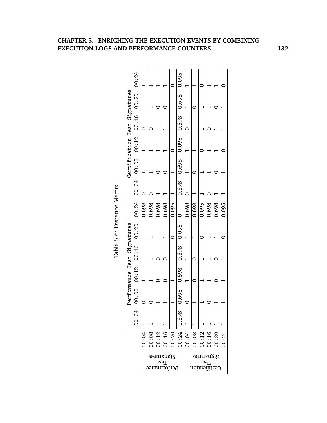| Certification Test Signatures |                                         |       |       |                           |       |       | $0.698$ 0.698 0.695 0.698 0.698 0.698 |       |       |                                   |       |       |       |
|-------------------------------|-----------------------------------------|-------|-------|---------------------------|-------|-------|---------------------------------------|-------|-------|-----------------------------------|-------|-------|-------|
|                               | $00:06$ 00:08 00:16 00:16 00:20 00:24   |       |       |                           |       |       |                                       |       |       |                                   |       |       |       |
|                               | $00:08$ $00:12$ $00:16$ $00:20$ $00:24$ | 0.698 | 0.698 | 0.698                     | 0.698 | 0.095 |                                       | 0.698 | 0.698 | 0.095                             | 0.698 | 0.698 | 0.095 |
|                               |                                         |       |       |                           |       |       |                                       |       |       |                                   |       |       |       |
| Performance Test Signatures   |                                         |       |       |                           |       |       | $0.698$ 0.698 0.698 0.095             |       |       |                                   |       |       |       |
|                               |                                         |       |       |                           |       |       |                                       |       |       |                                   |       |       |       |
|                               |                                         |       |       |                           |       |       |                                       |       |       |                                   |       |       |       |
|                               | 00:04                                   |       |       |                           |       |       | 1,698                                 |       |       |                                   |       |       |       |
|                               |                                         | 00:04 |       |                           |       |       |                                       |       |       |                                   |       |       | 00:24 |
|                               |                                         |       |       | Sauntangig<br>Performance | Test  |       |                                       |       |       | Sənmangi<br>Test<br>Certification |       |       |       |

Table 5.6: Distance Matrix Table 5.6: Distance Matrix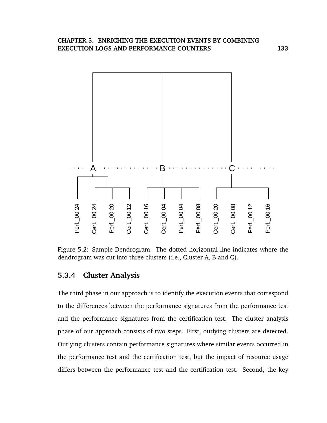

Figure 5.2: Sample Dendrogram. The dotted horizontal line indicates where the dendrogram was cut into three clusters (i.e., Cluster A, B and C).

# **5.3.4 Cluster Analysis**

The third phase in our approach is to identify the execution events that correspond to the differences between the performance signatures from the performance test and the performance signatures from the certification test. The cluster analysis phase of our approach consists of two steps. First, outlying clusters are detected. Outlying clusters contain performance signatures where similar events occurred in the performance test and the certification test, but the impact of resource usage differs between the performance test and the certification test. Second, the key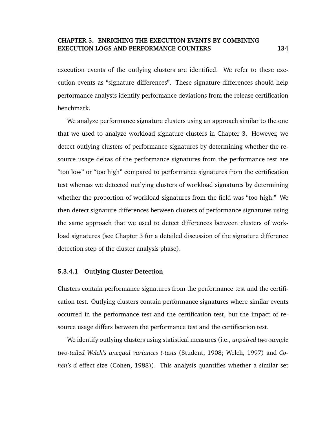execution events of the outlying clusters are identified. We refer to these execution events as "signature differences". These signature differences should help performance analysts identify performance deviations from the release certification benchmark.

We analyze performance signature clusters using an approach similar to the one that we used to analyze workload signature clusters in Chapter 3. However, we detect outlying clusters of performance signatures by determining whether the resource usage deltas of the performance signatures from the performance test are "too low" or "too high" compared to performance signatures from the certification test whereas we detected outlying clusters of workload signatures by determining whether the proportion of workload signatures from the field was "too high." We then detect signature differences between clusters of performance signatures using the same approach that we used to detect differences between clusters of workload signatures (see Chapter 3 for a detailed discussion of the signature difference detection step of the cluster analysis phase).

#### **5.3.4.1 Outlying Cluster Detection**

Clusters contain performance signatures from the performance test and the certification test. Outlying clusters contain performance signatures where similar events occurred in the performance test and the certification test, but the impact of resource usage differs between the performance test and the certification test.

We identify outlying clusters using statistical measures (i.e., *unpaired two-sample two-tailed Welch's unequal variances t-tests* (Student, 1908; Welch, 1997) and *Cohen's d* effect size (Cohen, 1988)). This analysis quantifies whether a similar set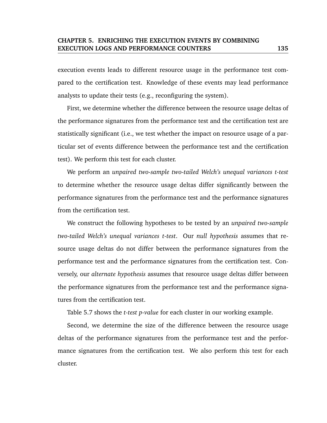execution events leads to different resource usage in the performance test compared to the certification test. Knowledge of these events may lead performance analysts to update their tests (e.g., reconfiguring the system).

First, we determine whether the difference between the resource usage deltas of the performance signatures from the performance test and the certification test are statistically significant (i.e., we test whether the impact on resource usage of a particular set of events difference between the performance test and the certification test). We perform this test for each cluster.

We perform an *unpaired two-sample two-tailed Welch's unequal variances t-test* to determine whether the resource usage deltas differ significantly between the performance signatures from the performance test and the performance signatures from the certification test.

We construct the following hypotheses to be tested by an *unpaired two-sample two-tailed Welch's unequal variances t-test*. Our *null hypothesis* assumes that resource usage deltas do not differ between the performance signatures from the performance test and the performance signatures from the certification test. Conversely, our *alternate hypothesis* assumes that resource usage deltas differ between the performance signatures from the performance test and the performance signatures from the certification test.

Table 5.7 shows the *t-test p-value* for each cluster in our working example.

Second, we determine the size of the difference between the resource usage deltas of the performance signatures from the performance test and the performance signatures from the certification test. We also perform this test for each cluster.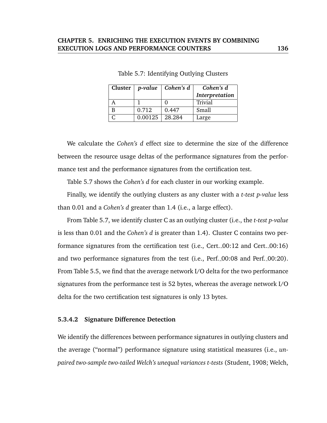|         | Cluster $ p-value $ Cohen's d | Cohen's d      |
|---------|-------------------------------|----------------|
|         |                               | Interpretation |
|         |                               | Trivial        |
| 0.712   | 0.447                         | Small          |
| 0.00125 | 28.284                        | Large          |

Table 5.7: Identifying Outlying Clusters

We calculate the *Cohen's d* effect size to determine the size of the difference between the resource usage deltas of the performance signatures from the performance test and the performance signatures from the certification test.

Table 5.7 shows the *Cohen's d* for each cluster in our working example.

Finally, we identify the outlying clusters as any cluster with a *t-test p-value* less than 0.01 and a *Cohen's d* greater than 1.4 (i.e., a large effect).

From Table 5.7, we identify cluster C as an outlying cluster (i.e., the *t-test p-value* is less than 0.01 and the *Cohen's d* is greater than 1.4). Cluster C contains two performance signatures from the certification test (i.e., Cert. 00:12 and Cert. 00:16) and two performance signatures from the test (i.e., Perf. 00:08 and Perf. 00:20). From Table 5.5, we find that the average network I/O delta for the two performance signatures from the performance test is 52 bytes, whereas the average network I/O delta for the two certification test signatures is only 13 bytes.

#### **5.3.4.2 Signature Difference Detection**

We identify the differences between performance signatures in outlying clusters and the average ("normal") performance signature using statistical measures (i.e., *unpaired two-sample two-tailed Welch's unequal variances t-tests* (Student, 1908; Welch,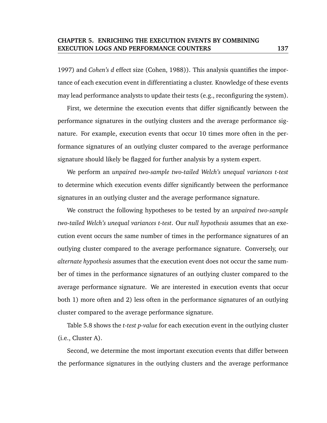1997) and *Cohen's d* effect size (Cohen, 1988)). This analysis quantifies the importance of each execution event in differentiating a cluster. Knowledge of these events may lead performance analysts to update their tests (e.g., reconfiguring the system).

First, we determine the execution events that differ significantly between the performance signatures in the outlying clusters and the average performance signature. For example, execution events that occur 10 times more often in the performance signatures of an outlying cluster compared to the average performance signature should likely be flagged for further analysis by a system expert.

We perform an *unpaired two-sample two-tailed Welch's unequal variances t-test* to determine which execution events differ significantly between the performance signatures in an outlying cluster and the average performance signature.

We construct the following hypotheses to be tested by an *unpaired two-sample two-tailed Welch's unequal variances t-test*. Our *null hypothesis* assumes that an execution event occurs the same number of times in the performance signatures of an outlying cluster compared to the average performance signature. Conversely, our *alternate hypothesis* assumes that the execution event does not occur the same number of times in the performance signatures of an outlying cluster compared to the average performance signature. We are interested in execution events that occur both 1) more often and 2) less often in the performance signatures of an outlying cluster compared to the average performance signature.

Table 5.8 shows the *t-test p-value* for each execution event in the outlying cluster (i.e., Cluster A).

Second, we determine the most important execution events that differ between the performance signatures in the outlying clusters and the average performance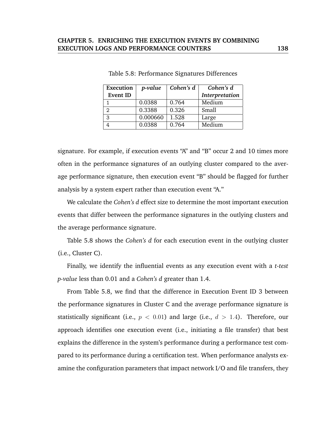| Execution | p-value  | Cohen's d | Cohen's d      |
|-----------|----------|-----------|----------------|
| Event ID  |          |           | Interpretation |
|           | 0.0388   | 0.764     | Medium         |
| 2         | 0.3388   | 0.326     | Small          |
| 3         | 0.000660 | 1.528     | Large          |
|           | 0.0388   | 0.764     | Medium         |

Table 5.8: Performance Signatures Differences

signature. For example, if execution events "A" and "B" occur 2 and 10 times more often in the performance signatures of an outlying cluster compared to the average performance signature, then execution event "B" should be flagged for further analysis by a system expert rather than execution event "A."

We calculate the *Cohen's d* effect size to determine the most important execution events that differ between the performance signatures in the outlying clusters and the average performance signature.

Table 5.8 shows the *Cohen's d* for each execution event in the outlying cluster (i.e., Cluster C).

Finally, we identify the influential events as any execution event with a *t-test p-value* less than 0.01 and a *Cohen's d* greater than 1.4.

From Table 5.8, we find that the difference in Execution Event ID 3 between the performance signatures in Cluster C and the average performance signature is statistically significant (i.e.,  $p < 0.01$ ) and large (i.e.,  $d > 1.4$ ). Therefore, our approach identifies one execution event (i.e., initiating a file transfer) that best explains the difference in the system's performance during a performance test compared to its performance during a certification test. When performance analysts examine the configuration parameters that impact network I/O and file transfers, they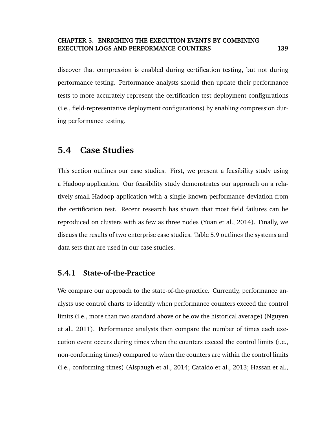discover that compression is enabled during certification testing, but not during performance testing. Performance analysts should then update their performance tests to more accurately represent the certification test deployment configurations (i.e., field-representative deployment configurations) by enabling compression during performance testing.

# **5.4 Case Studies**

This section outlines our case studies. First, we present a feasibility study using a Hadoop application. Our feasibility study demonstrates our approach on a relatively small Hadoop application with a single known performance deviation from the certification test. Recent research has shown that most field failures can be reproduced on clusters with as few as three nodes (Yuan et al., 2014). Finally, we discuss the results of two enterprise case studies. Table 5.9 outlines the systems and data sets that are used in our case studies.

# **5.4.1 State-of-the-Practice**

We compare our approach to the state-of-the-practice. Currently, performance analysts use control charts to identify when performance counters exceed the control limits (i.e., more than two standard above or below the historical average) (Nguyen et al., 2011). Performance analysts then compare the number of times each execution event occurs during times when the counters exceed the control limits (i.e., non-conforming times) compared to when the counters are within the control limits (i.e., conforming times) (Alspaugh et al., 2014; Cataldo et al., 2013; Hassan et al.,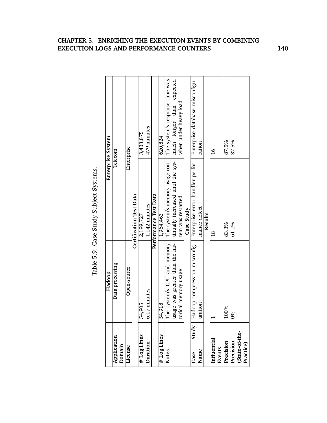|                       |                                 | Table 5.9: Case Study Subject Systems. |                                 |
|-----------------------|---------------------------------|----------------------------------------|---------------------------------|
|                       | Hadoop                          |                                        | Enterprise System               |
| Application<br>Domain | Data processing                 |                                        | Telecom                         |
| License               | Open-source                     |                                        | Enterprise                      |
|                       |                                 | <b>Certification Test Data</b>         |                                 |
| # Log Lines           | 54,905                          | 2,199,727                              | 3,433,875                       |
| Duration              | 6.17 minutes                    | 1,142 minutes                          | 479 minutes                     |
|                       |                                 | Performance Test Data                  |                                 |
| # Log Lines           | 54,918                          | 1,964,463                              | 620,824                         |
| <b>Notes</b>          | The system's CPU and memory     | The system's memory usage con-         | The system's response time was  |
|                       | usage was greater than the his- | tinually increased until the sys-      | much longer than expected       |
|                       | torical memory usage            | tem was restarted                      | when under heavy load           |
|                       |                                 | Case Study                             |                                 |
| Study<br>Case         | Hadoop compression misconfig-   | Enterprise error handler perfor-       | Enterprise database misconfigu- |
| Name                  | uration                         | mance defect                           | ration                          |
|                       |                                 | Results                                |                                 |
| Influential           |                                 | $\frac{8}{10}$                         | $\frac{9}{1}$                   |
| Events                |                                 |                                        |                                 |
| Precision             | 100%                            | 83.3%                                  | 87.5%                           |
| Precision             | ę<br>ခြ                         | 61.1%                                  | 37.5%                           |
| (State-of-the-        |                                 |                                        |                                 |
| Practice)             |                                 |                                        |                                 |

# Table 5.9: Case Study Subject Systems.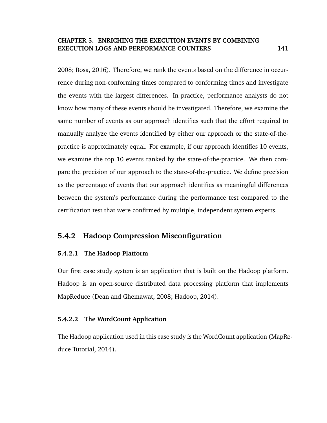2008; Rosa, 2016). Therefore, we rank the events based on the difference in occurrence during non-conforming times compared to conforming times and investigate the events with the largest differences. In practice, performance analysts do not know how many of these events should be investigated. Therefore, we examine the same number of events as our approach identifies such that the effort required to manually analyze the events identified by either our approach or the state-of-thepractice is approximately equal. For example, if our approach identifies 10 events, we examine the top 10 events ranked by the state-of-the-practice. We then compare the precision of our approach to the state-of-the-practice. We define precision as the percentage of events that our approach identifies as meaningful differences between the system's performance during the performance test compared to the certification test that were confirmed by multiple, independent system experts.

# **5.4.2 Hadoop Compression Misconfiguration**

# **5.4.2.1 The Hadoop Platform**

Our first case study system is an application that is built on the Hadoop platform. Hadoop is an open-source distributed data processing platform that implements MapReduce (Dean and Ghemawat, 2008; Hadoop, 2014).

## **5.4.2.2 The WordCount Application**

The Hadoop application used in this case study is the WordCount application (MapReduce Tutorial, 2014).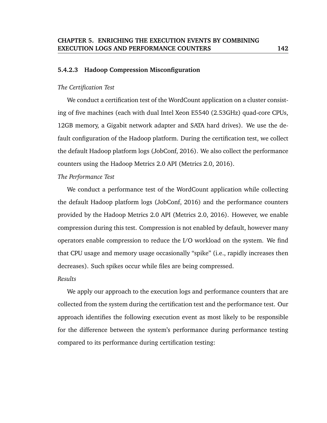#### **5.4.2.3 Hadoop Compression Misconfiguration**

#### *The Certification Test*

We conduct a certification test of the WordCount application on a cluster consisting of five machines (each with dual Intel Xeon E5540 (2.53GHz) quad-core CPUs, 12GB memory, a Gigabit network adapter and SATA hard drives). We use the default configuration of the Hadoop platform. During the certification test, we collect the default Hadoop platform logs (JobConf, 2016). We also collect the performance counters using the Hadoop Metrics 2.0 API (Metrics 2.0, 2016).

*The Performance Test*

We conduct a performance test of the WordCount application while collecting the default Hadoop platform logs (JobConf, 2016) and the performance counters provided by the Hadoop Metrics 2.0 API (Metrics 2.0, 2016). However, we enable compression during this test. Compression is not enabled by default, however many operators enable compression to reduce the I/O workload on the system. We find that CPU usage and memory usage occasionally "spike" (i.e., rapidly increases then decreases). Such spikes occur while files are being compressed.

#### *Results*

We apply our approach to the execution logs and performance counters that are collected from the system during the certification test and the performance test. Our approach identifies the following execution event as most likely to be responsible for the difference between the system's performance during performance testing compared to its performance during certification testing: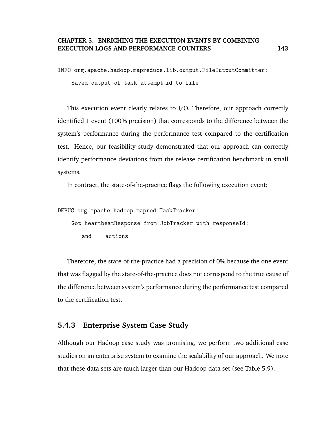INFO org.apache.hadoop.mapreduce.lib.output.FileOutputCommitter:

Saved output of task attempt id to file

This execution event clearly relates to I/O. Therefore, our approach correctly identified 1 event (100% precision) that corresponds to the difference between the system's performance during the performance test compared to the certification test. Hence, our feasibility study demonstrated that our approach can correctly identify performance deviations from the release certification benchmark in small systems.

In contract, the state-of-the-practice flags the following execution event:

DEBUG org.apache.hadoop.mapred.TaskTracker:

Got heartbeatResponse from JobTracker with responseId:

 $\frac{1}{2}$  and  $\frac{1}{2}$  actions

Therefore, the state-of-the-practice had a precision of 0% because the one event that was flagged by the state-of-the-practice does not correspond to the true cause of the difference between system's performance during the performance test compared to the certification test.

# **5.4.3 Enterprise System Case Study**

Although our Hadoop case study was promising, we perform two additional case studies on an enterprise system to examine the scalability of our approach. We note that these data sets are much larger than our Hadoop data set (see Table 5.9).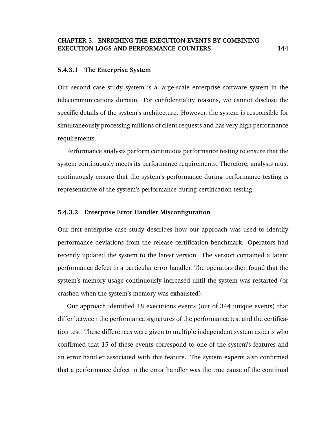#### **5.4.3.1 The Enterprise System**

Our second case study system is a large-scale enterprise software system in the telecommunications domain. For confidentiality reasons, we cannot disclose the specific details of the system's architecture. However, the system is responsible for simultaneously processing millions of client requests and has very high performance requirements.

Performance analysts perform continuous performance testing to ensure that the system continuously meets its performance requirements. Therefore, analysts must continuously ensure that the system's performance during performance testing is representative of the system's performance during certification testing.

#### **5.4.3.2 Enterprise Error Handler Misconfiguration**

Our first enterprise case study describes how our approach was used to identify performance deviations from the release certification benchmark. Operators had recently updated the system to the latest version. The version contained a latent performance defect in a particular error handler. The operators then found that the system's memory usage continuously increased until the system was restarted (or crashed when the system's memory was exhausted).

Our approach identified 18 executions events (out of 344 unique events) that differ between the performance signatures of the performance test and the certification test. These differences were given to multiple independent system experts who confirmed that 15 of these events correspond to one of the system's features and an error handler associated with this feature. The system experts also confirmed that a performance defect in the error handler was the true cause of the continual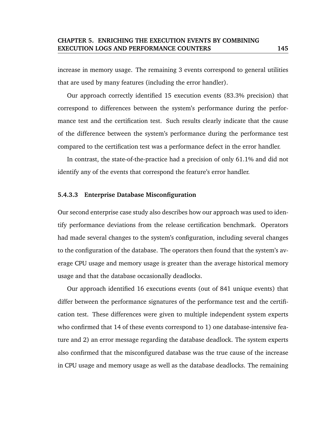increase in memory usage. The remaining 3 events correspond to general utilities that are used by many features (including the error handler).

Our approach correctly identified 15 execution events (83.3% precision) that correspond to differences between the system's performance during the performance test and the certification test. Such results clearly indicate that the cause of the difference between the system's performance during the performance test compared to the certification test was a performance defect in the error handler.

In contrast, the state-of-the-practice had a precision of only 61.1% and did not identify any of the events that correspond the feature's error handler.

#### **5.4.3.3 Enterprise Database Misconfiguration**

Our second enterprise case study also describes how our approach was used to identify performance deviations from the release certification benchmark. Operators had made several changes to the system's configuration, including several changes to the configuration of the database. The operators then found that the system's average CPU usage and memory usage is greater than the average historical memory usage and that the database occasionally deadlocks.

Our approach identified 16 executions events (out of 841 unique events) that differ between the performance signatures of the performance test and the certification test. These differences were given to multiple independent system experts who confirmed that 14 of these events correspond to 1) one database-intensive feature and 2) an error message regarding the database deadlock. The system experts also confirmed that the misconfigured database was the true cause of the increase in CPU usage and memory usage as well as the database deadlocks. The remaining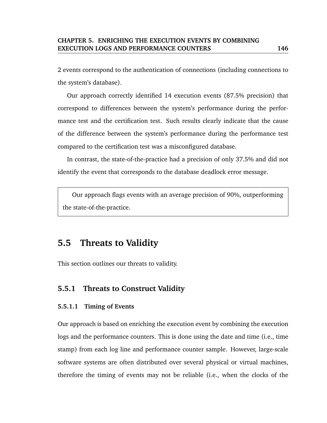2 events correspond to the authentication of connections (including connections to the system's database).

Our approach correctly identified 14 execution events (87.5% precision) that correspond to differences between the system's performance during the performance test and the certification test. Such results clearly indicate that the cause of the difference between the system's performance during the performance test compared to the certification test was a misconfigured database.

In contrast, the state-of-the-practice had a precision of only 37.5% and did not identify the event that corresponds to the database deadlock error message.

Our approach flags events with an average precision of 90%, outperforming the state-of-the-practice.

# **5.5 Threats to Validity**

This section outlines our threats to validity.

# **5.5.1 Threats to Construct Validity**

## **5.5.1.1 Timing of Events**

Our approach is based on enriching the execution event by combining the execution logs and the performance counters. This is done using the date and time (i.e., time stamp) from each log line and performance counter sample. However, large-scale software systems are often distributed over several physical or virtual machines, therefore the timing of events may not be reliable (i.e., when the clocks of the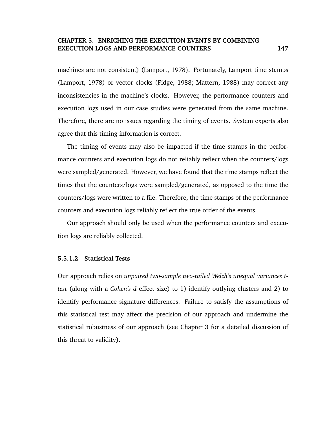machines are not consistent) (Lamport, 1978). Fortunately, Lamport time stamps (Lamport, 1978) or vector clocks (Fidge, 1988; Mattern, 1988) may correct any inconsistencies in the machine's clocks. However, the performance counters and execution logs used in our case studies were generated from the same machine. Therefore, there are no issues regarding the timing of events. System experts also agree that this timing information is correct.

The timing of events may also be impacted if the time stamps in the performance counters and execution logs do not reliably reflect when the counters/logs were sampled/generated. However, we have found that the time stamps reflect the times that the counters/logs were sampled/generated, as opposed to the time the counters/logs were written to a file. Therefore, the time stamps of the performance counters and execution logs reliably reflect the true order of the events.

Our approach should only be used when the performance counters and execution logs are reliably collected.

#### **5.5.1.2 Statistical Tests**

Our approach relies on *unpaired two-sample two-tailed Welch's unequal variances ttest* (along with a *Cohen's d* effect size) to 1) identify outlying clusters and 2) to identify performance signature differences. Failure to satisfy the assumptions of this statistical test may affect the precision of our approach and undermine the statistical robustness of our approach (see Chapter 3 for a detailed discussion of this threat to validity).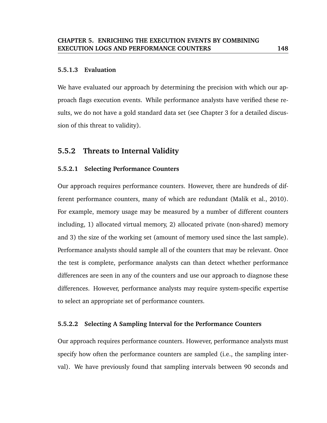#### **5.5.1.3 Evaluation**

We have evaluated our approach by determining the precision with which our approach flags execution events. While performance analysts have verified these results, we do not have a gold standard data set (see Chapter 3 for a detailed discussion of this threat to validity).

# **5.5.2 Threats to Internal Validity**

#### **5.5.2.1 Selecting Performance Counters**

Our approach requires performance counters. However, there are hundreds of different performance counters, many of which are redundant (Malik et al., 2010). For example, memory usage may be measured by a number of different counters including, 1) allocated virtual memory, 2) allocated private (non-shared) memory and 3) the size of the working set (amount of memory used since the last sample). Performance analysts should sample all of the counters that may be relevant. Once the test is complete, performance analysts can than detect whether performance differences are seen in any of the counters and use our approach to diagnose these differences. However, performance analysts may require system-specific expertise to select an appropriate set of performance counters.

#### **5.5.2.2 Selecting A Sampling Interval for the Performance Counters**

Our approach requires performance counters. However, performance analysts must specify how often the performance counters are sampled (i.e., the sampling interval). We have previously found that sampling intervals between 90 seconds and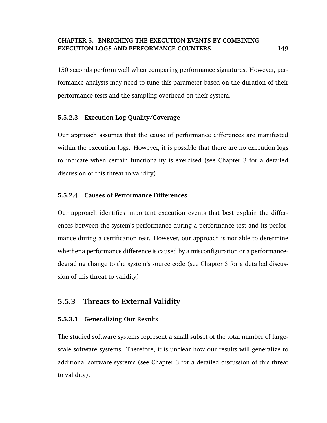150 seconds perform well when comparing performance signatures. However, performance analysts may need to tune this parameter based on the duration of their performance tests and the sampling overhead on their system.

# **5.5.2.3 Execution Log Quality/Coverage**

Our approach assumes that the cause of performance differences are manifested within the execution logs. However, it is possible that there are no execution logs to indicate when certain functionality is exercised (see Chapter 3 for a detailed discussion of this threat to validity).

## **5.5.2.4 Causes of Performance Differences**

Our approach identifies important execution events that best explain the differences between the system's performance during a performance test and its performance during a certification test. However, our approach is not able to determine whether a performance difference is caused by a misconfiguration or a performancedegrading change to the system's source code (see Chapter 3 for a detailed discussion of this threat to validity).

# **5.5.3 Threats to External Validity**

## **5.5.3.1 Generalizing Our Results**

The studied software systems represent a small subset of the total number of largescale software systems. Therefore, it is unclear how our results will generalize to additional software systems (see Chapter 3 for a detailed discussion of this threat to validity).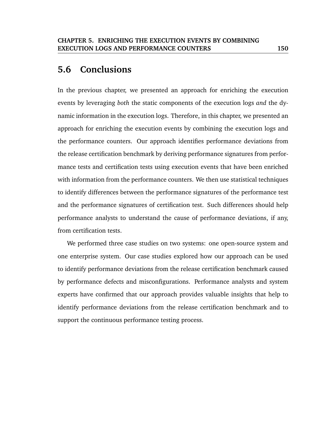# **5.6 Conclusions**

In the previous chapter, we presented an approach for enriching the execution events by leveraging *both* the static components of the execution logs *and* the dynamic information in the execution logs. Therefore, in this chapter, we presented an approach for enriching the execution events by combining the execution logs and the performance counters. Our approach identifies performance deviations from the release certification benchmark by deriving performance signatures from performance tests and certification tests using execution events that have been enriched with information from the performance counters. We then use statistical techniques to identify differences between the performance signatures of the performance test and the performance signatures of certification test. Such differences should help performance analysts to understand the cause of performance deviations, if any, from certification tests.

We performed three case studies on two systems: one open-source system and one enterprise system. Our case studies explored how our approach can be used to identify performance deviations from the release certification benchmark caused by performance defects and misconfigurations. Performance analysts and system experts have confirmed that our approach provides valuable insights that help to identify performance deviations from the release certification benchmark and to support the continuous performance testing process.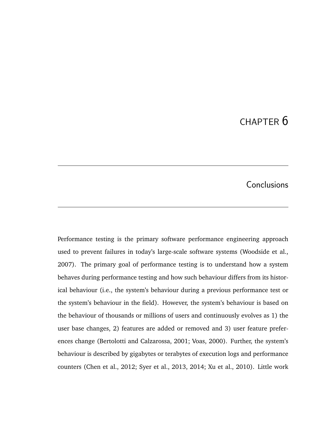# CHAPTER 6

# **Conclusions**

Performance testing is the primary software performance engineering approach used to prevent failures in today's large-scale software systems (Woodside et al., 2007). The primary goal of performance testing is to understand how a system behaves during performance testing and how such behaviour differs from its historical behaviour (i.e., the system's behaviour during a previous performance test or the system's behaviour in the field). However, the system's behaviour is based on the behaviour of thousands or millions of users and continuously evolves as 1) the user base changes, 2) features are added or removed and 3) user feature preferences change (Bertolotti and Calzarossa, 2001; Voas, 2000). Further, the system's behaviour is described by gigabytes or terabytes of execution logs and performance counters (Chen et al., 2012; Syer et al., 2013, 2014; Xu et al., 2010). Little work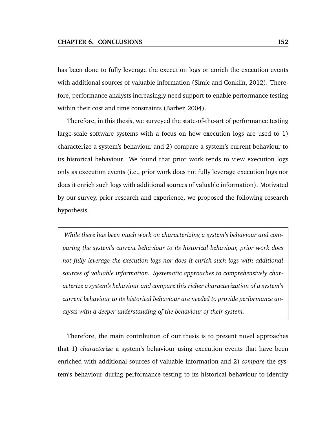has been done to fully leverage the execution logs or enrich the execution events with additional sources of valuable information (Simic and Conklin, 2012). Therefore, performance analysts increasingly need support to enable performance testing within their cost and time constraints (Barber, 2004).

Therefore, in this thesis, we surveyed the state-of-the-art of performance testing large-scale software systems with a focus on how execution logs are used to 1) characterize a system's behaviour and 2) compare a system's current behaviour to its historical behaviour. We found that prior work tends to view execution logs only as execution events (i.e., prior work does not fully leverage execution logs nor does it enrich such logs with additional sources of valuable information). Motivated by our survey, prior research and experience, we proposed the following research hypothesis.

*While there has been much work on characterizing a system's behaviour and comparing the system's current behaviour to its historical behaviour, prior work does not fully leverage the execution logs nor does it enrich such logs with additional sources of valuable information. Systematic approaches to comprehensively characterize a system's behaviour and compare this richer characterization of a system's current behaviour to its historical behaviour are needed to provide performance analysts with a deeper understanding of the behaviour of their system.*

Therefore, the main contribution of our thesis is to present novel approaches that 1) *characterize* a system's behaviour using execution events that have been enriched with additional sources of valuable information and 2) *compare* the system's behaviour during performance testing to its historical behaviour to identify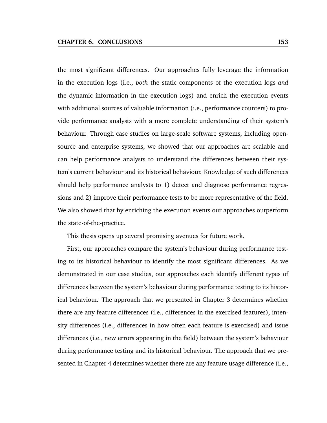the most significant differences. Our approaches fully leverage the information in the execution logs (i.e., *both* the static components of the execution logs *and* the dynamic information in the execution logs) and enrich the execution events with additional sources of valuable information (i.e., performance counters) to provide performance analysts with a more complete understanding of their system's behaviour. Through case studies on large-scale software systems, including opensource and enterprise systems, we showed that our approaches are scalable and can help performance analysts to understand the differences between their system's current behaviour and its historical behaviour. Knowledge of such differences should help performance analysts to 1) detect and diagnose performance regressions and 2) improve their performance tests to be more representative of the field. We also showed that by enriching the execution events our approaches outperform the state-of-the-practice.

This thesis opens up several promising avenues for future work.

First, our approaches compare the system's behaviour during performance testing to its historical behaviour to identify the most significant differences. As we demonstrated in our case studies, our approaches each identify different types of differences between the system's behaviour during performance testing to its historical behaviour. The approach that we presented in Chapter 3 determines whether there are any feature differences (i.e., differences in the exercised features), intensity differences (i.e., differences in how often each feature is exercised) and issue differences (i.e., new errors appearing in the field) between the system's behaviour during performance testing and its historical behaviour. The approach that we presented in Chapter 4 determines whether there are any feature usage difference (i.e.,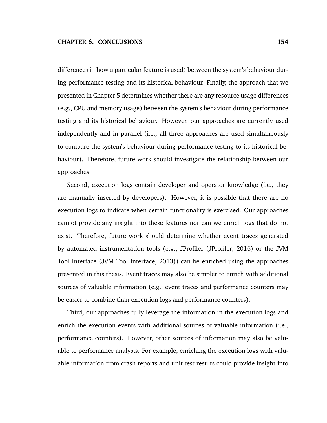differences in how a particular feature is used) between the system's behaviour during performance testing and its historical behaviour. Finally, the approach that we presented in Chapter 5 determines whether there are any resource usage differences (e.g., CPU and memory usage) between the system's behaviour during performance testing and its historical behaviour. However, our approaches are currently used independently and in parallel (i.e., all three approaches are used simultaneously to compare the system's behaviour during performance testing to its historical behaviour). Therefore, future work should investigate the relationship between our approaches.

Second, execution logs contain developer and operator knowledge (i.e., they are manually inserted by developers). However, it is possible that there are no execution logs to indicate when certain functionality is exercised. Our approaches cannot provide any insight into these features nor can we enrich logs that do not exist. Therefore, future work should determine whether event traces generated by automated instrumentation tools (e.g., JProfiler (JProfiler, 2016) or the JVM Tool Interface (JVM Tool Interface, 2013)) can be enriched using the approaches presented in this thesis. Event traces may also be simpler to enrich with additional sources of valuable information (e.g., event traces and performance counters may be easier to combine than execution logs and performance counters).

Third, our approaches fully leverage the information in the execution logs and enrich the execution events with additional sources of valuable information (i.e., performance counters). However, other sources of information may also be valuable to performance analysts. For example, enriching the execution logs with valuable information from crash reports and unit test results could provide insight into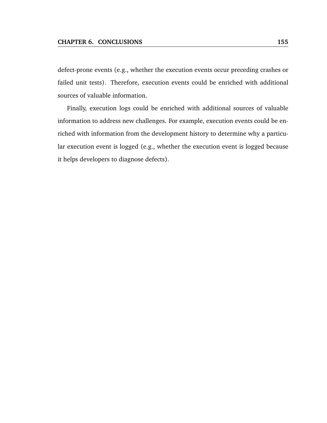defect-prone events (e.g., whether the execution events occur preceding crashes or failed unit tests). Therefore, execution events could be enriched with additional sources of valuable information.

Finally, execution logs could be enriched with additional sources of valuable information to address new challenges. For example, execution events could be enriched with information from the development history to determine why a particular execution event is logged (e.g., whether the execution event is logged because it helps developers to diagnose defects).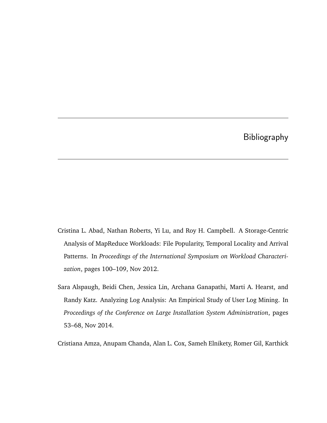# Bibliography

- Cristina L. Abad, Nathan Roberts, Yi Lu, and Roy H. Campbell. A Storage-Centric Analysis of MapReduce Workloads: File Popularity, Temporal Locality and Arrival Patterns. In *Proceedings of the International Symposium on Workload Characterization*, pages 100–109, Nov 2012.
- Sara Alspaugh, Beidi Chen, Jessica Lin, Archana Ganapathi, Marti A. Hearst, and Randy Katz. Analyzing Log Analysis: An Empirical Study of User Log Mining. In *Proceedings of the Conference on Large Installation System Administration*, pages 53–68, Nov 2014.

Cristiana Amza, Anupam Chanda, Alan L. Cox, Sameh Elnikety, Romer Gil, Karthick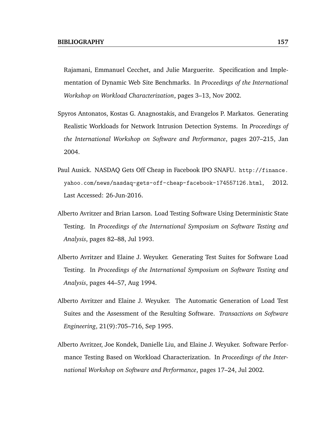Rajamani, Emmanuel Cecchet, and Julie Marguerite. Specification and Implementation of Dynamic Web Site Benchmarks. In *Proceedings of the International Workshop on Workload Characterization*, pages 3–13, Nov 2002.

- Spyros Antonatos, Kostas G. Anagnostakis, and Evangelos P. Markatos. Generating Realistic Workloads for Network Intrusion Detection Systems. In *Proceedings of the International Workshop on Software and Performance*, pages 207–215, Jan 2004.
- Paul Ausick. NASDAQ Gets Off Cheap in Facebook IPO SNAFU. http://finance. yahoo.com/news/nasdaq-gets-off-cheap-facebook-174557126.html, 2012. Last Accessed: 26-Jun-2016.
- Alberto Avritzer and Brian Larson. Load Testing Software Using Deterministic State Testing. In *Proceedings of the International Symposium on Software Testing and Analysis*, pages 82–88, Jul 1993.
- Alberto Avritzer and Elaine J. Weyuker. Generating Test Suites for Software Load Testing. In *Proceedings of the International Symposium on Software Testing and Analysis*, pages 44–57, Aug 1994.
- Alberto Avritzer and Elaine J. Weyuker. The Automatic Generation of Load Test Suites and the Assessment of the Resulting Software. *Transactions on Software Engineering*, 21(9):705–716, Sep 1995.
- Alberto Avritzer, Joe Kondek, Danielle Liu, and Elaine J. Weyuker. Software Performance Testing Based on Workload Characterization. In *Proceedings of the International Workshop on Software and Performance*, pages 17–24, Jul 2002.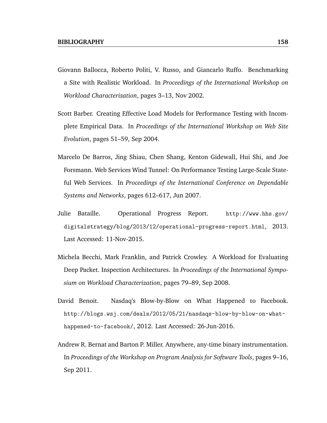- Giovann Ballocca, Roberto Politi, V. Russo, and Giancarlo Ruffo. Benchmarking a Site with Realistic Workload. In *Proceedings of the International Workshop on Workload Characterization*, pages 3–13, Nov 2002.
- Scott Barber. Creating Effective Load Models for Performance Testing with Incomplete Empirical Data. In *Proceedings of the International Workshop on Web Site Evolution*, pages 51–59, Sep 2004.
- Marcelo De Barros, Jing Shiau, Chen Shang, Kenton Gidewall, Hui Shi, and Joe Forsmann. Web Services Wind Tunnel: On Performance Testing Large-Scale Stateful Web Services. In *Proceedings of the International Conference on Dependable Systems and Networks*, pages 612–617, Jun 2007.
- Julie Bataille. Operational Progress Report. http://www.hhs.gov/ digitalstrategy/blog/2013/12/operational-progress-report.html, 2013. Last Accessed: 11-Nov-2015.
- Michela Becchi, Mark Franklin, and Patrick Crowley. A Workload for Evaluating Deep Packet. Inspection Architectures. In *Proceedings of the International Symposium on Workload Characterization*, pages 79–89, Sep 2008.
- David Benoit. Nasdaq's Blow-by-Blow on What Happened to Facebook. http://blogs.wsj.com/deals/2012/05/21/nasdaqs-blow-by-blow-on-whathappened-to-facebook/, 2012. Last Accessed: 26-Jun-2016.
- Andrew R. Bernat and Barton P. Miller. Anywhere, any-time binary instrumentation. In *Proceedings of the Workshop on Program Analysis for Software Tools*, pages 9–16, Sep 2011.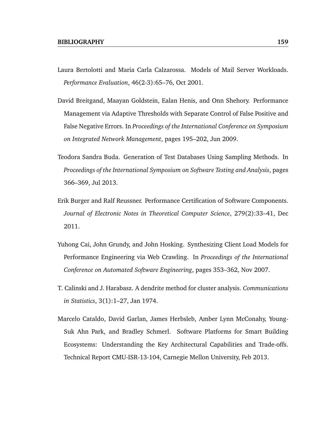- Laura Bertolotti and Maria Carla Calzarossa. Models of Mail Server Workloads. *Performance Evaluation*, 46(2-3):65–76, Oct 2001.
- David Breitgand, Maayan Goldstein, Ealan Henis, and Onn Shehory. Performance Management via Adaptive Thresholds with Separate Control of False Positive and False Negative Errors. In *Proceedings of the International Conference on Symposium on Integrated Network Management*, pages 195–202, Jun 2009.
- Teodora Sandra Buda. Generation of Test Databases Using Sampling Methods. In *Proceedings of the International Symposium on Software Testing and Analysis*, pages 366–369, Jul 2013.
- Erik Burger and Ralf Reussner. Performance Certification of Software Components. *Journal of Electronic Notes in Theoretical Computer Science*, 279(2):33–41, Dec 2011.
- Yuhong Cai, John Grundy, and John Hosking. Synthesizing Client Load Models for Performance Engineering via Web Crawling. In *Proceedings of the International Conference on Automated Software Engineering*, pages 353–362, Nov 2007.
- T. Calinski and J. Harabasz. A dendrite method for cluster analysis. *Communications in Statistics*, 3(1):1–27, Jan 1974.
- Marcelo Cataldo, David Garlan, James Herbsleb, Amber Lynn McConahy, Young-Suk Ahn Park, and Bradley Schmerl. Software Platforms for Smart Building Ecosystems: Understanding the Key Architectural Capabilities and Trade-offs. Technical Report CMU-ISR-13-104, Carnegie Mellon University, Feb 2013.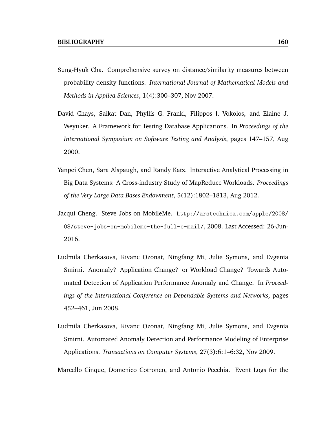- Sung-Hyuk Cha. Comprehensive survey on distance/similarity measures between probability density functions. *International Journal of Mathematical Models and Methods in Applied Sciences*, 1(4):300–307, Nov 2007.
- David Chays, Saikat Dan, Phyllis G. Frankl, Filippos I. Vokolos, and Elaine J. Weyuker. A Framework for Testing Database Applications. In *Proceedings of the International Symposium on Software Testing and Analysis*, pages 147–157, Aug 2000.
- Yanpei Chen, Sara Alspaugh, and Randy Katz. Interactive Analytical Processing in Big Data Systems: A Cross-industry Study of MapReduce Workloads. *Proceedings of the Very Large Data Bases Endowment*, 5(12):1802–1813, Aug 2012.
- Jacqui Cheng. Steve Jobs on MobileMe. http://arstechnica.com/apple/2008/ 08/steve-jobs-on-mobileme-the-full-e-mail/, 2008. Last Accessed: 26-Jun-2016.
- Ludmila Cherkasova, Kivanc Ozonat, Ningfang Mi, Julie Symons, and Evgenia Smirni. Anomaly? Application Change? or Workload Change? Towards Automated Detection of Application Performance Anomaly and Change. In *Proceedings of the International Conference on Dependable Systems and Networks*, pages 452–461, Jun 2008.
- Ludmila Cherkasova, Kivanc Ozonat, Ningfang Mi, Julie Symons, and Evgenia Smirni. Automated Anomaly Detection and Performance Modeling of Enterprise Applications. *Transactions on Computer Systems*, 27(3):6:1–6:32, Nov 2009.

Marcello Cinque, Domenico Cotroneo, and Antonio Pecchia. Event Logs for the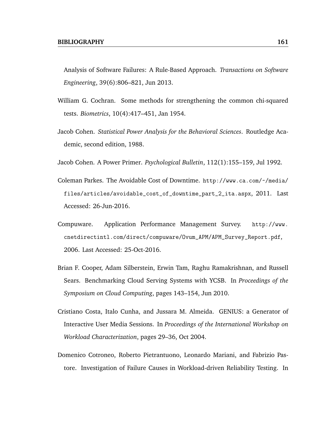- Analysis of Software Failures: A Rule-Based Approach. *Transactions on Software Engineering*, 39(6):806–821, Jun 2013.
- William G. Cochran. Some methods for strengthening the common chi-squared tests. *Biometrics*, 10(4):417–451, Jan 1954.
- Jacob Cohen. *Statistical Power Analysis for the Behavioral Sciences*. Routledge Academic, second edition, 1988.
- Jacob Cohen. A Power Primer. *Psychological Bulletin*, 112(1):155–159, Jul 1992.
- Coleman Parkes. The Avoidable Cost of Downtime. http://www.ca.com/~/media/ files/articles/avoidable\_cost\_of\_downtime\_part\_2\_ita.aspx, 2011. Last Accessed: 26-Jun-2016.
- Compuware. Application Performance Management Survey. http://www. cnetdirectintl.com/direct/compuware/Ovum\_APM/APM\_Survey\_Report.pdf, 2006. Last Accessed: 25-Oct-2016.
- Brian F. Cooper, Adam Silberstein, Erwin Tam, Raghu Ramakrishnan, and Russell Sears. Benchmarking Cloud Serving Systems with YCSB. In *Proceedings of the Symposium on Cloud Computing*, pages 143–154, Jun 2010.
- Cristiano Costa, Italo Cunha, and Jussara M. Almeida. GENIUS: a Generator of Interactive User Media Sessions. In *Proceedings of the International Workshop on Workload Characterization*, pages 29–36, Oct 2004.
- Domenico Cotroneo, Roberto Pietrantuono, Leonardo Mariani, and Fabrizio Pastore. Investigation of Failure Causes in Workload-driven Reliability Testing. In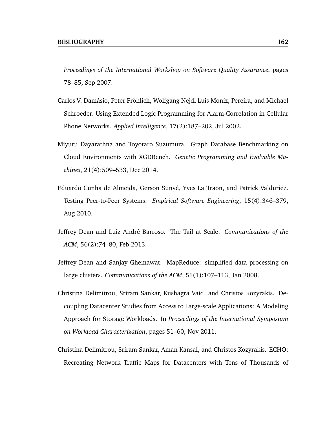*Proceedings of the International Workshop on Software Quality Assurance*, pages 78–85, Sep 2007.

- Carlos V. Damásio, Peter Fröhlich, Wolfgang Nejdl Luis Moniz, Pereira, and Michael Schroeder. Using Extended Logic Programming for Alarm-Correlation in Cellular Phone Networks. *Applied Intelligence*, 17(2):187–202, Jul 2002.
- Miyuru Dayarathna and Toyotaro Suzumura. Graph Database Benchmarking on Cloud Environments with XGDBench. *Genetic Programming and Evolvable Machines*, 21(4):509–533, Dec 2014.
- Eduardo Cunha de Almeida, Gerson Sunyé, Yves La Traon, and Patrick Valduriez. Testing Peer-to-Peer Systems. *Empirical Software Engineering*, 15(4):346–379, Aug 2010.
- Jeffrey Dean and Luiz André Barroso. The Tail at Scale. *Communications of the ACM*, 56(2):74–80, Feb 2013.
- Jeffrey Dean and Sanjay Ghemawat. MapReduce: simplified data processing on large clusters. *Communications of the ACM*, 51(1):107–113, Jan 2008.
- Christina Delimitrou, Sriram Sankar, Kushagra Vaid, and Christos Kozyrakis. Decoupling Datacenter Studies from Access to Large-scale Applications: A Modeling Approach for Storage Workloads. In *Proceedings of the International Symposium on Workload Characterization*, pages 51–60, Nov 2011.
- Christina Delimitrou, Sriram Sankar, Aman Kansal, and Christos Kozyrakis. ECHO: Recreating Network Traffic Maps for Datacenters with Tens of Thousands of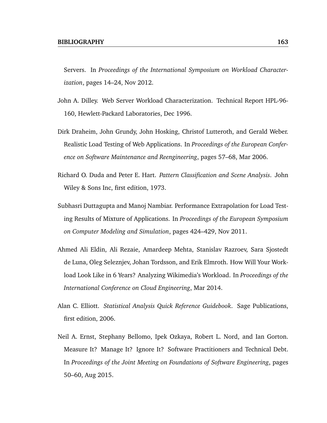Servers. In *Proceedings of the International Symposium on Workload Characterization*, pages 14–24, Nov 2012.

- John A. Dilley. Web Server Workload Characterization. Technical Report HPL-96- 160, Hewlett-Packard Laboratories, Dec 1996.
- Dirk Draheim, John Grundy, John Hosking, Christof Lutteroth, and Gerald Weber. Realistic Load Testing of Web Applications. In *Proceedings of the European Conference on Software Maintenance and Reengineering*, pages 57–68, Mar 2006.
- Richard O. Duda and Peter E. Hart. *Pattern Classification and Scene Analysis*. John Wiley & Sons Inc, first edition, 1973.
- Subhasri Duttagupta and Manoj Nambiar. Performance Extrapolation for Load Testing Results of Mixture of Applications. In *Proceedings of the European Symposium on Computer Modeling and Simulation*, pages 424–429, Nov 2011.
- Ahmed Ali Eldin, Ali Rezaie, Amardeep Mehta, Stanislav Razroev, Sara Sjostedt de Luna, Oleg Seleznjev, Johan Tordsson, and Erik Elmroth. How Will Your Workload Look Like in 6 Years? Analyzing Wikimedia's Workload. In *Proceedings of the International Conference on Cloud Engineering*, Mar 2014.
- Alan C. Elliott. *Statistical Analysis Quick Reference Guidebook*. Sage Publications, first edition, 2006.
- Neil A. Ernst, Stephany Bellomo, Ipek Ozkaya, Robert L. Nord, and Ian Gorton. Measure It? Manage It? Ignore It? Software Practitioners and Technical Debt. In *Proceedings of the Joint Meeting on Foundations of Software Engineering*, pages 50–60, Aug 2015.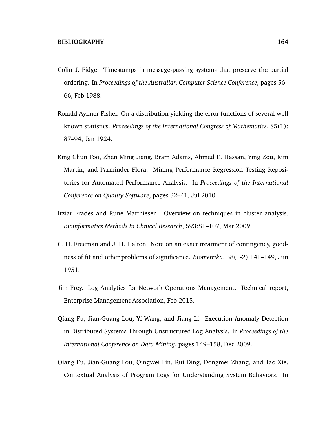- Colin J. Fidge. Timestamps in message-passing systems that preserve the partial ordering. In *Proceedings of the Australian Computer Science Conference*, pages 56– 66, Feb 1988.
- Ronald Aylmer Fisher. On a distribution yielding the error functions of several well known statistics. *Proceedings of the International Congress of Mathematics*, 85(1): 87–94, Jan 1924.
- King Chun Foo, Zhen Ming Jiang, Bram Adams, Ahmed E. Hassan, Ying Zou, Kim Martin, and Parminder Flora. Mining Performance Regression Testing Repositories for Automated Performance Analysis. In *Proceedings of the International Conference on Quality Software*, pages 32–41, Jul 2010.
- Itziar Frades and Rune Matthiesen. Overview on techniques in cluster analysis. *Bioinformatics Methods In Clinical Research*, 593:81–107, Mar 2009.
- G. H. Freeman and J. H. Halton. Note on an exact treatment of contingency, goodness of fit and other problems of significance. *Biometrika*, 38(1-2):141–149, Jun 1951.
- Jim Frey. Log Analytics for Network Operations Management. Technical report, Enterprise Management Association, Feb 2015.
- Qiang Fu, Jian-Guang Lou, Yi Wang, and Jiang Li. Execution Anomaly Detection in Distributed Systems Through Unstructured Log Analysis. In *Proceedings of the International Conference on Data Mining*, pages 149–158, Dec 2009.
- Qiang Fu, Jian-Guang Lou, Qingwei Lin, Rui Ding, Dongmei Zhang, and Tao Xie. Contextual Analysis of Program Logs for Understanding System Behaviors. In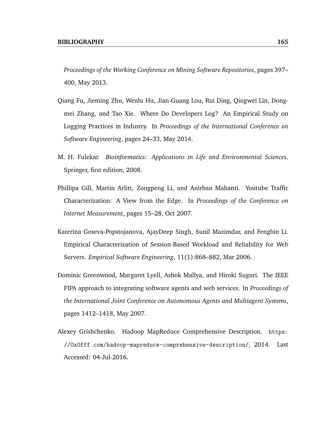*Proceedings of the Working Conference on Mining Software Repositories*, pages 397– 400, May 2013.

- Qiang Fu, Jieming Zhu, Wenlu Hu, Jian-Guang Lou, Rui Ding, Qingwei Lin, Dongmei Zhang, and Tao Xie. Where Do Developers Log? An Empirical Study on Logging Practices in Industry. In *Proceedings of the International Conference on Software Engineering*, pages 24–33, May 2014.
- M. H. Fulekar. *Bioinformatics: Applications in Life and Environmental Sciences*. Springer, first edition, 2008.
- Phillipa Gill, Martin Arlitt, Zongpeng Li, and Anirban Mahanti. Youtube Traffic Characterization: A View from the Edge. In *Proceedings of the Conference on Internet Measurement*, pages 15–28, Oct 2007.
- Katerina Goseva-Popstojanova, AjayDeep Singh, Sunil Mazimdar, and Fengbin Li. Empirical Characterization of Session-Based Workload and Reliability for Web Servers. *Empirical Software Engineering*, 11(1):868–882, Mar 2006.
- Dominic Greenwood, Margaret Lyell, Ashok Mallya, and Hiroki Suguri. The IEEE FIPA approach to integrating software agents and web services. In *Proceedings of the International Joint Conference on Autonomous Agents and Multiagent Systems*, pages 1412–1418, May 2007.
- Alexey Grishchenko. Hadoop MapReduce Comprehensive Description. https: //0x0fff.com/hadoop-mapreduce-comprehensive-description/, 2014. Last Accessed: 04-Jul-2016.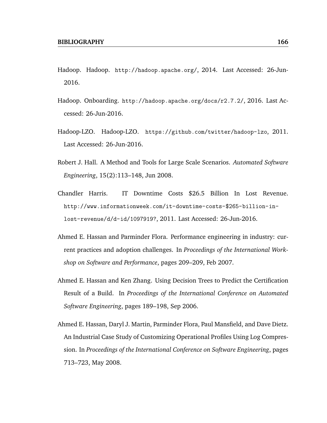- Hadoop. Hadoop. http://hadoop.apache.org/, 2014. Last Accessed: 26-Jun-2016.
- Hadoop. Onboarding. http://hadoop.apache.org/docs/r2.7.2/, 2016. Last Accessed: 26-Jun-2016.
- Hadoop-LZO. Hadoop-LZO. https://github.com/twitter/hadoop-lzo, 2011. Last Accessed: 26-Jun-2016.
- Robert J. Hall. A Method and Tools for Large Scale Scenarios. *Automated Software Engineering*, 15(2):113–148, Jun 2008.
- Chandler Harris. IT Downtime Costs \$26.5 Billion In Lost Revenue. http://www.informationweek.com/it-downtime-costs-\$265-billion-inlost-revenue/d/d-id/1097919?, 2011. Last Accessed: 26-Jun-2016.
- Ahmed E. Hassan and Parminder Flora. Performance engineering in industry: current practices and adoption challenges. In *Proceedings of the International Workshop on Software and Performance*, pages 209–209, Feb 2007.
- Ahmed E. Hassan and Ken Zhang. Using Decision Trees to Predict the Certification Result of a Build. In *Proceedings of the International Conference on Automated Software Engineering*, pages 189–198, Sep 2006.
- Ahmed E. Hassan, Daryl J. Martin, Parminder Flora, Paul Mansfield, and Dave Dietz. An Industrial Case Study of Customizing Operational Profiles Using Log Compression. In *Proceedings of the International Conference on Software Engineering*, pages 713–723, May 2008.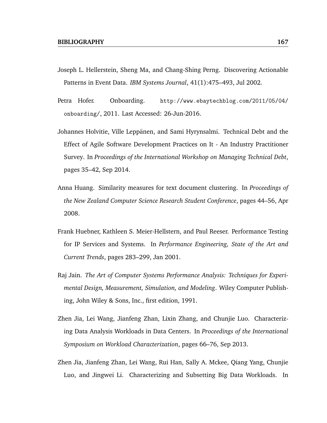- Joseph L. Hellerstein, Sheng Ma, and Chang-Shing Perng. Discovering Actionable Patterns in Event Data. *IBM Systems Journal*, 41(1):475–493, Jul 2002.
- Petra Hofer. Onboarding. http://www.ebaytechblog.com/2011/05/04/ onboarding/, 2011. Last Accessed: 26-Jun-2016.
- Johannes Holvitie, Ville Leppänen, and Sami Hyrynsalmi. Technical Debt and the Effect of Agile Software Development Practices on It - An Industry Practitioner Survey. In *Proceedings of the International Workshop on Managing Technical Debt*, pages 35–42, Sep 2014.
- Anna Huang. Similarity measures for text document clustering. In *Proceedings of the New Zealand Computer Science Research Student Conference*, pages 44–56, Apr 2008.
- Frank Huebner, Kathleen S. Meier-Hellstern, and Paul Reeser. Performance Testing for IP Services and Systems. In *Performance Engineering, State of the Art and Current Trends*, pages 283–299, Jan 2001.
- Raj Jain. *The Art of Computer Systems Performance Analysis: Techniques for Experimental Design, Measurement, Simulation, and Modeling*. Wiley Computer Publishing, John Wiley & Sons, Inc., first edition, 1991.
- Zhen Jia, Lei Wang, Jianfeng Zhan, Lixin Zhang, and Chunjie Luo. Characterizing Data Analysis Workloads in Data Centers. In *Proceedings of the International Symposium on Workload Characterization*, pages 66–76, Sep 2013.
- Zhen Jia, Jianfeng Zhan, Lei Wang, Rui Han, Sally A. Mckee, Qiang Yang, Chunjie Luo, and Jingwei Li. Characterizing and Subsetting Big Data Workloads. In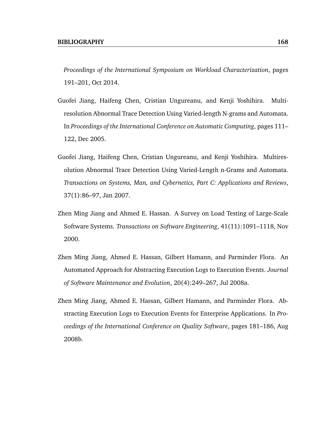*Proceedings of the International Symposium on Workload Characterization*, pages 191–201, Oct 2014.

- Guofei Jiang, Haifeng Chen, Cristian Ungureanu, and Kenji Yoshihira. Multiresolution Abnormal Trace Detection Using Varied-length N-grams and Automata. In *Proceedings of the International Conference on Automatic Computing*, pages 111– 122, Dec 2005.
- Guofei Jiang, Haifeng Chen, Cristian Ungureanu, and Kenji Yoshihira. Multiresolution Abnormal Trace Detection Using Varied-Length n-Grams and Automata. *Transactions on Systems, Man, and Cybernetics, Part C: Applications and Reviews*, 37(1):86–97, Jan 2007.
- Zhen Ming Jiang and Ahmed E. Hassan. A Survey on Load Testing of Large-Scale Software Systems. *Transactions on Software Engineering*, 41(11):1091–1118, Nov 2000.
- Zhen Ming Jiang, Ahmed E. Hassan, Gilbert Hamann, and Parminder Flora. An Automated Approach for Abstracting Execution Logs to Execution Events. *Journal of Software Maintenance and Evolution*, 20(4):249–267, Jul 2008a.
- Zhen Ming Jiang, Ahmed E. Hassan, Gilbert Hamann, and Parminder Flora. Abstracting Execution Logs to Execution Events for Enterprise Applications. In *Proceedings of the International Conference on Quality Software*, pages 181–186, Aug 2008b.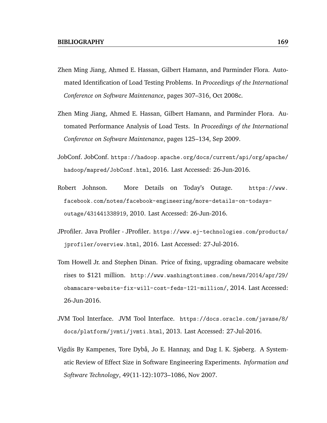- Zhen Ming Jiang, Ahmed E. Hassan, Gilbert Hamann, and Parminder Flora. Automated Identification of Load Testing Problems. In *Proceedings of the International Conference on Software Maintenance*, pages 307–316, Oct 2008c.
- Zhen Ming Jiang, Ahmed E. Hassan, Gilbert Hamann, and Parminder Flora. Automated Performance Analysis of Load Tests. In *Proceedings of the International Conference on Software Maintenance*, pages 125–134, Sep 2009.
- JobConf. JobConf. https://hadoop.apache.org/docs/current/api/org/apache/ hadoop/mapred/JobConf.html, 2016. Last Accessed: 26-Jun-2016.
- Robert Johnson. More Details on Today's Outage. https://www. facebook.com/notes/facebook-engineering/more-details-on-todaysoutage/431441338919, 2010. Last Accessed: 26-Jun-2016.
- JProfiler. Java Profiler JProfiler. https://www.ej-technologies.com/products/ jprofiler/overview.html, 2016. Last Accessed: 27-Jul-2016.
- Tom Howell Jr. and Stephen Dinan. Price of fixing, upgrading obamacare website rises to \$121 million. http://www.washingtontimes.com/news/2014/apr/29/ obamacare-website-fix-will-cost-feds-121-million/, 2014. Last Accessed: 26-Jun-2016.
- JVM Tool Interface. JVM Tool Interface. https://docs.oracle.com/javase/8/ docs/platform/jvmti/jvmti.html, 2013. Last Accessed: 27-Jul-2016.
- Vigdis By Kampenes, Tore Dybå, Jo E. Hannay, and Dag I. K. Sjøberg. A Systematic Review of Effect Size in Software Engineering Experiments. *Information and Software Technology*, 49(11-12):1073–1086, Nov 2007.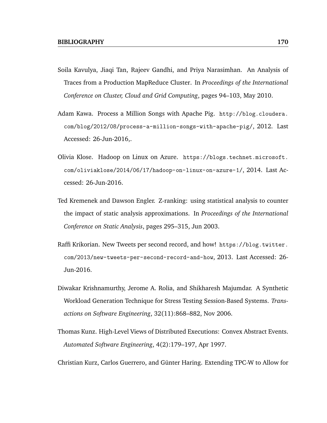- Soila Kavulya, Jiaqi Tan, Rajeev Gandhi, and Priya Narasimhan. An Analysis of Traces from a Production MapReduce Cluster. In *Proceedings of the International Conference on Cluster, Cloud and Grid Computing*, pages 94–103, May 2010.
- Adam Kawa. Process a Million Songs with Apache Pig. http://blog.cloudera. com/blog/2012/08/process-a-million-songs-with-apache-pig/, 2012. Last Accessed: 26-Jun-2016,.
- Olivia Klose. Hadoop on Linux on Azure. https://blogs.technet.microsoft. com/oliviaklose/2014/06/17/hadoop-on-linux-on-azure-1/, 2014. Last Accessed: 26-Jun-2016.
- Ted Kremenek and Dawson Engler. Z-ranking: using statistical analysis to counter the impact of static analysis approximations. In *Proceedings of the International Conference on Static Analysis*, pages 295–315, Jun 2003.
- Raffi Krikorian. New Tweets per second record, and how! https://blog.twitter. com/2013/new-tweets-per-second-record-and-how, 2013. Last Accessed: 26- Jun-2016.
- Diwakar Krishnamurthy, Jerome A. Rolia, and Shikharesh Majumdar. A Synthetic Workload Generation Technique for Stress Testing Session-Based Systems. *Transactions on Software Engineering*, 32(11):868–882, Nov 2006.
- Thomas Kunz. High-Level Views of Distributed Executions: Convex Abstract Events. *Automated Software Engineering*, 4(2):179–197, Apr 1997.

Christian Kurz, Carlos Guerrero, and Gunter Haring. Extending TPC-W to Allow for ¨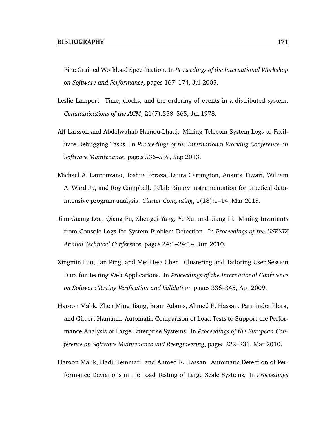Fine Grained Workload Specification. In *Proceedings of the International Workshop on Software and Performance*, pages 167–174, Jul 2005.

- Leslie Lamport. Time, clocks, and the ordering of events in a distributed system. *Communications of the ACM*, 21(7):558–565, Jul 1978.
- Alf Larsson and Abdelwahab Hamou-Lhadj. Mining Telecom System Logs to Facilitate Debugging Tasks. In *Proceedings of the International Working Conference on Software Maintenance*, pages 536–539, Sep 2013.
- Michael A. Laurenzano, Joshua Peraza, Laura Carrington, Ananta Tiwari, William A. Ward Jr., and Roy Campbell. Pebil: Binary instrumentation for practical dataintensive program analysis. *Cluster Computing*, 1(18):1–14, Mar 2015.
- Jian-Guang Lou, Qiang Fu, Shengqi Yang, Ye Xu, and Jiang Li. Mining Invariants from Console Logs for System Problem Detection. In *Proceedings of the USENIX Annual Technical Conference*, pages 24:1–24:14, Jun 2010.
- Xingmin Luo, Fan Ping, and Mei-Hwa Chen. Clustering and Tailoring User Session Data for Testing Web Applications. In *Proceedings of the International Conference on Software Testing Verification and Validation*, pages 336–345, Apr 2009.
- Haroon Malik, Zhen Ming Jiang, Bram Adams, Ahmed E. Hassan, Parminder Flora, and Gilbert Hamann. Automatic Comparison of Load Tests to Support the Performance Analysis of Large Enterprise Systems. In *Proceedings of the European Conference on Software Maintenance and Reengineering*, pages 222–231, Mar 2010.
- Haroon Malik, Hadi Hemmati, and Ahmed E. Hassan. Automatic Detection of Performance Deviations in the Load Testing of Large Scale Systems. In *Proceedings*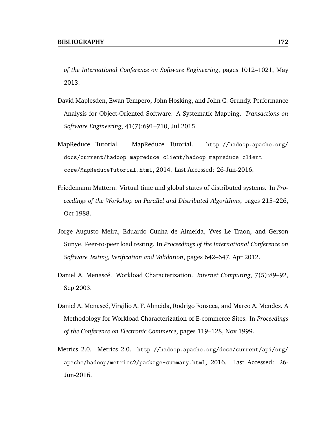*of the International Conference on Software Engineering*, pages 1012–1021, May 2013.

- David Maplesden, Ewan Tempero, John Hosking, and John C. Grundy. Performance Analysis for Object-Oriented Software: A Systematic Mapping. *Transactions on Software Engineering*, 41(7):691–710, Jul 2015.
- MapReduce Tutorial. MapReduce Tutorial. http://hadoop.apache.org/ docs/current/hadoop-mapreduce-client/hadoop-mapreduce-clientcore/MapReduceTutorial.html, 2014. Last Accessed: 26-Jun-2016.
- Friedemann Mattern. Virtual time and global states of distributed systems. In *Proceedings of the Workshop on Parallel and Distributed Algorithms*, pages 215–226, Oct 1988.
- Jorge Augusto Meira, Eduardo Cunha de Almeida, Yves Le Traon, and Gerson Sunye. Peer-to-peer load testing. In *Proceedings of the International Conference on Software Testing, Verification and Validation*, pages 642–647, Apr 2012.
- Daniel A. Menasc´e. Workload Characterization. *Internet Computing*, 7(5):89–92, Sep 2003.
- Daniel A. Menascé, Virgilio A. F. Almeida, Rodrigo Fonseca, and Marco A. Mendes. A Methodology for Workload Characterization of E-commerce Sites. In *Proceedings of the Conference on Electronic Commerce*, pages 119–128, Nov 1999.
- Metrics 2.0. Metrics 2.0. http://hadoop.apache.org/docs/current/api/org/ apache/hadoop/metrics2/package-summary.html, 2016. Last Accessed: 26- Jun-2016.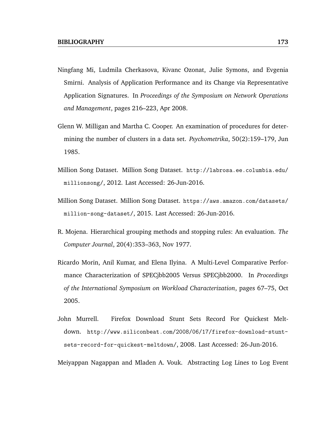- Ningfang Mi, Ludmila Cherkasova, Kivanc Ozonat, Julie Symons, and Evgenia Smirni. Analysis of Application Performance and its Change via Representative Application Signatures. In *Proceedings of the Symposium on Network Operations and Management*, pages 216–223, Apr 2008.
- Glenn W. Milligan and Martha C. Cooper. An examination of procedures for determining the number of clusters in a data set. *Psychometrika*, 50(2):159–179, Jun 1985.
- Million Song Dataset. Million Song Dataset. http://labrosa.ee.columbia.edu/ millionsong/, 2012. Last Accessed: 26-Jun-2016.
- Million Song Dataset. Million Song Dataset. https://aws.amazon.com/datasets/ million-song-dataset/, 2015. Last Accessed: 26-Jun-2016.
- R. Mojena. Hierarchical grouping methods and stopping rules: An evaluation. *The Computer Journal*, 20(4):353–363, Nov 1977.
- Ricardo Morin, Anil Kumar, and Elena Ilyina. A Multi-Level Comparative Performance Characterization of SPECjbb2005 Versus SPECjbb2000. In *Proceedings of the International Symposium on Workload Characterization*, pages 67–75, Oct 2005.
- John Murrell. Firefox Download Stunt Sets Record For Quickest Meltdown. http://www.siliconbeat.com/2008/06/17/firefox-download-stuntsets-record-for-quickest-meltdown/, 2008. Last Accessed: 26-Jun-2016.

Meiyappan Nagappan and Mladen A. Vouk. Abstracting Log Lines to Log Event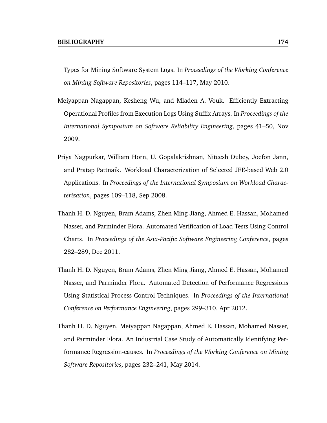Types for Mining Software System Logs. In *Proceedings of the Working Conference on Mining Software Repositories*, pages 114–117, May 2010.

- Meiyappan Nagappan, Kesheng Wu, and Mladen A. Vouk. Efficiently Extracting Operational Profiles from Execution Logs Using Suffix Arrays. In *Proceedings of the International Symposium on Software Reliability Engineering*, pages 41–50, Nov 2009.
- Priya Nagpurkar, William Horn, U. Gopalakrishnan, Niteesh Dubey, Joefon Jann, and Pratap Pattnaik. Workload Characterization of Selected JEE-based Web 2.0 Applications. In *Proceedings of the International Symposium on Workload Characterization*, pages 109–118, Sep 2008.
- Thanh H. D. Nguyen, Bram Adams, Zhen Ming Jiang, Ahmed E. Hassan, Mohamed Nasser, and Parminder Flora. Automated Verification of Load Tests Using Control Charts. In *Proceedings of the Asia-Pacific Software Engineering Conference*, pages 282–289, Dec 2011.
- Thanh H. D. Nguyen, Bram Adams, Zhen Ming Jiang, Ahmed E. Hassan, Mohamed Nasser, and Parminder Flora. Automated Detection of Performance Regressions Using Statistical Process Control Techniques. In *Proceedings of the International Conference on Performance Engineering*, pages 299–310, Apr 2012.
- Thanh H. D. Nguyen, Meiyappan Nagappan, Ahmed E. Hassan, Mohamed Nasser, and Parminder Flora. An Industrial Case Study of Automatically Identifying Performance Regression-causes. In *Proceedings of the Working Conference on Mining Software Repositories*, pages 232–241, May 2014.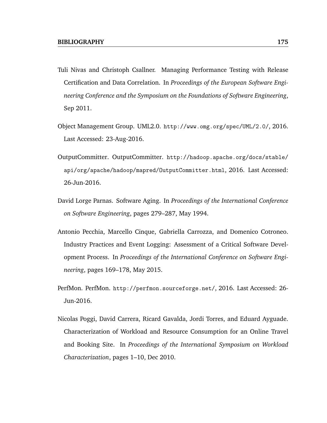- Tuli Nivas and Christoph Csallner. Managing Performance Testing with Release Certification and Data Correlation. In *Proceedings of the European Software Engineering Conference and the Symposium on the Foundations of Software Engineering*, Sep 2011.
- Object Management Group. UML2.0. http://www.omg.org/spec/UML/2.0/, 2016. Last Accessed: 23-Aug-2016.
- OutputCommitter. OutputCommitter. http://hadoop.apache.org/docs/stable/ api/org/apache/hadoop/mapred/OutputCommitter.html, 2016. Last Accessed: 26-Jun-2016.
- David Lorge Parnas. Software Aging. In *Proceedings of the International Conference on Software Engineering*, pages 279–287, May 1994.
- Antonio Pecchia, Marcello Cinque, Gabriella Carrozza, and Domenico Cotroneo. Industry Practices and Event Logging: Assessment of a Critical Software Development Process. In *Proceedings of the International Conference on Software Engineering*, pages 169–178, May 2015.
- PerfMon. PerfMon. http://perfmon.sourceforge.net/, 2016. Last Accessed: 26- Jun-2016.
- Nicolas Poggi, David Carrera, Ricard Gavalda, Jordi Torres, and Eduard Ayguade. Characterization of Workload and Resource Consumption for an Online Travel and Booking Site. In *Proceedings of the International Symposium on Workload Characterization*, pages 1–10, Dec 2010.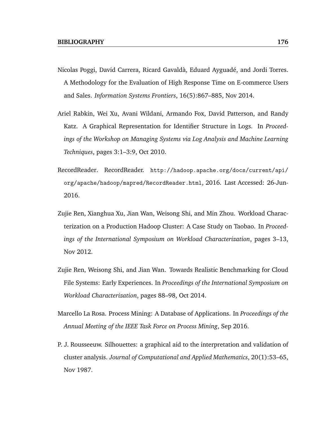- Nicolas Poggi, David Carrera, Ricard Gavaldà, Eduard Ayguadé, and Jordi Torres. A Methodology for the Evaluation of High Response Time on E-commerce Users and Sales. *Information Systems Frontiers*, 16(5):867–885, Nov 2014.
- Ariel Rabkin, Wei Xu, Avani Wildani, Armando Fox, David Patterson, and Randy Katz. A Graphical Representation for Identifier Structure in Logs. In *Proceedings of the Workshop on Managing Systems via Log Analysis and Machine Learning Techniques*, pages 3:1–3:9, Oct 2010.
- RecordReader. RecordReader. http://hadoop.apache.org/docs/current/api/ org/apache/hadoop/mapred/RecordReader.html, 2016. Last Accessed: 26-Jun-2016.
- Zujie Ren, Xianghua Xu, Jian Wan, Weisong Shi, and Min Zhou. Workload Characterization on a Production Hadoop Cluster: A Case Study on Taobao. In *Proceedings of the International Symposium on Workload Characterization*, pages 3–13, Nov 2012.
- Zujie Ren, Weisong Shi, and Jian Wan. Towards Realistic Benchmarking for Cloud File Systems: Early Experiences. In *Proceedings of the International Symposium on Workload Characterization*, pages 88–98, Oct 2014.
- Marcello La Rosa. Process Mining: A Database of Applications. In *Proceedings of the Annual Meeting of the IEEE Task Force on Process Mining*, Sep 2016.
- P. J. Rousseeuw. Silhouettes: a graphical aid to the interpretation and validation of cluster analysis. *Journal of Computational and Applied Mathematics*, 20(1):53–65, Nov 1987.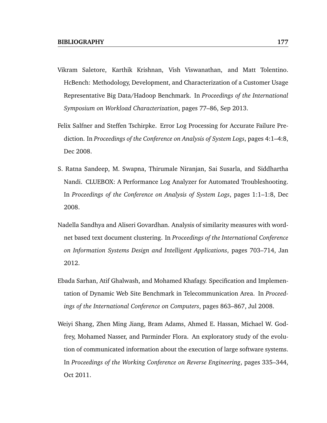- Vikram Saletore, Karthik Krishnan, Vish Viswanathan, and Matt Tolentino. HcBench: Methodology, Development, and Characterization of a Customer Usage Representative Big Data/Hadoop Benchmark. In *Proceedings of the International Symposium on Workload Characterization*, pages 77–86, Sep 2013.
- Felix Salfner and Steffen Tschirpke. Error Log Processing for Accurate Failure Prediction. In *Proceedings of the Conference on Analysis of System Logs*, pages 4:1–4:8, Dec 2008.
- S. Ratna Sandeep, M. Swapna, Thirumale Niranjan, Sai Susarla, and Siddhartha Nandi. CLUEBOX: A Performance Log Analyzer for Automated Troubleshooting. In *Proceedings of the Conference on Analysis of System Logs*, pages 1:1–1:8, Dec 2008.
- Nadella Sandhya and Aliseri Govardhan. Analysis of similarity measures with wordnet based text document clustering. In *Proceedings of the International Conference on Information Systems Design and Intelligent Applications*, pages 703–714, Jan 2012.
- Ebada Sarhan, Atif Ghalwash, and Mohamed Khafagy. Specification and Implementation of Dynamic Web Site Benchmark in Telecommunication Area. In *Proceedings of the International Conference on Computers*, pages 863–867, Jul 2008.
- Weiyi Shang, Zhen Ming Jiang, Bram Adams, Ahmed E. Hassan, Michael W. Godfrey, Mohamed Nasser, and Parminder Flora. An exploratory study of the evolution of communicated information about the execution of large software systems. In *Proceedings of the Working Conference on Reverse Engineering*, pages 335–344, Oct 2011.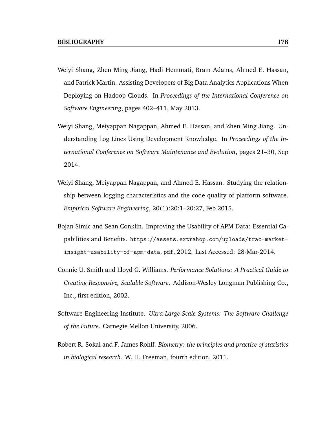- Weiyi Shang, Zhen Ming Jiang, Hadi Hemmati, Bram Adams, Ahmed E. Hassan, and Patrick Martin. Assisting Developers of Big Data Analytics Applications When Deploying on Hadoop Clouds. In *Proceedings of the International Conference on Software Engineering*, pages 402–411, May 2013.
- Weiyi Shang, Meiyappan Nagappan, Ahmed E. Hassan, and Zhen Ming Jiang. Understanding Log Lines Using Development Knowledge. In *Proceedings of the International Conference on Software Maintenance and Evolution*, pages 21–30, Sep 2014.
- Weiyi Shang, Meiyappan Nagappan, and Ahmed E. Hassan. Studying the relationship between logging characteristics and the code quality of platform software. *Empirical Software Engineering*, 20(1):20:1–20:27, Feb 2015.
- Bojan Simic and Sean Conklin. Improving the Usability of APM Data: Essential Capabilities and Benefits. https://assets.extrahop.com/uploads/trac-marketinsight-usability-of-apm-data.pdf, 2012. Last Accessed: 28-Mar-2014.
- Connie U. Smith and Lloyd G. Williams. *Performance Solutions: A Practical Guide to Creating Responsive, Scalable Software*. Addison-Wesley Longman Publishing Co., Inc., first edition, 2002.
- Software Engineering Institute. *Ultra-Large-Scale Systems: The Software Challenge of the Future*. Carnegie Mellon University, 2006.
- Robert R. Sokal and F. James Rohlf. *Biometry: the principles and practice of statistics in biological research*. W. H. Freeman, fourth edition, 2011.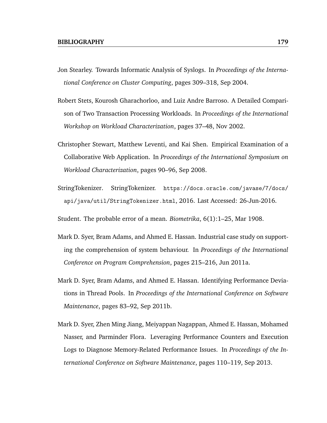- Jon Stearley. Towards Informatic Analysis of Syslogs. In *Proceedings of the International Conference on Cluster Computing*, pages 309–318, Sep 2004.
- Robert Stets, Kourosh Gharachorloo, and Luiz Andre Barroso. A Detailed Comparison of Two Transaction Processing Workloads. In *Proceedings of the International Workshop on Workload Characterization*, pages 37–48, Nov 2002.
- Christopher Stewart, Matthew Leventi, and Kai Shen. Empirical Examination of a Collaborative Web Application. In *Proceedings of the International Symposium on Workload Characterization*, pages 90–96, Sep 2008.
- StringTokenizer. StringTokenizer. https://docs.oracle.com/javase/7/docs/ api/java/util/StringTokenizer.html, 2016. Last Accessed: 26-Jun-2016.

Student. The probable error of a mean. *Biometrika*, 6(1):1–25, Mar 1908.

- Mark D. Syer, Bram Adams, and Ahmed E. Hassan. Industrial case study on supporting the comprehension of system behaviour. In *Proceedings of the International Conference on Program Comprehension*, pages 215–216, Jun 2011a.
- Mark D. Syer, Bram Adams, and Ahmed E. Hassan. Identifying Performance Deviations in Thread Pools. In *Proceedings of the International Conference on Software Maintenance*, pages 83–92, Sep 2011b.
- Mark D. Syer, Zhen Ming Jiang, Meiyappan Nagappan, Ahmed E. Hassan, Mohamed Nasser, and Parminder Flora. Leveraging Performance Counters and Execution Logs to Diagnose Memory-Related Performance Issues. In *Proceedings of the International Conference on Software Maintenance*, pages 110–119, Sep 2013.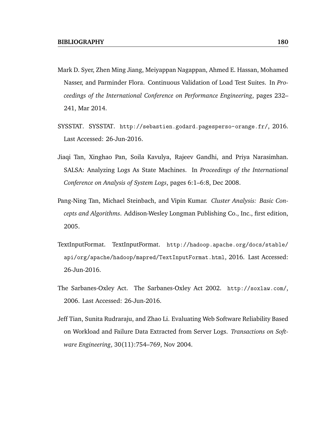- Mark D. Syer, Zhen Ming Jiang, Meiyappan Nagappan, Ahmed E. Hassan, Mohamed Nasser, and Parminder Flora. Continuous Validation of Load Test Suites. In *Proceedings of the International Conference on Performance Engineering*, pages 232– 241, Mar 2014.
- SYSSTAT. SYSSTAT. http://sebastien.godard.pagesperso-orange.fr/, 2016. Last Accessed: 26-Jun-2016.
- Jiaqi Tan, Xinghao Pan, Soila Kavulya, Rajeev Gandhi, and Priya Narasimhan. SALSA: Analyzing Logs As State Machines. In *Proceedings of the International Conference on Analysis of System Logs*, pages 6:1–6:8, Dec 2008.
- Pang-Ning Tan, Michael Steinbach, and Vipin Kumar. *Cluster Analysis: Basic Concepts and Algorithms*. Addison-Wesley Longman Publishing Co., Inc., first edition, 2005.
- TextInputFormat. TextInputFormat. http://hadoop.apache.org/docs/stable/ api/org/apache/hadoop/mapred/TextInputFormat.html, 2016. Last Accessed: 26-Jun-2016.
- The Sarbanes-Oxley Act. The Sarbanes-Oxley Act 2002. http://soxlaw.com/, 2006. Last Accessed: 26-Jun-2016.
- Jeff Tian, Sunita Rudraraju, and Zhao Li. Evaluating Web Software Reliability Based on Workload and Failure Data Extracted from Server Logs. *Transactions on Software Engineering*, 30(11):754–769, Nov 2004.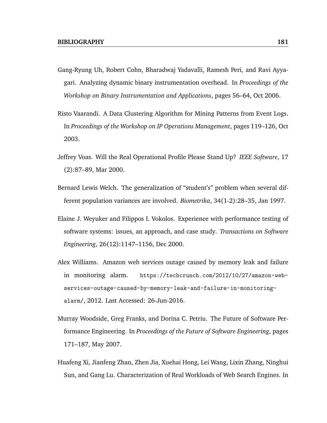- Gang-Ryung Uh, Robert Cohn, Bharadwaj Yadavalli, Ramesh Peri, and Ravi Ayyagari. Analyzing dynamic binary instrumentation overhead. In *Proceedings of the Workshop on Binary Instrumentation and Applications*, pages 56–64, Oct 2006.
- Risto Vaarandi. A Data Clustering Algorithm for Mining Patterns from Event Logs. In *Proceedings of the Workshop on IP Operations Management*, pages 119–126, Oct 2003.
- Jeffrey Voas. Will the Real Operational Profile Please Stand Up? *IEEE Software*, 17 (2):87–89, Mar 2000.
- Bernard Lewis Welch. The generalization of "student's" problem when several different population variances are involved. *Biometrika*, 34(1-2):28–35, Jan 1997.
- Elaine J. Weyuker and Filippos I. Vokolos. Experience with performance testing of software systems: issues, an approach, and case study. *Transactions on Software Engineering*, 26(12):1147–1156, Dec 2000.
- Alex Williams. Amazon web services outage caused by memory leak and failure in monitoring alarm. https://techcrunch.com/2012/10/27/amazon-webservices-outage-caused-by-memory-leak-and-failure-in-monitoringalarm/, 2012. Last Accessed: 26-Jun-2016.
- Murray Woodside, Greg Franks, and Dorina C. Petriu. The Future of Software Performance Engineering. In *Proceedings of the Future of Software Engineering*, pages 171–187, May 2007.
- Huafeng Xi, Jianfeng Zhan, Zhen Jia, Xuehai Hong, Lei Wang, Lixin Zhang, Ninghui Sun, and Gang Lu. Characterization of Real Workloads of Web Search Engines. In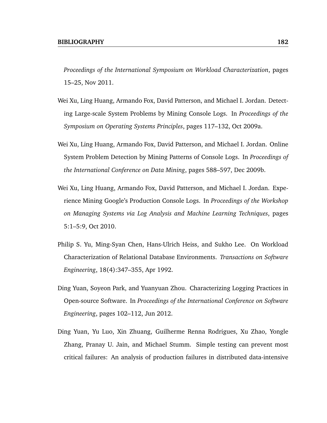*Proceedings of the International Symposium on Workload Characterization*, pages 15–25, Nov 2011.

- Wei Xu, Ling Huang, Armando Fox, David Patterson, and Michael I. Jordan. Detecting Large-scale System Problems by Mining Console Logs. In *Proceedings of the Symposium on Operating Systems Principles*, pages 117–132, Oct 2009a.
- Wei Xu, Ling Huang, Armando Fox, David Patterson, and Michael I. Jordan. Online System Problem Detection by Mining Patterns of Console Logs. In *Proceedings of the International Conference on Data Mining*, pages 588–597, Dec 2009b.
- Wei Xu, Ling Huang, Armando Fox, David Patterson, and Michael I. Jordan. Experience Mining Google's Production Console Logs. In *Proceedings of the Workshop on Managing Systems via Log Analysis and Machine Learning Techniques*, pages 5:1–5:9, Oct 2010.
- Philip S. Yu, Ming-Syan Chen, Hans-Ulrich Heiss, and Sukho Lee. On Workload Characterization of Relational Database Environments. *Transactions on Software Engineering*, 18(4):347–355, Apr 1992.
- Ding Yuan, Soyeon Park, and Yuanyuan Zhou. Characterizing Logging Practices in Open-source Software. In *Proceedings of the International Conference on Software Engineering*, pages 102–112, Jun 2012.
- Ding Yuan, Yu Luo, Xin Zhuang, Guilherme Renna Rodrigues, Xu Zhao, Yongle Zhang, Pranay U. Jain, and Michael Stumm. Simple testing can prevent most critical failures: An analysis of production failures in distributed data-intensive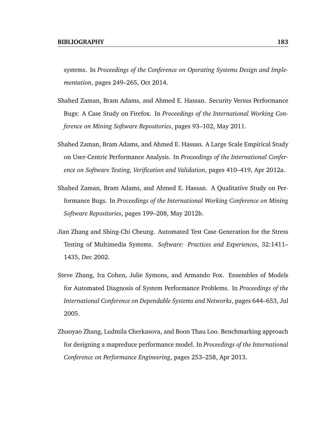systems. In *Proceedings of the Conference on Operating Systems Design and Implementation*, pages 249–265, Oct 2014.

- Shahed Zaman, Bram Adams, and Ahmed E. Hassan. Security Versus Performance Bugs: A Case Study on Firefox. In *Proceedings of the International Working Conference on Mining Software Repositories*, pages 93–102, May 2011.
- Shahed Zaman, Bram Adams, and Ahmed E. Hassan. A Large Scale Empirical Study on User-Centric Performance Analysis. In *Proceedings of the International Conference on Software Testing, Verification and Validation*, pages 410–419, Apr 2012a.
- Shahed Zaman, Bram Adams, and Ahmed E. Hassan. A Qualitative Study on Performance Bugs. In *Proceedings of the International Working Conference on Mining Software Repositories*, pages 199–208, May 2012b.
- Jian Zhang and Shing-Chi Cheung. Automated Test Case Generation for the Stress Testing of Multimedia Systems. *Software: Practices and Experiences*, 32:1411– 1435, Dec 2002.
- Steve Zhang, Ira Cohen, Julie Symons, and Armando Fox. Ensembles of Models for Automated Diagnosis of System Performance Problems. In *Proceedings of the International Conference on Dependable Systems and Networks*, pages 644–653, Jul 2005.
- Zhuoyao Zhang, Ludmila Cherkasova, and Boon Thau Loo. Benchmarking approach for designing a mapreduce performance model. In *Proceedings of the International Conference on Performance Engineering*, pages 253–258, Apr 2013.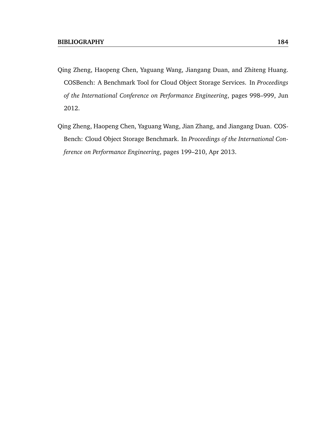- Qing Zheng, Haopeng Chen, Yaguang Wang, Jiangang Duan, and Zhiteng Huang. COSBench: A Benchmark Tool for Cloud Object Storage Services. In *Proceedings of the International Conference on Performance Engineering*, pages 998–999, Jun 2012.
- Qing Zheng, Haopeng Chen, Yaguang Wang, Jian Zhang, and Jiangang Duan. COS-Bench: Cloud Object Storage Benchmark. In *Proceedings of the International Conference on Performance Engineering*, pages 199–210, Apr 2013.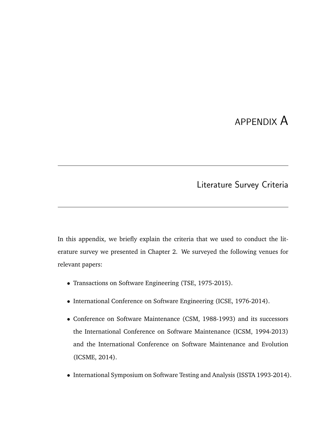# APPENDIX A

Literature Survey Criteria

In this appendix, we briefly explain the criteria that we used to conduct the literature survey we presented in Chapter 2. We surveyed the following venues for relevant papers:

- Transactions on Software Engineering (TSE, 1975-2015).
- International Conference on Software Engineering (ICSE, 1976-2014).
- Conference on Software Maintenance (CSM, 1988-1993) and its successors the International Conference on Software Maintenance (ICSM, 1994-2013) and the International Conference on Software Maintenance and Evolution (ICSME, 2014).
- International Symposium on Software Testing and Analysis (ISSTA 1993-2014).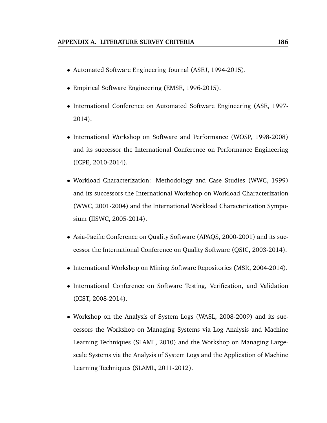- Automated Software Engineering Journal (ASEJ, 1994-2015).
- Empirical Software Engineering (EMSE, 1996-2015).
- International Conference on Automated Software Engineering (ASE, 1997- 2014).
- International Workshop on Software and Performance (WOSP, 1998-2008) and its successor the International Conference on Performance Engineering (ICPE, 2010-2014).
- Workload Characterization: Methodology and Case Studies (WWC, 1999) and its successors the International Workshop on Workload Characterization (WWC, 2001-2004) and the International Workload Characterization Symposium (IISWC, 2005-2014).
- Asia-Pacific Conference on Quality Software (APAQS, 2000-2001) and its successor the International Conference on Quality Software (QSIC, 2003-2014).
- International Workshop on Mining Software Repositories (MSR, 2004-2014).
- International Conference on Software Testing, Verification, and Validation (ICST, 2008-2014).
- Workshop on the Analysis of System Logs (WASL, 2008-2009) and its successors the Workshop on Managing Systems via Log Analysis and Machine Learning Techniques (SLAML, 2010) and the Workshop on Managing Largescale Systems via the Analysis of System Logs and the Application of Machine Learning Techniques (SLAML, 2011-2012).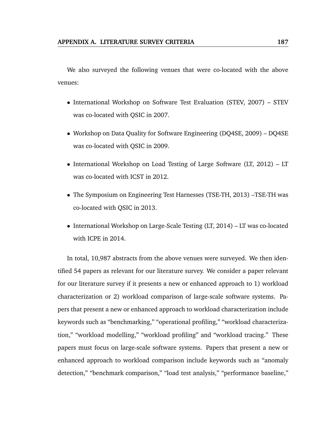We also surveyed the following venues that were co-located with the above venues:

- International Workshop on Software Test Evaluation (STEV, 2007) STEV was co-located with QSIC in 2007.
- Workshop on Data Quality for Software Engineering (DQ4SE, 2009) DQ4SE was co-located with QSIC in 2009.
- International Workshop on Load Testing of Large Software (LT, 2012) LT was co-located with ICST in 2012.
- The Symposium on Engineering Test Harnesses (TSE-TH, 2013) –TSE-TH was co-located with QSIC in 2013.
- International Workshop on Large-Scale Testing (LT, 2014) LT was co-located with ICPE in 2014.

In total, 10,987 abstracts from the above venues were surveyed. We then identified 54 papers as relevant for our literature survey. We consider a paper relevant for our literature survey if it presents a new or enhanced approach to 1) workload characterization or 2) workload comparison of large-scale software systems. Papers that present a new or enhanced approach to workload characterization include keywords such as "benchmarking," "operational profiling," "workload characterization," "workload modelling," "workload profiling" and "workload tracing." These papers must focus on large-scale software systems. Papers that present a new or enhanced approach to workload comparison include keywords such as "anomaly detection," "benchmark comparison," "load test analysis," "performance baseline,"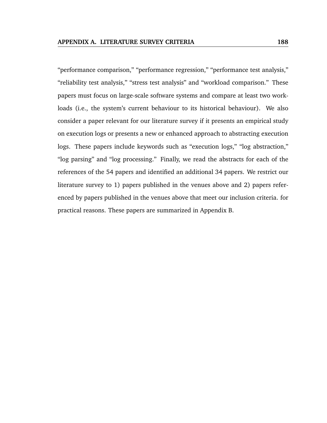"performance comparison," "performance regression," "performance test analysis," "reliability test analysis," "stress test analysis" and "workload comparison." These papers must focus on large-scale software systems and compare at least two workloads (i.e., the system's current behaviour to its historical behaviour). We also consider a paper relevant for our literature survey if it presents an empirical study on execution logs or presents a new or enhanced approach to abstracting execution logs. These papers include keywords such as "execution logs," "log abstraction," "log parsing" and "log processing." Finally, we read the abstracts for each of the references of the 54 papers and identified an additional 34 papers. We restrict our literature survey to 1) papers published in the venues above and 2) papers referenced by papers published in the venues above that meet our inclusion criteria. for practical reasons. These papers are summarized in Appendix B.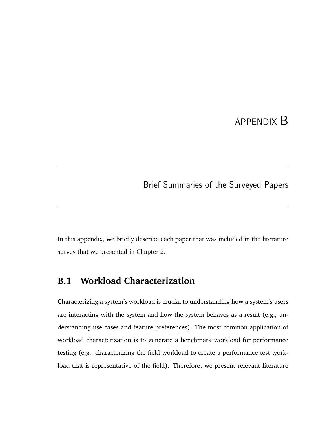# APPENDIX B

## Brief Summaries of the Surveyed Papers

In this appendix, we briefly describe each paper that was included in the literature survey that we presented in Chapter 2.

## **B.1 Workload Characterization**

Characterizing a system's workload is crucial to understanding how a system's users are interacting with the system and how the system behaves as a result (e.g., understanding use cases and feature preferences). The most common application of workload characterization is to generate a benchmark workload for performance testing (e.g., characterizing the field workload to create a performance test workload that is representative of the field). Therefore, we present relevant literature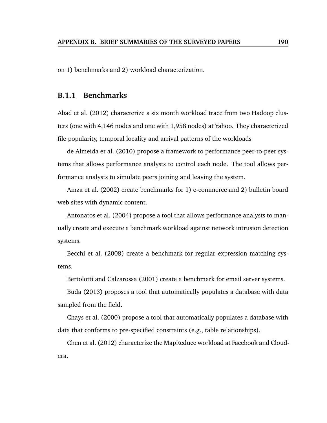on 1) benchmarks and 2) workload characterization.

### **B.1.1 Benchmarks**

Abad et al. (2012) characterize a six month workload trace from two Hadoop clusters (one with 4,146 nodes and one with 1,958 nodes) at Yahoo. They characterized file popularity, temporal locality and arrival patterns of the workloads

de Almeida et al. (2010) propose a framework to performance peer-to-peer systems that allows performance analysts to control each node. The tool allows performance analysts to simulate peers joining and leaving the system.

Amza et al. (2002) create benchmarks for 1) e-commerce and 2) bulletin board web sites with dynamic content.

Antonatos et al. (2004) propose a tool that allows performance analysts to manually create and execute a benchmark workload against network intrusion detection systems.

Becchi et al. (2008) create a benchmark for regular expression matching systems.

Bertolotti and Calzarossa (2001) create a benchmark for email server systems.

Buda (2013) proposes a tool that automatically populates a database with data sampled from the field.

Chays et al. (2000) propose a tool that automatically populates a database with data that conforms to pre-specified constraints (e.g., table relationships).

Chen et al. (2012) characterize the MapReduce workload at Facebook and Cloudera.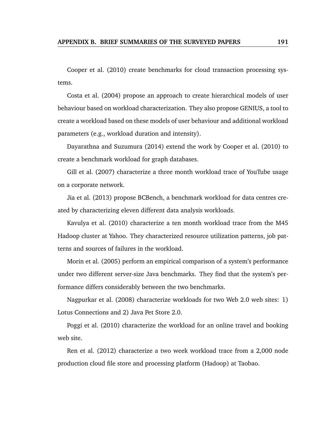Cooper et al. (2010) create benchmarks for cloud transaction processing systems.

Costa et al. (2004) propose an approach to create hierarchical models of user behaviour based on workload characterization. They also propose GENIUS, a tool to create a workload based on these models of user behaviour and additional workload parameters (e.g., workload duration and intensity).

Dayarathna and Suzumura (2014) extend the work by Cooper et al. (2010) to create a benchmark workload for graph databases.

Gill et al. (2007) characterize a three month workload trace of YouTube usage on a corporate network.

Jia et al. (2013) propose BCBench, a benchmark workload for data centres created by characterizing eleven different data analysis workloads.

Kavulya et al. (2010) characterize a ten month workload trace from the M45 Hadoop cluster at Yahoo. They characterized resource utilization patterns, job patterns and sources of failures in the workload.

Morin et al. (2005) perform an empirical comparison of a system's performance under two different server-size Java benchmarks. They find that the system's performance differs considerably between the two benchmarks.

Nagpurkar et al. (2008) characterize workloads for two Web 2.0 web sites: 1) Lotus Connections and 2) Java Pet Store 2.0.

Poggi et al. (2010) characterize the workload for an online travel and booking web site.

Ren et al. (2012) characterize a two week workload trace from a 2,000 node production cloud file store and processing platform (Hadoop) at Taobao.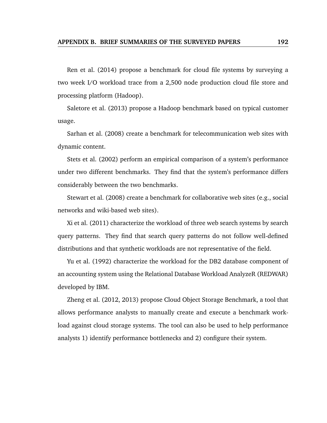Ren et al. (2014) propose a benchmark for cloud file systems by surveying a two week I/O workload trace from a 2,500 node production cloud file store and processing platform (Hadoop).

Saletore et al. (2013) propose a Hadoop benchmark based on typical customer usage.

Sarhan et al. (2008) create a benchmark for telecommunication web sites with dynamic content.

Stets et al. (2002) perform an empirical comparison of a system's performance under two different benchmarks. They find that the system's performance differs considerably between the two benchmarks.

Stewart et al. (2008) create a benchmark for collaborative web sites (e.g., social networks and wiki-based web sites).

Xi et al. (2011) characterize the workload of three web search systems by search query patterns. They find that search query patterns do not follow well-defined distributions and that synthetic workloads are not representative of the field.

Yu et al. (1992) characterize the workload for the DB2 database component of an accounting system using the Relational Database Workload AnalyzeR (REDWAR) developed by IBM.

Zheng et al. (2012, 2013) propose Cloud Object Storage Benchmark, a tool that allows performance analysts to manually create and execute a benchmark workload against cloud storage systems. The tool can also be used to help performance analysts 1) identify performance bottlenecks and 2) configure their system.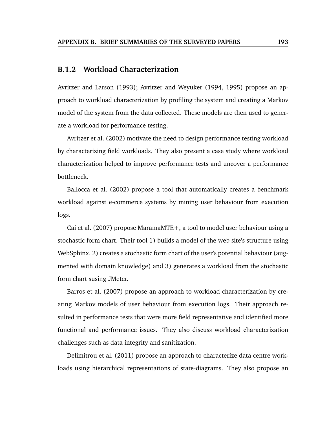### **B.1.2 Workload Characterization**

Avritzer and Larson (1993); Avritzer and Weyuker (1994, 1995) propose an approach to workload characterization by profiling the system and creating a Markov model of the system from the data collected. These models are then used to generate a workload for performance testing.

Avritzer et al. (2002) motivate the need to design performance testing workload by characterizing field workloads. They also present a case study where workload characterization helped to improve performance tests and uncover a performance bottleneck.

Ballocca et al. (2002) propose a tool that automatically creates a benchmark workload against e-commerce systems by mining user behaviour from execution logs.

Cai et al. (2007) propose MaramaMTE+, a tool to model user behaviour using a stochastic form chart. Their tool 1) builds a model of the web site's structure using WebSphinx, 2) creates a stochastic form chart of the user's potential behaviour (augmented with domain knowledge) and 3) generates a workload from the stochastic form chart susing JMeter.

Barros et al. (2007) propose an approach to workload characterization by creating Markov models of user behaviour from execution logs. Their approach resulted in performance tests that were more field representative and identified more functional and performance issues. They also discuss workload characterization challenges such as data integrity and sanitization.

Delimitrou et al. (2011) propose an approach to characterize data centre workloads using hierarchical representations of state-diagrams. They also propose an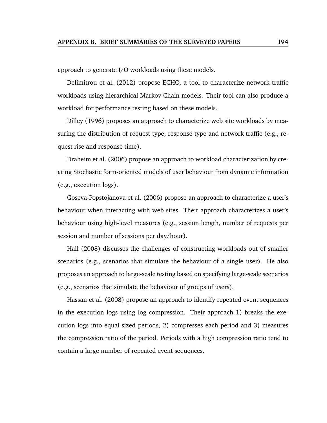approach to generate I/O workloads using these models.

Delimitrou et al. (2012) propose ECHO, a tool to characterize network traffic workloads using hierarchical Markov Chain models. Their tool can also produce a workload for performance testing based on these models.

Dilley (1996) proposes an approach to characterize web site workloads by measuring the distribution of request type, response type and network traffic (e.g., request rise and response time).

Draheim et al. (2006) propose an approach to workload characterization by creating Stochastic form-oriented models of user behaviour from dynamic information (e.g., execution logs).

Goseva-Popstojanova et al. (2006) propose an approach to characterize a user's behaviour when interacting with web sites. Their approach characterizes a user's behaviour using high-level measures (e.g., session length, number of requests per session and number of sessions per day/hour).

Hall (2008) discusses the challenges of constructing workloads out of smaller scenarios (e.g., scenarios that simulate the behaviour of a single user). He also proposes an approach to large-scale testing based on specifying large-scale scenarios (e.g., scenarios that simulate the behaviour of groups of users).

Hassan et al. (2008) propose an approach to identify repeated event sequences in the execution logs using log compression. Their approach 1) breaks the execution logs into equal-sized periods, 2) compresses each period and 3) measures the compression ratio of the period. Periods with a high compression ratio tend to contain a large number of repeated event sequences.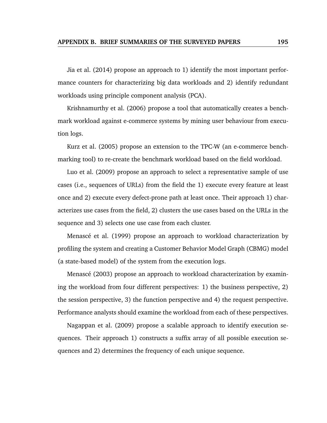Jia et al. (2014) propose an approach to 1) identify the most important performance counters for characterizing big data workloads and 2) identify redundant workloads using principle component analysis (PCA).

Krishnamurthy et al. (2006) propose a tool that automatically creates a benchmark workload against e-commerce systems by mining user behaviour from execution logs.

Kurz et al. (2005) propose an extension to the TPC-W (an e-commerce benchmarking tool) to re-create the benchmark workload based on the field workload.

Luo et al. (2009) propose an approach to select a representative sample of use cases (i.e., sequences of URLs) from the field the 1) execute every feature at least once and 2) execute every defect-prone path at least once. Their approach 1) characterizes use cases from the field, 2) clusters the use cases based on the URLs in the sequence and 3) selects one use case from each cluster.

Menascé et al. (1999) propose an approach to workload characterization by profiling the system and creating a Customer Behavior Model Graph (CBMG) model (a state-based model) of the system from the execution logs.

Menascé (2003) propose an approach to workload characterization by examining the workload from four different perspectives: 1) the business perspective, 2) the session perspective, 3) the function perspective and 4) the request perspective. Performance analysts should examine the workload from each of these perspectives.

Nagappan et al. (2009) propose a scalable approach to identify execution sequences. Their approach 1) constructs a suffix array of all possible execution sequences and 2) determines the frequency of each unique sequence.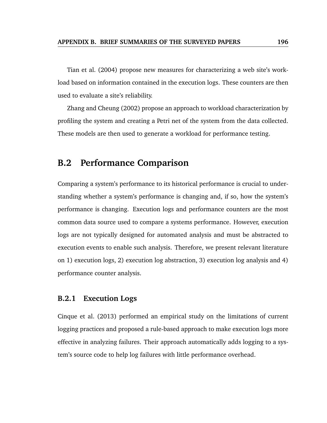Tian et al. (2004) propose new measures for characterizing a web site's workload based on information contained in the execution logs. These counters are then used to evaluate a site's reliability.

Zhang and Cheung (2002) propose an approach to workload characterization by profiling the system and creating a Petri net of the system from the data collected. These models are then used to generate a workload for performance testing.

### **B.2 Performance Comparison**

Comparing a system's performance to its historical performance is crucial to understanding whether a system's performance is changing and, if so, how the system's performance is changing. Execution logs and performance counters are the most common data source used to compare a systems performance. However, execution logs are not typically designed for automated analysis and must be abstracted to execution events to enable such analysis. Therefore, we present relevant literature on 1) execution logs, 2) execution log abstraction, 3) execution log analysis and 4) performance counter analysis.

### **B.2.1 Execution Logs**

Cinque et al. (2013) performed an empirical study on the limitations of current logging practices and proposed a rule-based approach to make execution logs more effective in analyzing failures. Their approach automatically adds logging to a system's source code to help log failures with little performance overhead.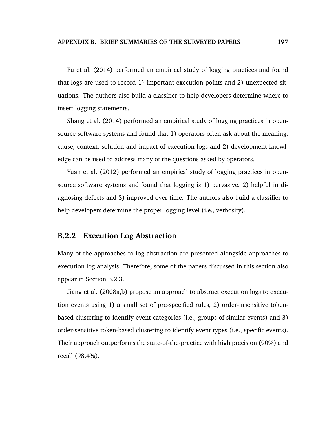Fu et al. (2014) performed an empirical study of logging practices and found that logs are used to record 1) important execution points and 2) unexpected situations. The authors also build a classifier to help developers determine where to insert logging statements.

Shang et al. (2014) performed an empirical study of logging practices in opensource software systems and found that 1) operators often ask about the meaning, cause, context, solution and impact of execution logs and 2) development knowledge can be used to address many of the questions asked by operators.

Yuan et al. (2012) performed an empirical study of logging practices in opensource software systems and found that logging is 1) pervasive, 2) helpful in diagnosing defects and 3) improved over time. The authors also build a classifier to help developers determine the proper logging level (i.e., verbosity).

### **B.2.2 Execution Log Abstraction**

Many of the approaches to log abstraction are presented alongside approaches to execution log analysis. Therefore, some of the papers discussed in this section also appear in Section B.2.3.

Jiang et al. (2008a,b) propose an approach to abstract execution logs to execution events using 1) a small set of pre-specified rules, 2) order-insensitive tokenbased clustering to identify event categories (i.e., groups of similar events) and 3) order-sensitive token-based clustering to identify event types (i.e., specific events). Their approach outperforms the state-of-the-practice with high precision (90%) and recall (98.4%).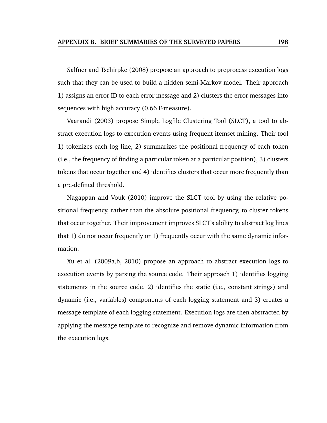Salfner and Tschirpke (2008) propose an approach to preprocess execution logs such that they can be used to build a hidden semi-Markov model. Their approach 1) assigns an error ID to each error message and 2) clusters the error messages into sequences with high accuracy (0.66 F-measure).

Vaarandi (2003) propose Simple Logfile Clustering Tool (SLCT), a tool to abstract execution logs to execution events using frequent itemset mining. Their tool 1) tokenizes each log line, 2) summarizes the positional frequency of each token (i.e., the frequency of finding a particular token at a particular position), 3) clusters tokens that occur together and 4) identifies clusters that occur more frequently than a pre-defined threshold.

Nagappan and Vouk (2010) improve the SLCT tool by using the relative positional frequency, rather than the absolute positional frequency, to cluster tokens that occur together. Their improvement improves SLCT's ability to abstract log lines that 1) do not occur frequently or 1) frequently occur with the same dynamic information.

Xu et al. (2009a,b, 2010) propose an approach to abstract execution logs to execution events by parsing the source code. Their approach 1) identifies logging statements in the source code, 2) identifies the static (i.e., constant strings) and dynamic (i.e., variables) components of each logging statement and 3) creates a message template of each logging statement. Execution logs are then abstracted by applying the message template to recognize and remove dynamic information from the execution logs.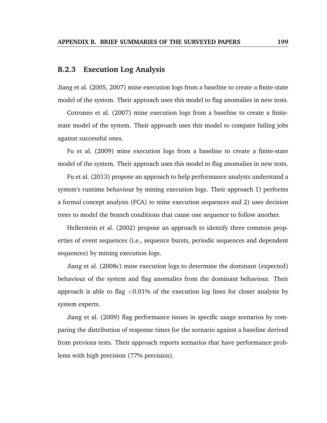### **B.2.3 Execution Log Analysis**

Jiang et al. (2005, 2007) mine execution logs from a baseline to create a finite-state model of the system. Their approach uses this model to flag anomalies in new tests.

Cotroneo et al. (2007) mine execution logs from a baseline to create a finitestate model of the system. Their approach uses this model to compare failing jobs against successful ones.

Fu et al. (2009) mine execution logs from a baseline to create a finite-state model of the system. Their approach uses this model to flag anomalies in new tests.

Fu et al. (2013) propose an approach to help performance analysts understand a system's runtime behaviour by mining execution logs. Their approach 1) performs a formal concept analysis (FCA) to mine execution sequences and 2) uses decision trees to model the branch conditions that cause one sequence to follow another.

Hellerstein et al. (2002) propose an approach to identify three common properties of event sequences (i.e., sequence bursts, periodic sequences and dependent sequences) by mining execution logs.

Jiang et al. (2008c) mine execution logs to determine the dominant (expected) behaviour of the system and flag anomalies from the dominant behaviour. Their approach is able to flag  $\langle 0.01\%$  of the execution log lines for closer analysis by system experts.

Jiang et al. (2009) flag performance issues in specific usage scenarios by comparing the distribution of response times for the scenario against a baseline derived from previous tests. Their approach reports scenarios that have performance problems with high precision (77% precision).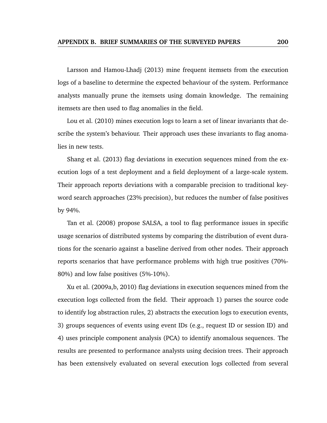Larsson and Hamou-Lhadj (2013) mine frequent itemsets from the execution logs of a baseline to determine the expected behaviour of the system. Performance analysts manually prune the itemsets using domain knowledge. The remaining itemsets are then used to flag anomalies in the field.

Lou et al. (2010) mines execution logs to learn a set of linear invariants that describe the system's behaviour. Their approach uses these invariants to flag anomalies in new tests.

Shang et al. (2013) flag deviations in execution sequences mined from the execution logs of a test deployment and a field deployment of a large-scale system. Their approach reports deviations with a comparable precision to traditional keyword search approaches (23% precision), but reduces the number of false positives by 94%.

Tan et al. (2008) propose SALSA, a tool to flag performance issues in specific usage scenarios of distributed systems by comparing the distribution of event durations for the scenario against a baseline derived from other nodes. Their approach reports scenarios that have performance problems with high true positives (70%- 80%) and low false positives (5%-10%).

Xu et al. (2009a,b, 2010) flag deviations in execution sequences mined from the execution logs collected from the field. Their approach 1) parses the source code to identify log abstraction rules, 2) abstracts the execution logs to execution events, 3) groups sequences of events using event IDs (e.g., request ID or session ID) and 4) uses principle component analysis (PCA) to identify anomalous sequences. The results are presented to performance analysts using decision trees. Their approach has been extensively evaluated on several execution logs collected from several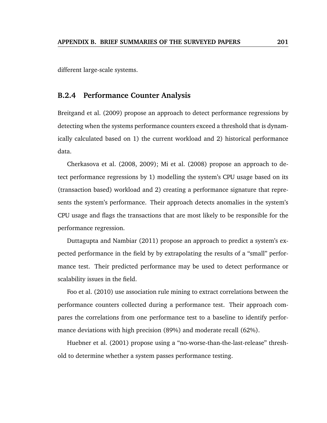different large-scale systems.

### **B.2.4 Performance Counter Analysis**

Breitgand et al. (2009) propose an approach to detect performance regressions by detecting when the systems performance counters exceed a threshold that is dynamically calculated based on 1) the current workload and 2) historical performance data.

Cherkasova et al. (2008, 2009); Mi et al. (2008) propose an approach to detect performance regressions by 1) modelling the system's CPU usage based on its (transaction based) workload and 2) creating a performance signature that represents the system's performance. Their approach detects anomalies in the system's CPU usage and flags the transactions that are most likely to be responsible for the performance regression.

Duttagupta and Nambiar (2011) propose an approach to predict a system's expected performance in the field by by extrapolating the results of a "small" performance test. Their predicted performance may be used to detect performance or scalability issues in the field.

Foo et al. (2010) use association rule mining to extract correlations between the performance counters collected during a performance test. Their approach compares the correlations from one performance test to a baseline to identify performance deviations with high precision (89%) and moderate recall (62%).

Huebner et al. (2001) propose using a "no-worse-than-the-last-release" threshold to determine whether a system passes performance testing.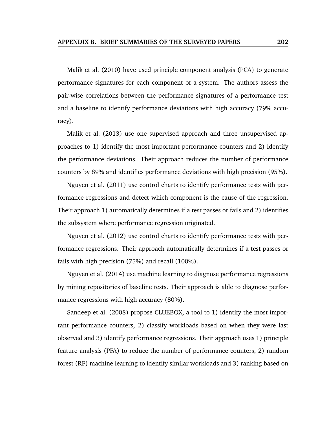Malik et al. (2010) have used principle component analysis (PCA) to generate performance signatures for each component of a system. The authors assess the pair-wise correlations between the performance signatures of a performance test and a baseline to identify performance deviations with high accuracy (79% accuracy).

Malik et al. (2013) use one supervised approach and three unsupervised approaches to 1) identify the most important performance counters and 2) identify the performance deviations. Their approach reduces the number of performance counters by 89% and identifies performance deviations with high precision (95%).

Nguyen et al. (2011) use control charts to identify performance tests with performance regressions and detect which component is the cause of the regression. Their approach 1) automatically determines if a test passes or fails and 2) identifies the subsystem where performance regression originated.

Nguyen et al. (2012) use control charts to identify performance tests with performance regressions. Their approach automatically determines if a test passes or fails with high precision (75%) and recall (100%).

Nguyen et al. (2014) use machine learning to diagnose performance regressions by mining repositories of baseline tests. Their approach is able to diagnose performance regressions with high accuracy (80%).

Sandeep et al. (2008) propose CLUEBOX, a tool to 1) identify the most important performance counters, 2) classify workloads based on when they were last observed and 3) identify performance regressions. Their approach uses 1) principle feature analysis (PFA) to reduce the number of performance counters, 2) random forest (RF) machine learning to identify similar workloads and 3) ranking based on